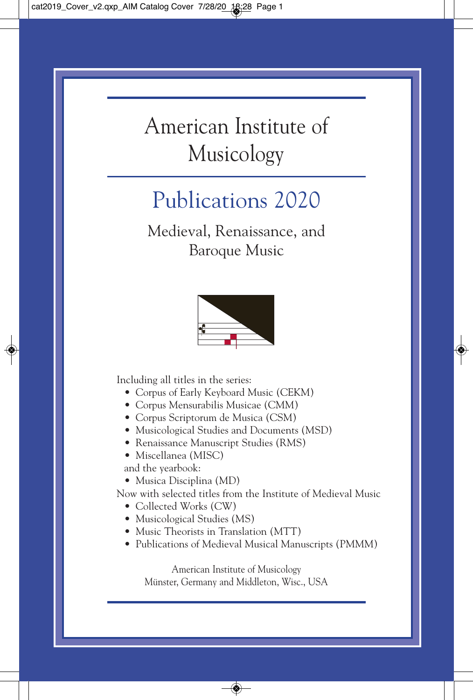# American Institute of Musicology

# Publications 2020

Medieval, Renaissance, and Baroque Music



Including all titles in the series:

- Corpus of Early Keyboard Music (CEKM)
- Corpus Mensurabilis Musicae (CMM)
- Corpus Scriptorum de Musica (CSM)
- Musicological Studies and Documents (MSD)
- Renaissance Manuscript Studies (RMS)
- Miscellanea (MISC)

and the yearbook:

• Musica Disciplina (MD)

Now with selected titles from the Institute of Medieval Music

- Collected Works (CW)
- Musicological Studies (MS)
- Music Theorists in Translation (MTT)
- Publications of Medieval Musical Manuscripts (PMMM)

American Institute of Musicology Münster, Germany and Middleton, Wisc., USA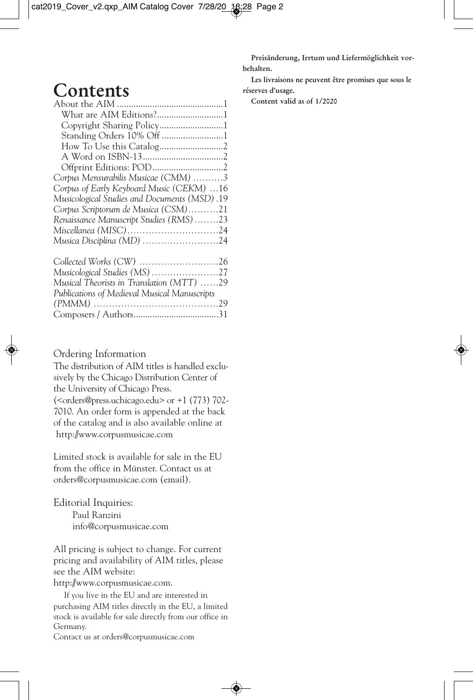Preisänderung, Irrtum und Liefermöglichkeit vorbehalten. Les livraisons ne peuvent être promises que sous le

# **Contents**

| What are AIM Editions?1                      |  |
|----------------------------------------------|--|
|                                              |  |
| Standing Orders 10% Off 1                    |  |
|                                              |  |
|                                              |  |
|                                              |  |
| Corpus Mensurabilis Musicae (CMM) 3          |  |
| Corpus of Early Keyboard Music (CEKM) 16     |  |
| Musicological Studies and Documents (MSD).19 |  |
| Corpus Scriptorum de Musica (CSM)21          |  |
| Renaissance Manuscript Studies (RMS)23       |  |
| Miscellanea (MISC)24                         |  |
| Musica Disciplina (MD) 24                    |  |
| Collected Works (CW) 26                      |  |

| Musical Theorists in Translation (MTT) 29    |  |
|----------------------------------------------|--|
| Publications of Medieval Musical Manuscripts |  |
|                                              |  |
|                                              |  |

#### Ordering Information

The distribution of AIM titles is handled exclusively by the Chicago Distribution Center of the University of Chicago Press. (<orders@press.uchicago.edu> or +1 (773) 702- 7010. An order form is appended at the back of the catalog and is also available online at http://www.corpusmusicae.com

Limited stock is available for sale in the EU from the office in Münster. Contact us at orders@corpusmusicae.com (email).

#### Editorial Inquiries:

Paul Ranzini info@corpusmusicae.com

All pricing is subject to change. For current pricing and availability of AIM titles, please see the AIM website:

http://www.corpusmusicae.com.

If you live in the EU and are interested in purchasing AIM titles directly in the EU, a limited stock is available for sale directly from our office in Germany.

Contact us at orders@corpusmusicae.com

réserves d'usage.

Content valid as of 1/2020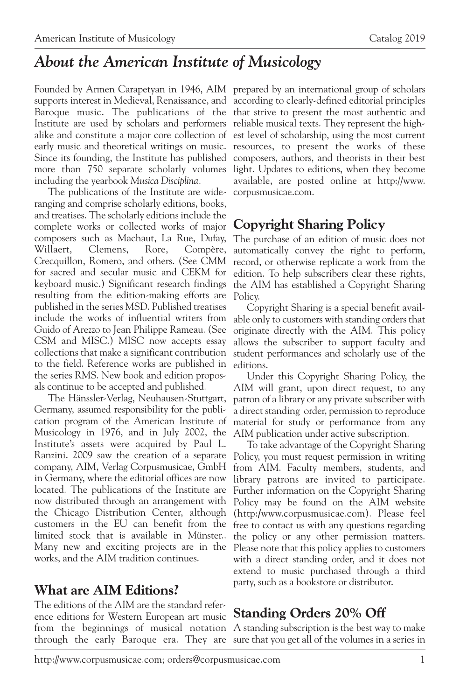# *About the American Institute of Musicology*

Founded by Armen Carapetyan in 1946, AIM prepared by an international group of scholars supports interest in Medieval, Renaissance, and according to clearly-defined editorial principles Baroque music. The publications of the that strive to present the most authentic and Institute are used by scholars and performers reliable musical texts. They represent the highalike and constitute a major core collection of est level of scholarship, using the most current early music and theoretical writings on music. resources, to present the works of these Since its founding, the Institute has published composers, authors, and theorists in their best more than 750 separate scholarly volumes including the yearbook *Musica Disciplina.*

The publications of the Institute are wideranging and comprise scholarly editions, books, and treatises. The scholarly editions include the complete works or collected works of major composers such as Machaut, La Rue, Dufay, Willaert, Clemens, Rore, Compère, Crecquillon, Romero, and others. (See CMM for sacred and secular music and CEKM for keyboard music.) Significant research findings resulting from the edition-making efforts are published in the series MSD. Published treatises include the works of influential writers from Guido of Arezzo to Jean Philippe Rameau. (See CSM and MISC.) MISC now accepts essay collections that make a significant contribution to the field. Reference works are published in the series RMS. New book and edition proposals continue to be accepted and published.

The Hänssler-Verlag, Neuhausen-Stuttgart, Germany, assumed responsibility for the publication program of the American Institute of Musicology in 1976, and in July 2002, the AIM publication under active subscription. Institute's assets were acquired by Paul L. Ranzini. 2009 saw the creation of a separate company, AIM, Verlag Corpusmusicae, GmbH in Germany, where the editorial offices are now located. The publications of the Institute are now distributed through an arrangement with the Chicago Distribution Center, although customers in the EU can benefit from the free to contact us with any questions regarding limited stock that is available in Münster.. the policy or any other permission matters. Many new and exciting projects are in the Please note that this policy applies to customers works, and the AIM tradition continues.

#### **What are AIM Editions?**

The editions of the AIM are the standard reference editions for Western European art music

light. Updates to editions, when they become available, are posted online at http://www. corpusmusicae.com.

# **Copyright Sharing Policy**

The purchase of an edition of music does not automatically convey the right to perform, record, or otherwise replicate a work from the edition. To help subscribers clear these rights, the AIM has established a Copyright Sharing Policy.

Copyright Sharing is a special benefit available only to customers with standing orders that originate directly with the AIM. This policy allows the subscriber to support faculty and student performances and scholarly use of the editions.

Under this Copyright Sharing Policy, the AIM will grant, upon direct request, to any patron of a library or any private subscriber with a direct standing order, permission to reproduce material for study or performance from any

To take advantage of the Copyright Sharing Policy, you must request permission in writing from AIM. Faculty members, students, and library patrons are invited to participate. Further information on the Copyright Sharing Policy may be found on the AIM website (http:/www.corpusmusicae.com). Please feel with a direct standing order, and it does not extend to music purchased through a third party, such as a bookstore or distributor.

# **Standing Orders 20% Off**

from the beginnings of musical notation A standing subscription is the best way to make through the early Baroque era. They are sure that you get all of the volumes in a series in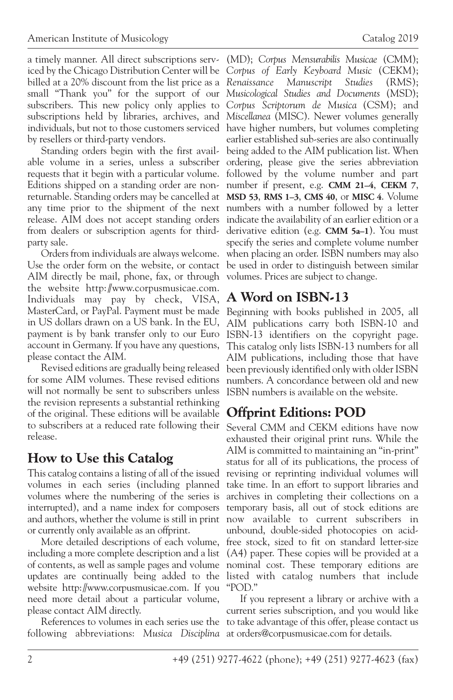a timely manner. All direct subscriptions serv-(MD); *Corpus Mensurabilis Musicae* (CMM); iced by the Chicago Distribution Center will be *Corpus of Early Keyboard Music* (CEKM); billed at a 20% discount from the list price as a *Renaissance Manuscript Studies* (RMS); small "Thank you" for the support of our *Musicological Studies and Documents* (MSD); subscribers. This new policy only applies to *Corpus Scriptorum de Musica* (CSM); and subscriptions held by libraries, archives, and *Miscellanea* (MISC). Newer volumes generally individuals, but not to those customers serviced have higher numbers, but volumes completing by resellers or third-party vendors.

able volume in a series, unless a subscriber ordering, please give the series abbreviation requests that it begin with a particular volume. followed by the volume number and part Editions shipped on a standing order are non-number if present, e.g. **CMM 21–4**, **CEKM 7**, returnable. Standing orders may be cancelled at **MSD 53**, **RMS 1–3**, **CMS 40**, or **MISC 4**. Volume any time prior to the shipment of the next numbers with a number followed by a letter release. AIM does not accept standing orders indicate the availability of an earlier edition or a from dealers or subscription agents for third-derivative edition (e.g. **CMM 5a–1**). You must party sale.

Use the order form on the website, or contact be used in order to distinguish between similar AIM directly be mail, phone, fax, or through volumes. Prices are subject to change. the website http://www.corpusmusicae.com. Individuals may pay by check, VISA, **A Word on ISBN-13** MasterCard, or PayPal. Payment must be made Beginning with books published in 2005, all in US dollars drawn on a US bank. In the EU, payment is by bank transfer only to our Euro ISBN-13 identifiers on the copyright page. account in Germany. If you have any questions, please contact the AIM.

for some AIM volumes. These revised editions will not normally be sent to subscribers unless the revision represents a substantial rethinking of the original. These editions will be available **Offprint Editions: POD** to subscribers at a reduced rate following their Several CMM and CEKM editions have now release.

# **How to Use this Catalog**

This catalog contains a listing of all of the issued revising or reprinting individual volumes will volumes in each series (including planned take time. In an effort to support libraries and volumes where the numbering of the series is archives in completing their collections on a interrupted), and a name index for composers temporary basis, all out of stock editions are and authors, whether the volume is still in print now available to current subscribers in or currently only available as an offprint.

including a more complete description and a list (A4) paper. These copies will be provided at a of contents, as well as sample pages and volume nominal cost. These temporary editions are updates are continually being added to the listed with catalog numbers that include website http://www.corpusmusicae.com. If you "POD." need more detail about a particular volume, please contact AIM directly.

following abbreviations: *Musica Disciplina* at orders@corpusmusicae.com for details.

Standing orders begin with the first avail-being added to the AIM publication list. When Orders from individuals are always welcome. when placing an order. ISBN numbers may also earlier established sub-series are also continually specify the series and complete volume number

Revised editions are gradually being released been previously identified only with older ISBN AIM publications carry both ISBN-10 and This catalog only lists ISBN-13 numbers for all AIM publications, including those that have numbers. A concordance between old and new ISBN numbers is available on the website.

More detailed descriptions of each volume, free stock, sized to fit on standard letter-size exhausted their original print runs. While the AIM is committed to maintaining an "in-print" status for all of its publications, the process of unbound, double-sided photocopies on acid-

References to volumes in each series use the to take advantage of this offer, please contact us If you represent a library or archive with a current series subscription, and you would like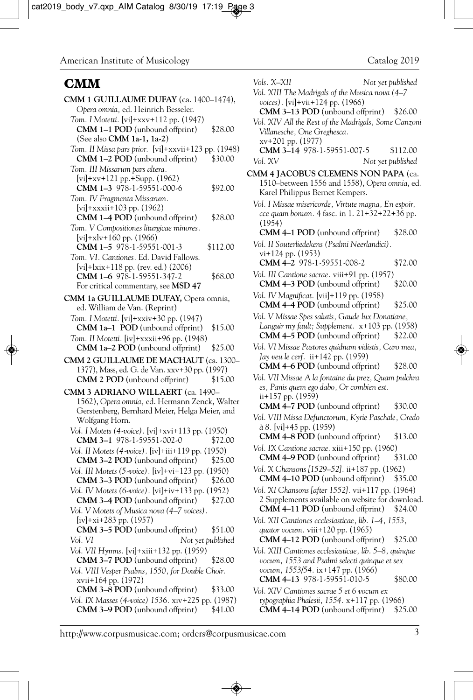#### **CMM**

| CMM 1 GUILLAUME DUFAY (ca. 1400-1474),<br>Opera omnia, ed. Heinrich Besseler.                                                          |          |
|----------------------------------------------------------------------------------------------------------------------------------------|----------|
| Tom. I Motetti. [vi]+xxv+112 pp. (1947)                                                                                                |          |
| <b>CMM 1-1 POD</b> (unbound offprint)<br>(See also CMM 1a-1, 1a-2)                                                                     | \$28.00  |
| Tom. II Missa pars prior. [vi]+xxvii+123 pp. (1948)<br>CMM 1-2 POD (unbound offprint)                                                  | \$30.00  |
| Tom. III Missarum pars altera.<br>$[vi]+xv+121$ pp. $+Supp. (1962)$                                                                    |          |
| CMM 1-3 978-1-59551-000-6                                                                                                              | \$92.00  |
| Tom. IV Fragmenta Missarum.<br>[vi]+xxxii+103 pp. (1962)<br>CMM 1-4 POD (unbound offprint)<br>Tom. V Compositiones liturgicae minores. | \$28.00  |
| $[vi]+xlv+160$ pp. $(1966)$<br>CMM 1-5 978-1-59551-001-3                                                                               | \$112.00 |
| Tom. VI. Cantiones. Ed. David Fallows.<br>[vi]+ $l$ xix+118 pp. (rev. ed.) (2006)<br>CMM 1-6 978-1-59551-347-2                         | \$68.00  |
| For critical commentary, see MSD 47<br>CMM 1a GUILLAUME DUFAY, Opera omnia,                                                            |          |
| ed. William de Van. (Reprint)                                                                                                          |          |
| Tom. I Motetti. [vi]+xxiv+30 pp. (1947)<br><b>CMM 1a-1 POD</b> (unbound offprint)                                                      | \$15.00  |
| Tom. II Motetti. [iv]+xxxii+96 pp. (1948)<br>CMM 1a-2 POD (unbound offprint)                                                           | \$25.00  |
| CMM 2 GUILLAUME DE MACHAUT (ca. 1300-                                                                                                  |          |
| 1377), Mass, ed. G. de Van. xxv+30 pp. (1997)<br>CMM 2 POD (unbound offprint)                                                          | \$15.00  |
| CMM 3 ADRIANO WILLAERT (ca. 1490-<br>1562), Opera omnia, ed. Hermann Zenck, Walter                                                     |          |
| Gerstenberg, Bernhard Meier, Helga Meier, and<br>Wolfgang Horn.                                                                        |          |
| Vol. I Motets (4-voice). [vi]+xvi+113 pp. (1950)<br>CMM 3-1 978-1-59551-002-0                                                          | \$72.00  |
| Vol. II Motets (4-voice). [iv]+iii+119 pp. (1950)<br>CMM 3-2 POD (unbound offprint)                                                    | \$25.00  |
| Vol. III Motets (5-voice). [iv]+vi+123 pp. (1950)                                                                                      |          |
| CMM 3-3 POD (unbound offprint)<br>Vol. IV Motets (6-voice). [vi]+iv+133 pp. (1952)                                                     | \$26.00  |
| CMM 3-4 POD (unbound offprint)                                                                                                         | \$27.00  |
| Vol. V Motets of Musica nova (4-7 voices).<br>$(iv]+xi+283$ pp. $(1957)$                                                               |          |
| CMM 3-5 POD (unbound offprint)                                                                                                         | \$51.00  |
| Vol. VI<br>Not yet published<br>Vol. VII Hymns. [vi]+xiii+132 pp. (1959)                                                               |          |
| CMM 3-7 POD (unbound offprint)<br>Vol. VIII Vesper Psalms, 1550, for Double Choir.                                                     | \$28.00  |
| xvii+164 pp. (1972)<br>CMM 3-8 POD (unbound offprint)                                                                                  | \$33.00  |
| Vol. IX Masses (4-voice) 1536. xiv+225 pp. (1987)<br><b>CMM 3-9 POD</b> (unbound offprint)                                             | \$41.00  |
|                                                                                                                                        |          |

| Vols. X–XII                                                                                                             | Not yet published |
|-------------------------------------------------------------------------------------------------------------------------|-------------------|
| Vol. XIII The Madrigals of the Musica nova (4-7                                                                         |                   |
| voices). [vi]+vii+124 pp. (1966)<br>CMM 3-13 POD (unbound offprint) \$26.00                                             |                   |
| Vol. XIV All the Rest of the Madrigals, Some Canzoni                                                                    |                   |
| Villanesche, One Greghesca.                                                                                             |                   |
| xv+201 pp. (1977)                                                                                                       |                   |
| CMM 3-14 978-1-59551-007-5                                                                                              | \$112.00          |
| Vol. XV                                                                                                                 | Not yet published |
| CMM 4 JACOBUS CLEMENS NON PAPA (ca.<br>1510-between 1556 and 1558), Opera omnia, ed.<br>Karel Philippus Bernet Kempers. |                   |
| Vol. I Missae misericorde, Virtute magna, En espoir,                                                                    |                   |
| cce quam bonum. 4 fasc. in 1. 21+32+22+36 pp.<br>(1954)                                                                 |                   |
| CMM 4-1 POD (unbound offprint)                                                                                          | \$28.00           |
| Vol. II Souterliedekens (Psalmi Neerlandici).                                                                           |                   |
| vi+124 pp. (1953)<br>CMM 4-2 978-1-59551-008-2                                                                          | \$72.00           |
| Vol. III Cantione sacrae. viii+91 pp. (1957)                                                                            |                   |
| CMM 4-3 POD (unbound offprint)                                                                                          | \$20.00           |
| Vol. IV Magnificat. [vii]+119 pp. (1958)<br>CMM 4-4 POD (unbound offprint)                                              | \$25.00           |
| Vol. V Missae Spes salutis, Gaude lux Donatiane,                                                                        |                   |
| Languir my fault; Supplement. x+103 pp. (1958)<br><b>CMM 4–5 POD</b> (unbound offprint) \$22.00                         |                   |
| Vol. VI Missae Pastores quidnam vidistis, Caro mea,<br>Jay veu le cerf. ii+142 pp. (1959)                               |                   |
| <b>CMM 4–6 POD</b> (unbound offprint)                                                                                   | \$28.00           |
| Vol. VII Missae A la fontaine du prez, Quam pulchra                                                                     |                   |
| es, Panis quem ego dabo, Or combien est.<br>ii+157 pp. (1959)                                                           |                   |
| CMM 4-7 POD (unbound offprint)                                                                                          | \$30.00           |
| Vol. VIII Missa Defunctorum, Kyrie Paschale, Credo<br>à 8. [vi]+45 pp. (1959)                                           |                   |
| CMM 4-8 POD (unbound offprint)                                                                                          | \$13.00           |
| Vol. IX Cantione sacrae. xiii+150 pp. (1960)                                                                            |                   |
| CMM 4-9 POD (unbound offprint)                                                                                          | \$31.00           |
| Vol. X Chansons [1529-52]. ii+187 pp. (1962)                                                                            |                   |
| CMM 4-10 POD (unbound offprint)<br>Vol. XI Chansons [after 1552]. vii+117 pp. (1964)                                    | \$35.00           |
| 2 Supplements available on website for download.                                                                        |                   |
| CMM 4-11 POD (unbound offprint) \$24.00                                                                                 |                   |
| Vol. XII Cantiones ecclesiasticae, lib. 1-4, 1553,                                                                      |                   |
| quator vocum. viii+120 pp. (1965)<br>CMM 4-12 POD (unbound offprint)                                                    | \$25.00           |
| Vol. XIII Cantiones ecclesiasticae, lib. 5–8, quinque                                                                   |                   |
| vocum, 1553 and Psalmi selecti quinque et sex                                                                           |                   |
| vocum, 1553/54. ix+147 pp. (1966)<br>CMM 4-13 978-1-59551-010-5                                                         | \$80.00           |
| Vol. XIV Cantiones sacrae 5 et 6 vocum ex                                                                               |                   |
| typographia Phalesii, 1554. x+117 pp. (1966)                                                                            |                   |
| CMM 4-14 POD (unbound offprint)                                                                                         | \$25.00           |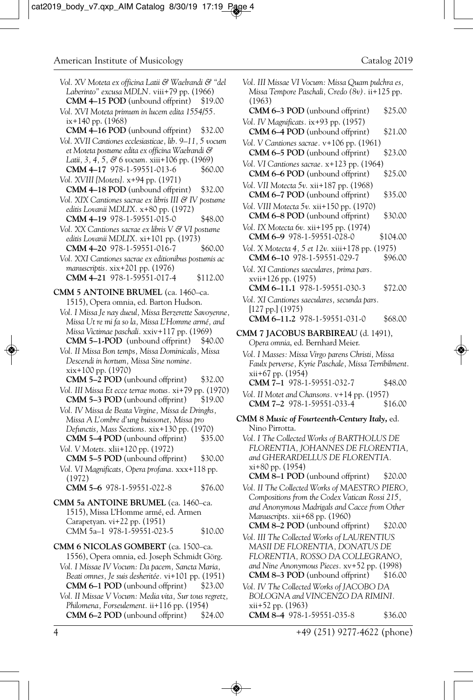| Vol. XV Moteta ex officina Latii & Waelrandi & "del<br>Laberinto" excusa MDLN. viii+79 pp. (1966)<br>CMM 4-15 POD (unbound offprint)<br>\$19.00 | Ţ  |
|-------------------------------------------------------------------------------------------------------------------------------------------------|----|
|                                                                                                                                                 |    |
| Vol. XVI Moteta primum in lucem edita 1554/55.<br>ix+140 pp. (1968)<br>CMM 4-16 POD (unbound offprint)<br>\$32.00                               | Ī  |
| Vol. XVII Cantiones ecclesiasticae, lib. 9-11, 5 vocum<br>et Moteta postume edita ex officina Waelrandi &                                       | J  |
| Latii, 3, 4, 5, & 6 vocum. xiii+106 pp. (1969)<br>CMM 4-17 978-1-59551-013-6<br>\$60.00                                                         | J  |
| Vol. XVIII [Motets]. x+94 pp. (1971)                                                                                                            | I  |
| CMM 4-18 POD (unbound offprint)<br>\$32.00<br>Vol. XIX Cantiones sacrae ex libris III & IV postume<br>editis Lovanii MDLIX. x+80 pp. (1972)     | J  |
| CMM 4-19 978-1-59551-015-0<br>\$48.00                                                                                                           | Ī  |
| Vol. XX Cantiones sacrae ex libris V & VI postume<br>editis Lovanii MDLIX. xi+101 pp. (1973)<br>CMM 4-20 978-1-59551-016-7                      |    |
| \$60.00<br>Vol. XXI Cantiones sacrae ex editionibus postumis ac                                                                                 | Į  |
| manuscriptis. xix+201 pp. (1976)<br>CMM 4-21 978-1-59551-017-4<br>\$112.00                                                                      | 1  |
| <b>CMM 5 ANTOINE BRUMEL</b> (ca. 1460–ca.                                                                                                       |    |
| 1515), Opera omnia, ed. Barton Hudson.                                                                                                          | Ī  |
| Vol. I Missa Je nay dueul, Missa Berzerette Savoyenne,                                                                                          |    |
| Missa Ut re mi fa so la, Missa L'Homme armé, and<br>Missa Victimae paschali. xxiv+117 pp. (1969)<br>CMM 5-1-POD (unbound offprint)<br>\$40.00   | C١ |
| Vol. II Missa Bon temps, Missa Dominicalis, Missa                                                                                               |    |
| Descendi in hortum, Missa Sine nomine.<br>xix+100 pp. (1970)                                                                                    |    |
| CMM 5-2 POD (unbound offprint)<br>\$32.00                                                                                                       |    |
| Vol. III Missa Et ecce terrae motus. xi+79 pp. (1970)<br>CMM 5-3 POD (unbound offprint)<br>\$19.00                                              |    |
| Vol. IV Missa de Beata Virgine, Missa de Dringhs,<br>Missa A L'ombre d'ung buissonet, Missa pro                                                 | СN |
| Defunctis, Mass Sections. xix+130 pp. (1970)                                                                                                    |    |
| CMM 5-4 POD (unbound offprint)<br>\$35.00<br>Vol. V Motets. xlii+120 pp. (1972)                                                                 |    |
| CMM 5-5 POD (unbound offprint)<br>\$30.00<br>Vol. VI Magnificats, Opera profana. xxx+118 pp.                                                    |    |
| (1972)<br>CMM 5-6 978-1-59551-022-8<br>\$76.00                                                                                                  |    |
| CMM 5a ANTOINE BRUMEL (ca. 1460-ca.<br>1515), Missa L'Homme armé, ed. Armen                                                                     |    |
| Carapetyan. vi+22 pp. (1951)<br>CMM 5a-1 978-1-59551-023-5<br>\$10.00                                                                           |    |
| CMM 6 NICOLAS GOMBERT (ca. 1500-ca.<br>1556), Opera omnia, ed. Joseph Schmidt Görg.                                                             |    |
| Vol. I Missae IV Vocum: Da pacem, Sancta Maria,<br>Beati omnes, Je suis desheritée. vi+101 pp. (1951)                                           |    |
| CMM 6-1 POD (unbound offprint)<br>\$23.00<br>Vol. II Missae V Vocum: Media vita, Sur tous regretz,                                              | J  |
| Philomena, Forseulement. ii+116 pp. (1954)                                                                                                      |    |

**CMM 6–2 POD** (unbound offprint) \$24.00

| Vol. III Missae VI Vocum: Missa Quam pulchra es,<br>Missa Tempore Paschali, Credo (8v). ii+125 pp.                           |          |
|------------------------------------------------------------------------------------------------------------------------------|----------|
| (1963)<br>CMM 6-3 POD (unbound offprint)                                                                                     | \$25.00  |
| Vol. IV Magnificats. ix+93 pp. (1957)<br>CMM 6-4 POD (unbound offprint)                                                      | \$21.00  |
| Vol. V Cantiones sacrae. v+106 pp. (1961)<br>CMM 6-5 POD (unbound offprint)                                                  | \$23.00  |
| Vol. VI Cantiones sacrae. x+123 pp. (1964)<br>CMM 6-6 POD (unbound offprint)                                                 | \$25.00  |
| Vol. VII Motecta 5v. xii+187 pp. (1968)<br>CMM 6-7 POD (unbound offprint)                                                    | \$35.00  |
| Vol. VIII Motecta 5v. xii+150 pp. (1970)<br>CMM 6-8 POD (unbound offprint)                                                   | \$30.00  |
| Vol. IX Motecta 6v. xii+195 pp. (1974)<br>CMM 6-9 978-1-59551-028-0                                                          | \$104.00 |
| Vol. X Motecta 4, 5 et 12v. xiii+178 pp. (1975)<br>CMM 6-10 978-1-59551-029-7                                                | \$96.00  |
| Vol. XI Cantiones saeculares, prima pars.                                                                                    |          |
| xvii+126 pp. (1975)<br>CMM 6-11.1 978-1-59551-030-3                                                                          | \$72.00  |
| Vol. XI Cantiones saeculares, secunda pars.<br>[127 pp.](1975)                                                               |          |
| CMM 6-11.2 978-1-59551-031-0<br>CMM 7 JACOBUS BARBIREAU (d. 1491),                                                           | \$68.00  |
| Opera omnia, ed. Bernhard Meier.                                                                                             |          |
| Vol. I Masses: Missa Virgo parens Christi, Missa<br>Faulx perverse, Kyrie Paschale, Missa Terribilment.<br>xii+67 pp. (1954) |          |
| CMM 7-1 978-1-59551-032-7                                                                                                    | \$48.00  |
| Vol. II Motet and Chansons. v+14 pp. (1957)<br>CMM 7-2 978-1-59551-033-4                                                     | \$16.00  |
| CMM 8 Music of Fourteenth-Century Italy, ed.<br>Nino Pirrotta.                                                               |          |
| Vol. I The Collected Works of BARTHOLUS DE<br>FLORENTIA, JOHANNES DE FLORENTIA,<br>and GHERARDELLUS DE FLORENTIA.            |          |
| xi+80 pp. (1954)<br>CMM 8-1 POD (unbound offprint)                                                                           | \$20.00  |
| Vol. II The Collected Works of MAESTRO PIERO,<br>Compositions from the Codex Vatican Rossi 215,                              |          |
| and Anonymous Madrigals and Cacce from Other<br>Manuscripts. xii+68 pp. (1960)                                               |          |
| CMM 8-2 POD (unbound offprint)                                                                                               | \$20.00  |
| Vol. III The Collected Works of LAURENTIUS<br>MASII DE FLORENTIA, DONATUS DE<br>FLORENTIA, ROSSO DA COLLEGRANO,              |          |
| and Nine Anonymous Pieces. xv+52 pp. (1998)<br>CMM 8-3 POD (unbound offprint)                                                | \$16.00  |
| Vol. IV The Collected Works of JACOBO DA<br>BOLOGNA and VINCENZO DA RIMINI.                                                  |          |
| xii+52 pp. (1963)<br>CMM 8-4 978-1-59551-035-8                                                                               | \$36.00  |

4 +49 (251) 9277-4622 (phone)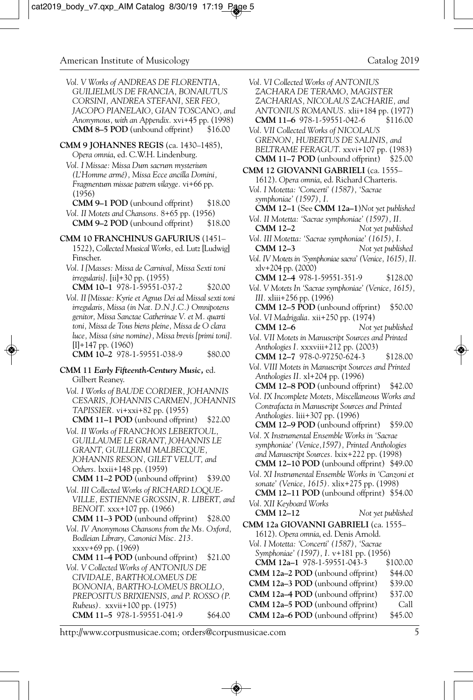- *Vol. V Works of ANDREAS DE FLORENTIA, GUILIELMUS DE FRANCIA, BONAIUTUS CORSINI, ANDREA STEFANI, SER FEO, JACOPO PIANELAIO, GIAN TOSCANO, and Anonymous, with an Appendix.* xvi+45 pp. (1998) **CMM 8–5 POD** (unbound offprint) \$16.00
- **CMM 9 JOHANNES REGIS** (ca. 1430–1485), *Opera omnia*, ed. C.W.H. Lindenburg.

*Vol. I Missae: Missa Dum sacrum mysterium (L'Homme armé), Missa Ecce ancilla Domini, Fragmentum missae patrem vilayge.* vi+66 pp. (1956)

- **CMM 9–1 POD** (unbound offprint) \$18.00 *Vol. II Motets and Chansons.* 8+65 pp. (1956) **CMM 9–2 POD** (unbound offprint) \$18.00
- **CMM 10 FRANCHINUS GAFURIUS** (1451– 1522), *Collected Musical Works,* ed. Lutz [Ludwig] Finscher.
	- *Vol. I [Masses: Missa de Carnival, Missa Sexti toni irregularis].* [ii]+30 pp. (1955) **CMM 10–1** 978-1-59551-037-2 \$20.00

*Vol. II [Missae: Kyrie et Agnus Dei ad Missal sexti toni irregularis, Missa (in Nat. D.N.J.C.) Omnipotens genitor, Missa Sanctae Catherinae V. et M. quarti toni, Missa de Tous biens pleine, Missa de O clara luce, Missa (sine nomine), Missa brevis [primi toni].* [I]+147 pp. (1960) **CMM 10–2** 978-1-59551-038-9 \$80.00

**CMM 11** *Early Fifteenth-Century Music,* ed. Gilbert Reaney.

- *Vol. I Works of BAUDE CORDIER, JOHANNIS CESARIS, JOHANNIS CARMEN, JOHANNIS TAPISSIER.* vi+xxi+82 pp. (1955) **CMM 11–1 POD** (unbound offprint) \$22.00
- *Vol. II Works of FRANCHOIS LEBERTOUL, GUILLAUME LE GRANT, JOHANNIS LE GRANT, GUILLERMI MALBECQUE, JOHANNIS RESON, GILET VELUT, and Others.* lxxii+148 pp. (1959) **CMM 11–2 POD** (unbound offprint) \$39.00
- *Vol. III Collected Works of RICHARD LOQUE-VILLE, ESTIENNE GROSSIN, R. LIBERT, and BENOIT.* xxx+107 pp. (1966)
- **CMM 11–3 POD** (unbound offprint) \$28.00
- *Vol. IV Anonymous Chansons from the Ms. Oxford, Bodleian Library, Canonici Misc. 213.*  xxxv+69 pp. (1969)
- **CMM 11–4 POD** (unbound offprint) \$21.00
- *Vol. V Collected Works of ANTONIUS DE CIVIDALE, BARTHOLOMEUS DE BONONIA, BARTHO-LOMEUS BROLLO, PREPOSITUS BRIXIENSIS, and P. ROSSO (P. Rubeus).* xxvii+100 pp. (1975) **CMM 11-5** 978-1-59551-041-9 \$64.00
- *Vol. VI Collected Works of ANTONIUS ZACHARA DE TERAMO, MAGISTER ZACHARIAS, NICOLAUS ZACHARIE, and ANTONIUS ROMANUS. xlii+184 pp.* (1977)<br>**CMM 11–6** 978-1-59551-042-6 \$116.00 **CMM 11-6** 978-1-59551-042-6 *Vol. VII Collected Works of NICOLAUS GRENON, HUBERTUS DE SALINIS, and BELTRAME FERAGUT.* xxvi+107 pp. (1983) **CMM 11–7 POD** (unbound offprint) \$25.00 **CMM 12 GIOVANNI GABRIELI** (ca. 1555– 1612). *Opera omnia*, ed. Richard Charteris. *Vol. I Motetta: 'Concerti' (1587), 'Sacrae symphoniae' (1597), I.* **CMM 12–1** (See **CMM 12a–1**)*Not yet published Vol. II Motetta: 'Sacrae symphoniae' (1597), II.*  **CMM 12–2** *Not yet published Vol. III Motetta: 'Sacrae symphoniae' (1615), I.*  **CMM 12–3** *Not yet published Vol. IV Motets in 'Symphoniae sacra' (Venice, 1615), II.* xlv+204 pp. (2000) **CMM 12–4** 978-1-59551-351-9 \$128.00 *Vol. V Motets In 'Sacrae symphoniae' (Venice, 1615), III.* xliii+256 pp. (1996) **CMM 12–5 POD** (unbound offprint) \$50.00 *Vol. VI Madrigalia.* xii+250 pp. (1974) Not yet published *Vol. VII Motets in Manuscript Sources and Printed Anthologies I.* xxxviii+212 pp. (2003) **CMM 12–7** 978-0-97250-624-3 \$128.00 *Vol. VIII Motets in Manuscript Sources and Printed Anthologies II.* xl+204 pp. (1996) **CMM 12–8 POD** (unbound offprint) \$42.00 *Vol. IX Incomplete Motets, Miscellaneous Works and Contrafacta in Manuscript Sources and Printed Anthologies.* liii+307 pp. (1996) **CMM 12–9 POD** (unbound offprint) \$59.00 *Vol. X Instrumental Ensemble Works in 'Sacrae symphoniae' (Venice,1597), Printed Anthologies and Manuscript Sources.* lxix+222 pp. (1998) **CMM 12–10 POD** (unbound offprint) \$49.00 *Vol. XI Instrumental Ensemble Works in 'Canzoni et sonate' (Venice, 1615).* xlix+275 pp. (1998) **CMM 12–11 POD** (unbound offprint) \$54.00 *Vol. XII Keyboard Works* **CMM 12–12** *Not yet published* **CMM 12a GIOVANNI GABRIELI** (ca. 1555– 1612). *Opera omnia*, ed. Denis Arnold. *Vol. I Motetta: 'Concerti' (1587), 'Sacrae Symphoniae' (1597), I.* v+181 pp. (1956) **CMM 12a–1** 978-1-59551-043-3 \$100.00 **CMM 12a–2 POD** (unbound offprint) \$44.00 **CMM 12a–3 POD** (unbound offprint) \$39.00 **CMM 12a-4 POD** (unbound offprint) \$37.00 **CMM 12a–5 POD** (unbound offprint) Call **CMM 12a–6 POD** (unbound offprint) \$45.00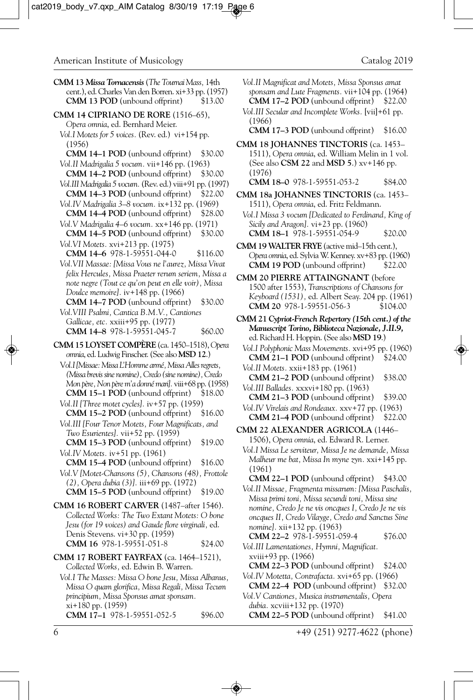- **CMM 13** *Missa Tornacensis* (*The Tournai Mass,* 14th cent.), ed. Charles Van den Borren. xi+33 pp. (1957) **CMM 13 POD** (unbound offprint)
- **CMM 14 CIPRIANO DE RORE** (1516–65), *Opera omnia*, ed. Bernhard Meier.
	- *Vol.I Motets for 5 voices.* (Rev. ed.) vi+154 pp. (1956)
	- **CMM 14–1 POD** (unbound offprint) \$30.00 *Vol.II Madrigalia 5 vocum.* vii+146 pp. (1963)
	- **CMM 14–2 POD** (unbound offprint) *Vol.III Madrigalia 5 vocum.* (Rev. ed.) viii+91 pp. (1997)
	- **CMM 14–3 POD** (unbound offprint) \$22.00 *Vol.IV Madrigalia 3–8 vocum.* ix+132 pp. (1969)
	- **CMM 14–4 POD** (unbound offprint) \$28.00
	- *Vol.V Madrigalia 4–6 vocum.* xx+146 pp. (1971) **CMM 14–5 POD** (unbound offprint) *Vol.VI Motets.* xvi+213 pp. (1975)
	- **CMM 14–6** 978-1-59551-044-0 \$116.00
	- *Vol.VII Massae: [Missa Vous ne l'aurez, Missa Vivat felix Hercules, Missa Praeter rerum seriem, Missa a note negre (Tout ce qu'on peut en elle voir), Missa Doulce memoire].* iv+148 pp. (1966)
	- **CMM 14–7 POD** (unbound offprint) \$30.00 *Vol.VIII Psalmi, Cantica B.M.V., Cantiones Gallicae, etc.* xxiii+95 pp. (1977) **CMM 14–8** 978-1-59551-045-7 \$60.00
- **CMM 15 LOYSET COMPÈRE** (ca. 1450–1518), *Opera omnia*, ed. Ludwig Finscher. (See also **MSD 12**.)
	- V*ol.I [Missae: Missa L'Homme armé, Missa Alles regrets, (Missa brevis sine nomine), Credo (sine nomine), Credo Mon père, Non père m'a donné mari].* viii+68 pp. (1958) **CMM 15–1 POD** (unbound offprint) \$18.00
	- *Vol.II [Three motet cycles].* iv+57 pp. (1959) **CMM 15–2 POD** (unbound offprint) \$16.00
	- *Vol.III [Four Tenor Motets, Four Magnificats, and Two Esurientes].* vii+52 pp. (1959)
	- **CMM 15–3 POD** (unbound offprint) \$19.00 *Vol.IV Motets.* iv+51 pp. (1961)
- **CMM 15–4 POD** (unbound offprint) \$16.00 *Vol.V [Motet-Chansons (5), Chansons (48), Frottole (2), Opera dubia (3)].* iii+69 pp. (1972) **CMM 15–5 POD** (unbound offprint) \$19.00
- **CMM 16 ROBERT CARVER** (1487–after 1546). *Collected Works: The Two Extant Motets: O bone Jesu (for 19 voices) and Gaude flore virginali,* ed. Denis Stevens. vi+30 pp. (1959) **CMM 16** 978-1-59551-051-8 \$24.00
- **CMM 17 ROBERT FAYRFAX** (ca. 1464–1521), *Collected Works,* ed. Edwin B. Warren.
	- *Vol.I The Masses: Missa O bone Jesu, Missa Albanus, Missa O quam glorifica, Missa Regali, Missa Tecum principium, Missa Sponsus amat sponsam.*  xi+180 pp. (1959) **CMM 17-1** 978-1-59551-052-5 \$96.00
- *Vol.II Magnificat and Motets, Missa Sponsus amat sponsam and Lute Fragments.* vii+104 pp. (1964) **CMM 17–2 POD** (unbound offprint)
- *Vol.III Secular and Incomplete Works.* [vii]+61 pp. (1966)
	- **CMM 17–3 POD** (unbound offprint) \$16.00
- **CMM 18 JOHANNES TINCTORIS** (ca. 1453– 1511), *Opera omnia*, ed. William Melin in 1 vol. (See also **CSM 22** and **MSD 5**.) xv+146 pp. (1976)
	- **CMM 18–0** 978-1-59551-053-2 \$84.00
- **CMM 18a JOHANNES TINCTORIS** (ca. 1453– 1511), *Opera omnia*, ed. Fritz Feldmann.
	- *Vol.I Missa 3 vocum [Dedicated to Ferdinand, King of Sicily and Aragon].* vi+23 pp. (1960) **CMM 18–1** 978-1-59551-054-9 \$20.00
- **CMM 19 WALTER FRYE** (active mid–15th cent.), *Opera omnia*, ed. Sylvia W. Kenney. xv+83 pp. (1960) **CMM 19 POD** (unbound offprint)
- **CMM 20 PIERRE ATTAINGNANT** (before 1500 after 1553), *Transcriptions of Chansons for Keyboard (1531),* ed. Albert Seay. 204 pp. (1961) **CMM 20** 978-1-59551-056-3
- **CMM 21** *Cypriot-French Repertory (15th cent.) of the Manuscript Torino, Biblioteca Nazionale, J.II.9,* ed. Richard H. Hoppin. (See also **MSD 19**.)
	- *Vol.I Polyphonic Mass Movements.* xvi+95 pp. (1960) **CMM 21–1 POD** (unbound offprint) \$24.00
	- *Vol.II Motets.* xxii+183 pp. (1961) **CMM 21–2 POD** (unbound offprint) \$38.00
	- *Vol.III Ballades.* xxxvi+180 pp. (1963) **CMM 21–3 POD** (unbound offprint) \$39.00
- *Vol.IV Virelais and Rondeaux.* xxv+77 pp. (1963) **CMM 21–4 POD** (unbound offprint) \$22.00
- **CMM 22 ALEXANDER AGRICOLA** (1446– 1506), *Opera omnia*, ed. Edward R. Lerner. *Vol.I Missa Le serviteur, Missa Je ne demande, Missa*
	- *Malheur me bat, Missa In myne zyn.* xxi+145 pp. (1961)
	- **CMM 22–1 POD** (unbound offprint) \$43.00 *Vol.II Missae, Fragmenta missarum: [Missa Paschalis, Missa primi toni, Missa secundi toni, Missa sine nomine, Credo Je ne vis oncques I, Credo Je ne vis oncques II, Credo Vilayge, Credo and Sanctus Sine nomine].* xii+132 pp. (1963)
		- **CMM 22–2** 978-1-59551-059-4 \$76.00
	- *Vol.III Lamentationes, Hymni, Magnificat.*  xviii+93 pp. (1966)
	- **CMM 22–3 POD** (unbound offprint) \$24.00 *Vol.IV Motetta, Contrafacta.* xvi+65 pp. (1966)
	- **CMM 22–4 POD** (unbound offprint) \$32.00

*Vol.V Cantiones, Musica instrumentalis, Opera dubia.* xcviii+132 pp. (1970)

**CMM 22–5 POD** (unbound offprint) \$41.00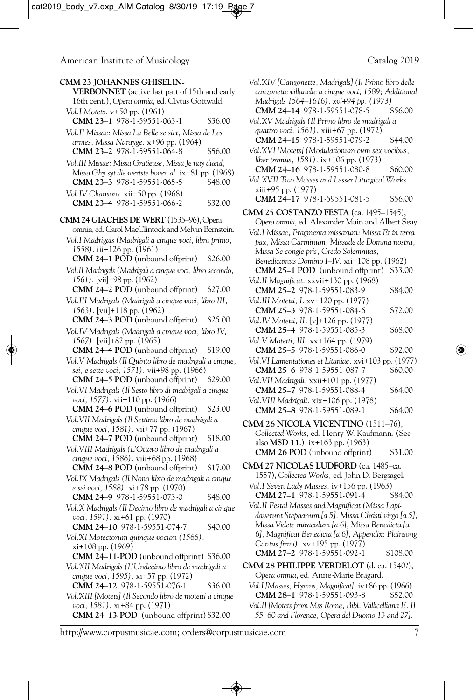**CMM 23 JOHANNES GHISELIN-VERBONNET** (active last part of 15th and early 16th cent.), *Opera omnia*, ed. Clytus Gottwald. *Vol.I Motets.* v+50 pp. (1961) **CMM 23-1** 978-1-59551-063-1 \$36.00 *Vol.II Missae: Missa La Belle se siet, Missa de Les armes, Missa Narayge.* x+96 pp. (1964) **CMM 23–2** 978-1-59551-064-8 \$56.00 *Vol.III Missae: Missa Gratieuse, Missa Je nay dueul, Missa Ghy syt die wertste boven al.* ix+81 pp. (1968) **CMM 23–3** 978-1-59551-065-5 \$48.00 *Vol.IV Chansons*. xii+50 pp. (1968) **CMM 23–4** 978-1-59551-066-2 \$32.00 **CMM 24 GIACHES DE WERT** (1535–96), Opera omnia, ed. Carol MacClintock and Melvin Bernstein. *Vol.I Madrigals (Madrigali a cinque voci, libro primo, 1558).* iii+126 pp. (1961) **CMM 24–1 POD** (unbound offprint) \$26.00 *Vol.II Madrigals (Madrigali a cinque voci, libro secondo, 1561).* [vii]+98 pp. (1962) **CMM 24–2 POD** (unbound offprint) \$27.00 *Vol.III Madrigals (Madrigali a cinque voci, libro III, 1563).* [vii]+118 pp. (1962) **CMM 24–3 POD** (unbound offprint) \$25.00 *Vol.IV Madrigals (Madrigali a cinque voci, libro IV, 1567).* [vii]+82 pp. (1965) **CMM 24–4 POD** (unbound offprint) \$19.00 *Vol.V Madrigals (Il Quinto libro de madrigali a cinque, sei, e sette voci, 1571).* vii+98 pp. (1966) **CMM 24–5 POD** (unbound offprint) \$29.00 *Vol.VI Madrigals (Il Sesto libro di madrigali a cinque voci, 1577).* vii+110 pp. (1966) **CMM 24–6 POD** (unbound offprint) \$23.00 *Vol.VII Madrigals (Il Settimo libro de madrigali a cinque voci, 1581).* vii+77 pp. (1967) **CMM 24–7 POD** (unbound offprint) \$18.00 *Vol.VIII Madrigals (L'Ottavo libro de madrigali a cinque voci, 1586).* viii+68 pp. (1968) **CMM 24–8 POD** (unbound offprint) \$17.00 *Vol.IX Madrigals (Il Nono libro de madrigali a cinque e sei voci, 1588).* xi+78 pp. (1970) **CMM 24-9** 978-1-59551-073-0 \$48.00 *Vol.X Madrigals (Il Decimo libro de madrigali a cinque voci, 1591).* xi+61 pp. (1970) **CMM 24-10** 978-1-59551-074-7 \$40.00 *Vol.XI Motectorum quinque vocum (1566).*  xi+108 pp. (1969) **CMM 24–11-POD** (unbound offprint) \$36.00 *Vol.XII Madrigals (L'Undecimo libro de madrigali a cinque voci, 1595).* xi+57 pp. (1972) **CMM 24-12** 978-1-59551-076-1 \$36.00 *Vol.XIII [Motets] (Il Secondo libro de motetti a cinque voci, 1581).* xi+84 pp. (1971) **CMM 24–13-POD** (unbound offprint) \$32.00

*Vol.XIV [Canzonette, Madrigals] (Il Primo libro delle canzonette villanelle a cinque voci, 1589; Additional Madrigals 1564–1616). xvi+94 pp. (1973)* **CMM 24-14 978-1-59551-078-5** *Vol.XV Madrigals (Il Primo libro de madrigali a quattro voci, 1561).* xiii+67 pp. (1972) **CMM 24-15** 978-1-59551-079-2 \$44.00 *Vol.XVI [Motets] (Modulationum cum sex vocibus, liber primus, 1581).* ix+106 pp. (1973) **CMM 24-16** 978-1-59551-080-8 \$60.00 *Vol.XVII Two Masses and Lesser Liturgical Works.* xiii+95 pp. (1977) **CMM 24-17** 978-1-59551-081-5 \$56.00 **CMM 25 COSTANZO FESTA** (ca. 1495–1545), *Opera omnia*, ed. Alexander Main and Albert Seay. *Vol.I Missae, Fragmenta missarum: Missa Et in terra pax, Missa Carminum, Missade de Domina nostra, Missa Se congie pris, Credo Solemnitas, Benedicamus Domino I–IV.* xii+108 pp. (1962) **CMM 25–1 POD** (unbound offprint) \$33.00 *Vol.II Magnificat.* xxvii+130 pp. (1968) **CMM 25-2** 978-1-59551-083-9 \$84.00 *Vol.III Motetti, I*. xv+120 pp. (1977) **CMM 25–3** 978-1-59551-084-6 \$72.00 *Vol.IV Motetti, II.* [v]+126 pp. (1977) **CMM 25-4** 978-1-59551-085-3 \$68.00 *Vol.V Motetti, III.* xx+164 pp. (1979) **CMM 25–5** 978-1-59551-086-0 \$92.00 *Vol.VI Lamentationes et Litaniae.* xvi+103 pp. (1977) **CMM 25–6** 978-1-59551-087-7 \$60.00 *Vol.VII Madrigali.* xxii+101 pp. (1977) **CMM 25-7** 978-1-59551-088-4 \$64.00 *Vol.VIII Madrigali.* xix+106 pp. (1978) **CMM 25–8** 978-1-59551-089-1 \$64.00 **CMM 26 NICOLA VICENTINO** (1511–76), *Collected Works,* ed. Henry W. Kaufmann. (See also **MSD 11**.) ix+163 pp. (1963) **CMM 26 POD** (unbound offprint) \$31.00 **CMM 27 NICOLAS LUDFORD** (ca. 1485–ca. 1557), *Collected Works,* ed. John D. Bergsagel. *Vol.I Seven Lady Masses.* iv+156 pp. (1963) **CMM 27–1** 978-1-59551-091-4 \$84.00 *Vol.II Festal Masses and Magnificat (Missa Lapidaverunt Stephanum [a 5], Missa Christi virgo [a 5], Missa Videte miraculum [a 6], Missa Benedicta [a 6], Magnificat Benedicta [a 6], Appendix: Plainsong Cantus firmi).* xv+195 pp. (1977) **CMM 27-2 978-1-59551-092-1 \$108.00 CMM 28 PHILIPPE VERDELOT** (d. ca. 1540?), *Opera omnia*, ed. Anne-Marie Bragard. *Vol.I [Masses, Hymns, Magnificat].* iv+86 pp. (1966) **CMM 28–1** 978-1-59551-093-8 \$52.00

*Vol.II [Motets from Mss Rome, Bibl. Vallicelliana E. II 55–60 and Florence, Opera del Duomo 13 and 27].*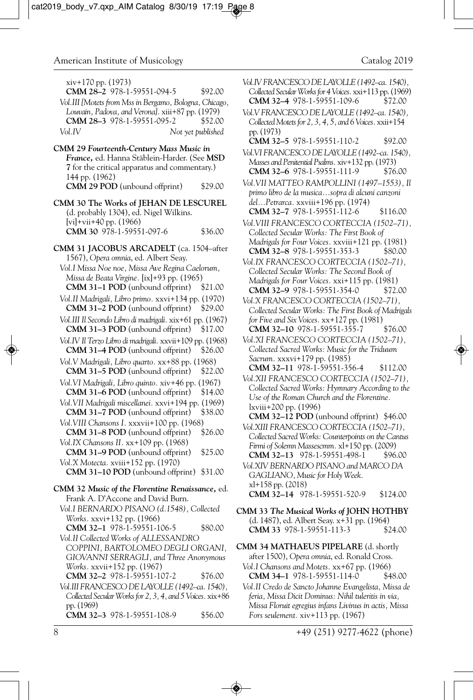xiv+170 pp. (1973) **CMM 28–2** 978-1-59551-094-5 \$92.00

- *Vol.III [Motets from Mss in Bergamo, Bologna, Chicago, Louvain, Padova, and Verona].* xiii+87 pp. (1979) **CMM 28–3** 978-1-59551-095-2 \$52.00 *Vol.IV Not yet published*
- **CMM 29** *Fourteenth-Century Mass Music in France,* ed. Hanna Stäblein-Harder. (See **MSD 7** for the critical apparatus and commentary.) 144 pp. (1962) **CMM 29 POD** (unbound offprint) \$29.00
- **CMM 30 The Works of JEHAN DE LESCUREL** (d. probably 1304), ed. Nigel Wilkins. [vi]+vii+40 pp. (1966) **CMM 30** 978-1-59551-097-6 \$36.00
- **CMM 31 JACOBUS ARCADELT** (ca. 1504–after 1567), *Opera omnia*, ed. Albert Seay.
- *Vol.I Missa Noe noe, Missa Ave Regina Caelorum, Missa de Beata Virgine.* [ix]+93 pp. (1965) **CMM 31–1 POD** (unbound offprint) \$21.00
- *Vol.II Madrigali, Libro primo.* xxvi+134 pp. (1970) **CMM 31–2 POD** (unbound offprint) \$29.00
- *Vol.III Il Secondo Libro di madrigali.* xix+61 pp. (1967) **CMM 31–3 POD** (unbound offprint) \$17.00
- *Vol.IV Il Terzo Libro di madrigali.* xxvii+109 pp. (1968) **CMM 31–4 POD** (unbound offprint) \$26.00
- *Vol.V Madrigali, Libro quarto.* xx+88 pp. (1968) **CMM 31–5 POD** (unbound offprint) \$22.00
- *Vol.VI Madrigali, Libro quinto.* xiv+46 pp. (1967) **CMM 31–6 POD** (unbound offprint) \$14.00
- *Vol.VII Madrigali miscellanei.* xxvi+194 pp. (1969)
- **CMM 31–7 POD** (unbound offprint) \$38.00 *Vol.VIII Chansons I.* xxxvii+100 pp. (1968)
- **CMM 31–8 POD** (unbound offprint) \$26.00 *Vol.IX Chansons II.* xx+109 pp. (1968)
- **CMM 31–9 POD** (unbound offprint) \$25.00 *Vol.X Motecta.* xviii+152 pp. (1970)
	- **CMM 31–10 POD** (unbound offprint) \$31.00
- **CMM 32** *Music of the Florentine Renaissance,* ed. Frank A. D'Accone and David Burn.
	- *Vol.I BERNARDO PISANO (d.1548), Collected Works.* xxvi+132 pp. (1966) **CMM 32–1** 978-1-59551-106-5 \$80.00
	- *Vol.II Collected Works of ALLESSANDRO COPPINI, BARTOLOMEO DEGLI ORGANI, GIOVANNI SERRAGLI, and Three Anonymous Works.* xxvii+152 pp. (1967)

**CMM 32–2** 978-1-59551-107-2 \$76.00

*Vol.III FRANCESCO DE LAYOLLE (1492–ca. 1540), Collected Secular Works for 2, 3, 4, and 5 Voices.* xix+86 pp. (1969) **CMM 32–3** 978-1-59551-108-9 \$56.00

- *Vol.IV FRANCESCO DE LAYOLLE (1492–ca. 1540), Collected Secular Works for 4 Voices.* xxi+113 pp. (1969) **CMM 32-4 978-1-59551-109-6**
- *Vol.V FRANCESCO DE LAYOLLE (1492–ca. 1540), Collected Motets for 2, 3, 4, 5, and 6 Voices.* xxii+154 pp. (1973)
	- **CMM 32–5** 978-1-59551-110-2 \$92.00
- *Vol.VI FRANCESCO DE LAYOLLE (1492–ca. 1540), Masses and Penitential Psalms.* xiv+132 pp. (1973) **CMM 32–6** 978-1-59551-111-9 \$76.00
- *Vol.VII MATTEO RAMPOLLINI (1497–1553), Il primo libro de la musica...sopra di alcuni canzoni del...Petrarca.* xxviii+196 pp. (1974) **CMM 32–7** 978-1-59551-112-6 \$116.00
- *Vol.VIII FRANCESCO CORTECCIA (1502–71), Collected Secular Works: The First Book of Madrigals for Four Voices.* xxviii+121 pp. (1981) **CMM 32–8** 978-1-59551-353-3 \$80.00
- *Vol.IX FRANCESCO CORTECCIA (1502–71), Collected Secular Works: The Second Book of Madrigals for Four Voices.* xxi+115 pp. (1981) **CMM 32-9 978-1-59551-354-0**
- *Vol.X FRANCESCO CORTECCIA (1502–71), Collected Secular Works: The First Book of Madrigals for Five and Six Voices.* xx+127 pp. (1981) **CMM 32–10** 978-1-59551-355-7 \$76.00
- *Vol.XI FRANCESCO CORTECCIA (1502–71), Collected Sacred Works: Music for the Triduum Sacrum.* xxxvi+179 pp. (1985) **CMM 32–11** 978-1-59551-356-4 \$112.00
- *Vol.XII FRANCESCO CORTECCIA (1502–71), Collected Sacred Works: Hymnary According to the Use of the Roman Church and the Florentine.*  lxviii+200 pp. (1996)
- **CMM 32–12 POD** (unbound offprint) \$46.00 *Vol.XIII FRANCESCO CORTECCIA (1502–71),*
- *Collected Sacred Works: Counterpoints on the Cantus Firmi of Solemn Massescmm.* xl+150 pp. (2009) **CMM 32–13** 978-1-59551-498-1 \$96.00
- *Vol.XIV BERNARDO PISANO and MARCO DA GAGLIANO, Music for Holy Week.*  xl+158 pp. (2018) **CMM 32–14** 978-1-59551-520-9 \$124.00
- **CMM 33** *The Musical Works of* **JOHN HOTHBY** (d. 1487), ed. Albert Seay. x+31 pp. (1964) **CMM 33** 978-1-59551-113-3 \$24.00
- **CMM 34 MATHAEUS PIPELARE** (d. shortly after 1500), *Opera omnia*, ed. Ronald Cross. *Vol.I Chansons and Motets.* xx+67 pp. (1966) **CMM 34–1** 978-1-59551-114-0 \$48.00
	- *Vol.II Credo de Sancto Johanne Evangelista, Missa de feria, Missa Dicit Dominus: Nihil tuleritis in via, Missa Floruit egregius infans Livinus in actis, Missa Fors seulement.* xiv+113 pp. (1967)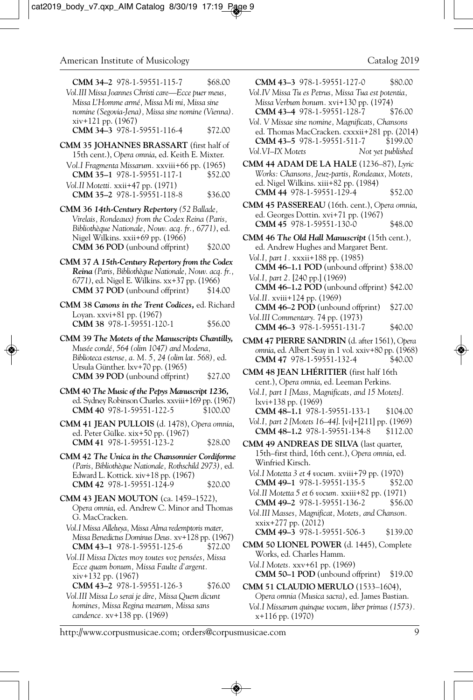| Vol.III Missa Joannes Christi care—Ecce puer meus,<br>Missa L'Homme armé, Missa Mi mi, Missa sine<br>nomine (Segovia-Jena), Missa sine nomine (Vienna).<br>$xiv+121$ pp. $(1967)$ |         |  |
|-----------------------------------------------------------------------------------------------------------------------------------------------------------------------------------|---------|--|
| CMM 34-3 978-1-59551-116-4                                                                                                                                                        | \$72.00 |  |
| <b>CMM 35 JOHANNES BRASSART</b> (first half of<br>15th cent.), Opera omnia, ed. Keith E. Mixter.<br>Vol.I Fragmenta Missarum. xxviii+66 pp. (1965)                                |         |  |
| CMM 35-1 978-1-59551-117-1                                                                                                                                                        | \$52.00 |  |
| Vol.II Motetti. xxii+47 pp. (1971)<br>CMM 35-2 978-1-59551-118-8                                                                                                                  | \$36.00 |  |

**CMM 34–2** 978-1-59551-115-7 \$68.00

- **CMM 36** *14th-Century Repertory (52 Ballade, Virelais, Rondeaux) from the Codex Reina (Paris, Bibliothèque Nationale, Nouv. acq. fr., 6771)*, ed. Nigel Wilkins. xxii+69 pp. (1966) **CMM 36 POD** (unbound offprint) \$20.00
- **CMM 37** *A 15th-Century Repertory from the Codex Reina (Paris, Bibliothèque Nationale, Nouv. acq. fr., 6771)*, ed. Nigel E. Wilkins. xx+37 pp. (1966) **CMM 37 POD** (unbound offprint)
- **CMM 38** *Canons in the Trent Codices,* ed. Richard Loyan. xxvi+81 pp. (1967) **CMM 38** 978-1-59551-120-1 \$56.00
- **CMM 39** *The Motets of the Manuscripts Chantilly, Musée condé, 564 (olim 1047) and Modena, Biblioteca estense, a. M. 5, 24 (olim lat. 568),* ed. Ursula Günther. lxv+70 pp. (1965) **CMM 39 POD** (unbound offprint) \$27.00
- **CMM 40** *The Music of the Pepys Manuscript 1236,* ed. Sydney Robinson Charles. xxviii+169 pp. (1967) **CMM 40** 978-1-59551-122-5 \$100.00
- **CMM 41 JEAN PULLOIS** (d. 1478), *Opera omnia*, ed. Peter Gülke. xix+50 pp. (1967) **CMM 41** 978-1-59551-123-2 \$28.00
- **CMM 42** *The Unica in the Chansonnier Cordiforme (Paris, Bibliothèque Nationale, Rothschild 2973),* ed. Edward L. Kottick. xiv+18 pp. (1967) **CMM 42** 978-1-59551-124-9 \$20.00
- **CMM 43 JEAN MOUTON** (ca. 1459–1522), *Opera omnia*, ed. Andrew C. Minor and Thomas G. MacCracken.
	- *Vol.I Missa Alleluya, Missa Alma redemptoris mater, Missa Benedictus Dominus Deus.* xv+128 pp. (1967) **CMM 43-1** 978-1-59551-125-6 \$72.00
	- *Vol.II Missa Dictes moy toutes voz pensées, Missa Ecce quam bonum, Missa Faulte d'argent.* xiv+132 pp. (1967) **CMM 43–2** 978-1-59551-126-3 \$76.00
	- *Vol.III Missa Lo serai je dire, Missa Quem dicunt homines, Missa Regina mearum, Missa sans candence.* xv+138 pp. (1969)

**CMM 43–3** 978-1-59551-127-0 \$80.00

- *Vol.IV Missa Tu es Petrus, Missa Tua est potentia, Missa Verbum bonum.* xvi+130 pp. (1974) **CMM 43-4** 978-1-59551-128-7 \$76.00
- *Vol. V Missae sine nomine, Magnificats, Chansons*  ed. Thomas MacCracken. cxxxii+281 pp. (2014)<br>**CMM 43–5** 978-1-59551-511-7 \$199.00 **CMM 43-5** 978-1-59551-511-7 *Vol.VI–IX Motets Not yet published*
- **CMM 44 ADAM DE LA HALE** (1236–87), *Lyric Works: Chansons, Jeuz-partis, Rondeaux, Motets,* ed. Nigel Wilkins. xiii+82 pp. (1984) **CMM 44** 978-1-59551-129-4 \$52.00
- **CMM 45 PASSEREAU** (16th. cent.), *Opera omnia*, ed. Georges Dottin. xvi+71 pp. (1967) **CMM 45** 978-1-59551-130-0 \$48.00
- **CMM 46** *The Old Hall Manuscript* (15th cent.)*,* ed. Andrew Hughes and Margaret Bent. *Vol.I, part 1.* xxxii+188 pp. (1985) **CMM 46–1.1 POD** (unbound offprint) \$38.00 *Vol.I, part 2.* [240 pp.] (1969) **CMM 46–1.2 POD** (unbound offprint) \$42.00 *Vol.II.* xviii+124 pp. (1969) **CMM 46–2 POD** (unbound offprint) \$27.00
	- *Vol.III Commentary.* 74 pp. (1973) **CMM 46–3** 978-1-59551-131-7 \$40.00
- **CMM 47 PIERRE SANDRIN** (d. after 1561), *Opera omnia*, ed. Albert Seay in 1 vol. xxiv+80 pp. (1968) **CMM 47 978-1-59551-132-4**
- **CMM 48 JEAN LHÉRITIER** (first half 16th cent.), *Opera omnia*, ed. Leeman Perkins.
	- *Vol.I, part 1 [Mass, Magnificats, and 15 Motets].*  lxvi+138 pp. (1969) **CMM 48-1.1** 978-1-59551-133-1 \$104.00
	- *Vol.I, part 2 [Motets 16–44]*. [vi]+[211] pp. (1969) **CMM 48-1.2** 978-1-59551-134-8 \$112.00
- **CMM 49 ANDREAS DE SILVA** (last quarter, 15th–first third, 16th cent.), *Opera omnia*, ed. Winfried Kirsch.
	- *Vol.I Motetta 3 et 4 vocum.* xviii+79 pp. (1970) **CMM 49-1** 978-1-59551-135-5 \$52.00
	- *Vol.II Motetta 5 et 6 vocum.* xxiii+82 pp. (1971) **CMM 49–2** 978-1-59551-136-2 \$56.00
	- *Vol.III Masses, Magnificat, Motets, and Chanson.* xxix+277 pp. (2012) **CMM 49–3** 978-1-59551-506-3 \$139.00
- **CMM 50 LIONEL POWER** (d. 1445), Complete Works, ed. Charles Hamm.
	- *Vol.I Motets.* xxv+61 pp. (1969) **CMM 50–1 POD** (unbound offprint) \$19.00
- **CMM 51 CLAUDIO MERULO** (1533–1604), *Opera omnia (Musica sacra)*, ed. James Bastian. *Vol.I Missarum quinque vocum, liber primus (1573).* x+116 pp. (1970)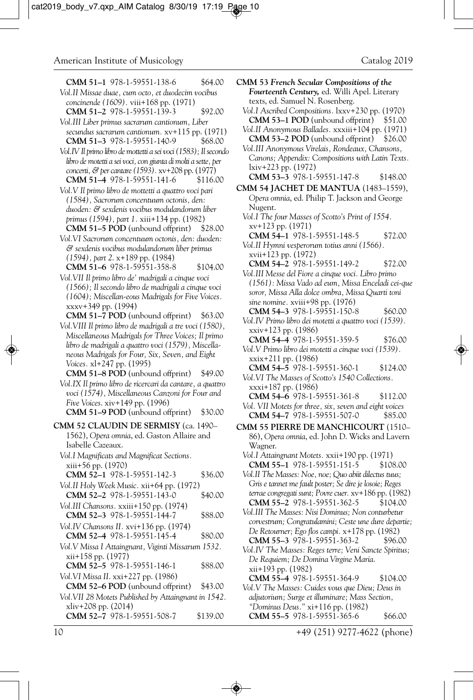| \$64.00                                                                                          |                                                                                                  |
|--------------------------------------------------------------------------------------------------|--------------------------------------------------------------------------------------------------|
| CMM 51-1 978-1-59551-138-6<br>Vol.II Missae duae, cum octo, et duodecim vocibus                  | CMM 53 French Secular Compositions of the<br><b>Fourteenth Century, ed. Willi Apel. Literary</b> |
| concinende (1609). viii+168 pp. (1971)                                                           | texts, ed. Samuel N. Rosenberg.                                                                  |
| CMM 51-2 978-1-59551-139-3<br>\$92.00                                                            | Vol.I Ascribed Compositions. 1xxv+230 pp. (1970)                                                 |
| Vol.III Liber primus sacrarum cantionum, Liber                                                   | <b>CMM 53–1 POD</b> (unbound offprint)<br>\$51.00                                                |
| secundus sacrarum cantionum. xv+115 pp. (1971)                                                   | Vol.II Anonymous Ballades. xxxiii+104 pp. (1971)                                                 |
| CMM 51-3 978-1-59551-140-9<br>\$68.00                                                            | CMM 53-2 POD (unbound offprint)<br>\$26.00                                                       |
| Vol. IV Il primo libro de mottetti a sei voci (1583); Il secondo                                 | Vol.III Anonymous Virelais, Rondeaux, Chansons,                                                  |
| libro de motetti a sei voci, con giunta di molti a sette, per                                    | Canons; Appendix: Compositions with Latin Texts.                                                 |
| concerti, & per cantare (1593). xv+208 pp. (1977)                                                | lxiv+223 pp. (1972)                                                                              |
| CMM 51-4 978-1-59551-141-6<br>\$116.00                                                           | CMM 53-3 978-1-59551-147-8<br>\$148.00                                                           |
| Vol.V Il primo libro de mottetti a quattro voci pari                                             | CMM 54 JACHET DE MANTUA (1483-1559),                                                             |
| (1584), Sacrorum concentuum octonis, den:                                                        | Opera omnia, ed. Philip T. Jackson and George                                                    |
| duoden: & sexdenis vocibus modulandorum liber                                                    | Nugent.<br>Vol.I The four Masses of Scotto's Print of 1554.                                      |
| primus (1594), part 1. xiii+134 pp. (1982)                                                       | $xy+123$ pp. $(1971)$                                                                            |
| $CMM$ 51–5 POD (unbound offprint)<br>\$28.00                                                     | CMM 54-1 978-1-59551-148-5<br>\$72.00                                                            |
| Vol. VI Sacrorum concentuum octonis, den: duoden:                                                | Vol.II Hymni vesperorum totius anni (1566).                                                      |
| $\mathcal C$ sexdenis vocibus modulandorum liber primus<br>$(1594)$ , part 2. x+189 pp. $(1984)$ | xvii+123 pp. (1972)                                                                              |
| CMM 51-6 978-1-59551-358-8<br>\$104.00                                                           | CMM 54-2 978-1-59551-149-2<br>\$72.00                                                            |
| Vol.VII Il primo libro de' madrigali a cinque voci                                               | Vol.III Messe del Fiore a cinque voci. Libro primo                                               |
| (1566); Il secondo libro de madrigali a cinque voci                                              | (1561): Missa Vado ad eum, Missa Enceladi cei-que                                                |
| (1604); Miscellan-eous Madrigals for Five Voices.                                                | soror, Missa Alla dolce ombra, Missa Quarti toni                                                 |
| xxxv+349 pp. (1994)                                                                              | sine nomine. xviii+98 pp. (1976)<br>CMM 54-3 978-1-59551-150-8<br>\$60.00                        |
| <b>CMM 51-7 POD</b> (unbound offprint)<br>\$63.00                                                | Vol.IV Primo libro dei motetti a quattro voci (1539).                                            |
| Vol. VIII Il primo libro de madrigali a tre voci (1580),                                         | xxiv+123 pp. (1986)                                                                              |
| Miscellaneous Madrigals for Three Voices; Il primo                                               | CMM 54-4 978-1-59551-359-5<br>\$76.00                                                            |
| libro de madrigali a quattro voci (1579), Miscella-                                              | Vol.V Primo libro dei motetti a cinque voci (1539).                                              |
| neous Madrigals for Four, Six, Seven, and Eight                                                  | xxix+211 pp. (1986)                                                                              |
| Voices. xl+247 pp. (1995)<br><b>CMM 51–8 POD</b> (unbound offprint)<br>\$49.00                   | CMM 54-5 978-1-59551-360-1<br>\$124.00                                                           |
| Vol.IX Il primo libro de ricercari da cantare, a quattro                                         | Vol.VI The Masses of Scotto's 1540 Collections.                                                  |
| voci (1574), Miscellaneous Canzoni for Four and                                                  | xxxi+187 pp. (1986)                                                                              |
| <i>Five Voices.</i> xiv+149 pp. (1996)                                                           | CMM 54-6 978-1-59551-361-8<br>\$112.00<br>Vol. VII Motets for three, six, seven and eight voices |
| CMM 51-9 POD (unbound offprint)<br>\$30.00                                                       | CMM 54-7 978-1-59551-507-0<br>\$85.00                                                            |
| CMM 52 CLAUDIN DE SERMISY (ca. 1490-                                                             | CMM 55 PIERRE DE MANCHICOURT (1510-                                                              |
| 1562), Opera omnia, ed. Gaston Allaire and                                                       | 86), Opera omnia, ed. John D. Wicks and Lavern                                                   |
| Isabelle Cazeaux.                                                                                | Wagner.                                                                                          |
| Vol.I Magnificats and Magnificat Sections.                                                       | Vol.I Attaingnant Motets. xxii+190 pp. (1971)                                                    |
| xiii+56 pp. (1970)                                                                               | CMM 55-1 978-1-59551-151-5<br>\$108.00                                                           |
| <b>CMM 52–1</b> 978-1-59551-142-3<br>\$36.00                                                     | Vol.II The Masses: Noe, noe; Quo abiit dilectus tuus;                                            |
| Vol.II Holy Week Music. xii+64 pp. (1972)                                                        | Gris e tannet me fault poster; Se dire je losoie; Reges                                          |
| CMM 52-2 978-1-59551-143-0<br>\$40.00                                                            | terrae congregati sunt; Povre cuer. xv+186 pp. (1982)<br>CMM 55-2 978-1-59551-362-5<br>\$104.00  |
| Vol. III Chansons. xxiii+150 pp. (1974)                                                          | Vol.III The Masses: Nisi Dominus; Non conturbetur                                                |
| CMM 52-3 978-1-59551-144-7<br>\$88.00                                                            | corvestrum; Congratulamini; Ceste une dure departie;                                             |
| Vol. IV Chansons II. xvi+136 pp. (1974)                                                          | De Retourner; Ego flos campi. x+178 pp. (1982)                                                   |
| CMM 52-4 978-1-59551-145-4<br>\$80.00                                                            | CMM 55-3 978-1-59551-363-2<br>\$96.00                                                            |
| Vol.V Missa I Attaingnant, Viginti Missarum 1532.<br>xii+158 pp. (1977)                          | Vol.IV The Masses: Reges terre; Veni Sancte Spiritus;                                            |
| CMM 52-5 978-1-59551-146-1<br>\$88.00                                                            | De Requiem; De Domina Virgine Maria.                                                             |
| Vol. VI Missa II. xxi+227 pp. (1986)                                                             | xii+193 pp. (1982)                                                                               |
| CMM 52-6 POD (unbound offprint)<br>\$43.00                                                       | CMM 55-4 978-1-59551-364-9<br>\$104.00<br>Vol.V The Masses: Cuides vous que Dieu; Deus in        |
| Vol. VII 28 Motets Published by Attaingnant in 1542.                                             | adjutorium; Surge et illuminare; Mass Section,                                                   |
| xliv+208 pp. (2014)                                                                              | "Dominus Deus." xi+116 pp. (1982)                                                                |
| CMM 52-7 978-1-59551-508-7<br>\$139.00                                                           | CMM 55-5 978-1-59551-365-6<br>\$66.00                                                            |
|                                                                                                  |                                                                                                  |

10 +49 (251) 9277-4622 (phone)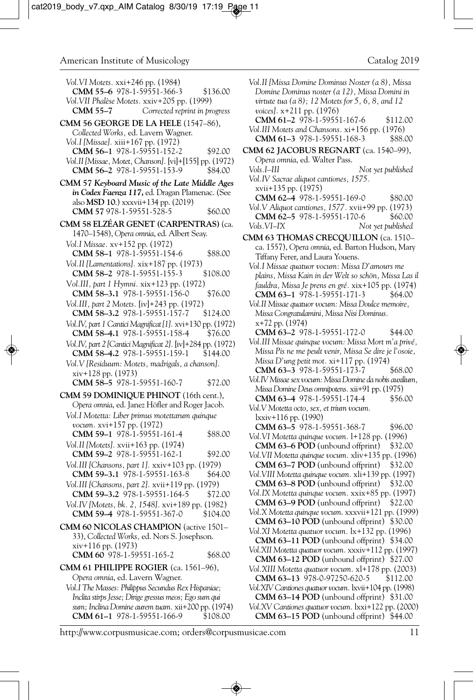*Vol.VI Motets.* xxi+246 pp. (1984) **CMM 55–6** 978-1-59551-366-3 \$136.00 *Vol.VII Phalèse Motets.* xxiv+205 pp. (1999) Corrected reprint in progress **CMM 56 GEORGE DE LA HELE** (1547–86), *Collected Works,* ed. Lavern Wagner. *Vol.I [Missae].* xiii+167 pp. (1972) **CMM 56–1** 978-1-59551-152-2 \$92.00 *Vol.II [Missae, Motet, Chanson].* [vi]+[155] pp. (1972) **CMM 56–2** 978-1-59551-153-9 \$84.00 **CMM 57** *Keyboard Music of the Late Middle Ages in Codex Faenza 117***,** ed. Dragan Plamenac. (See also **MSD 10**.) xxxvii+134 pp. (2019) **CMM 57** 978-1-59551-528-5 \$60.00 **CMM 58 ELZÉAR GENET (CARPENTRAS)** (ca. 1470–1548), *Opera omnia*, ed. Albert Seay. *Vol.I Missae.* xv+152 pp. (1972) **CMM 58–1** 978-1-59551-154-6 \$88.00 *Vol.II [Lamentations].* xix+187 pp. (1973) **CMM 58–2** 978-1-59551-155-3 \$108.00 V*ol.III, part 1 Hymni.* xix+123 pp. (1972) **CMM 58–3.1** 978-1-59551-156-0 \$76.00 *Vol.III, part 2 Motets.* [iv]+243 pp. (1972) **CMM 58–3.2** 978-1-59551-157-7 \$124.00 *Vol.IV, part 1 Cantici Magnificat [1].* xvi+130 pp. (1972) **CMM 58–4.1** 978-1-59551-158-4 \$76.00 *Vol.IV, part 2 [Cantici Magnificat 2].* [iv]+284 pp. (1972) **CMM 58-4.2** 978-1-59551-159-1 *Vol.V [Residuum: Motets, madrigals, a chanson].*  xiv+128 pp. (1973) **CMM 58–5** 978-1-59551-160-7 \$72.00 **CMM 59 DOMINIQUE PHINOT** (16th cent.), *Opera omnia*, ed. Janez Höfler and Roger Jacob. *Vol.I Motetta: Liber primus motettarum quinque vocum.* xvi+157 pp. (1972) **CMM 59–1** 978-1-59551-161-4 \$88.00 *Vol.II [Motets].* xvii+163 pp. (1974) **CMM 59–2** 978-1-59551-162-1 \$92.00 *Vol.III [Chansons, part 1].* xxiv+103 pp. (1979) **CMM 59-3.1** 978-1-59551-163-8 \$64.00 *Vol.III [Chansons, part 2].* xvii+119 pp. (1979) **CMM 59–3.2** 978-1-59551-164-5 \$72.00 *Vol.IV [Motets, bk. 2, 1548].* xvi+189 pp. (1982) **CMM 59-4 978-1-59551-367-0 CMM 60 NICOLAS CHAMPION** (active 1501– 33), *Collected Works,* ed. Nors S. Josephson. xiv+116 pp. (1973) **CMM 60** 978-1-59551-165-2 \$68.00 **CMM 61 PHILIPPE ROGIER** (ca. 1561–96), *Opera omnia*, ed. Lavern Wagner. *Vol.I The Masses: Philippus Secundus Rex Hispaniae; Inclita stirps Jesse; Dirige gressus meos; Ego sum qui sum; Inclina Domine aurem tuam.* xii+200 pp. (1974) **CMM 61-1** 978-1-59551-166-9 \$108.00

*Vol.II [Missa Domine Dominus Noster (a 8), Missa Domine Dominus noster (a 12), Missa Domini in virtute tua (a 8); 12 Motets for 5, 6, 8, and 12 voices].* x+211 pp. (1976) **CMM 61–2** 978-1-59551-167-6 \$112.00 *Vol.III Motets and Chansons.* xi+156 pp. (1976) **CMM 61-3** 978-1-59551-168-3 **CMM 62 JACOBUS REGNART** (ca. 1540–99), *Opera omnia*, ed. Walter Pass. *Vols.I–III Not yet published Vol.IV Sacrae aliquot cantiones, 1575.* xvii+135 pp. (1975) **CMM 62-4** 978-1-59551-169-0 \$80.00 *Vol.V Aliquot cantiones, 1577.* xvii+99 pp. (1973) **CMM 62-5** 978-1-59551-170-6 \$60.00 *Vols.VI–IX Not yet published* **CMM 63 THOMAS CRECQUILLON** (ca. 1510– ca. 1557), *Opera omnia*, ed. Barton Hudson, Mary Tiffany Ferer, and Laura Youens. *Vol.I Missae quatuor vocum: Missa D'amours me plains, Missa Kain in der Welt so schön, Missa Las il fauldra, Missa Je prens en gré.* xix+105 pp. (1974) **CMM 63-1** 978-1-59551-171-3 \$64.00 *Vol.II Missae quatuor vocum: Missa Doulce memoire, Missa Congratulamini, Missa Nisi Dominus.* x+72 pp. (1974) **CMM 63–2** 978-1-59551-172-0 \$44.00 *Vol.III Missae quinque vocum: Missa Mort m'a privé, Missa Pis ne me peult venir, Missa Se dire je l'osoie, Missa D'ung petit mot.* xi+117 pp. (1974) **CMM 63–3** 978-1-59551-173-7 \$68.00 *Vol.IV Missae sex vocum: Missa Domine da nobis auxilium, Missa Domine Deus omnipotens.* xii+91 pp. (1975) **CMM 63–4** 978-1-59551-174-4 \$56.00 *Vol.V Motetta octo, sex, et trium vocum.*  lxxiv+116 pp. (1990) **CMM 63-5** 978-1-59551-368-7 \$96.00 *Vol.VI Motetta quinque vocum.* l+128 pp. (1996) **CMM 63–6 POD** (unbound offprint) \$32.00 *Vol.VII Motetta quinque vocum.* xliv+135 pp. (1996) **CMM 63–7 POD** (unbound offprint) \$32.00 *Vol.VIII Motetta quinque vocum.* xli+139 pp. (1997) **CMM 63–8 POD** (unbound offprint) \$32.00 *Vol.IX Motetta quinque vocum.* xxix+85 pp. (1997) **CMM 63–9 POD** (unbound offprint) \$22.00 *Vol.X Motetta quinque vocum*. xxxvii+121 pp. (1999) **CMM 63–10 POD** (unbound offprint) \$30.00 *Vol.XI Motetta quatuor vocum.* lx+132 pp. (1996) **CMM 63–11 POD** (unbound offprint) \$34.00 *Vol.XII Motetta quatuor vocum.* xxxiv+112 pp. (1997) **CMM 63–12 POD** (unbound offprint) \$27.00 *Vol.XIII Motetta quatuor vocum.* xl+178 pp. (2003) **CMM 63–13** 978-0-97250-620-5 \$112.00 *Vol.XIV Cantiones quatuor vocum.* lxvii+104 pp. (1998) **CMM 63–14 POD** (unbound offprint) \$31.00

*Vol.XV Cantiones quatuor vocum.* lxxi+122 pp. (2000) **CMM 63–15 POD** (unbound offprint) \$44.00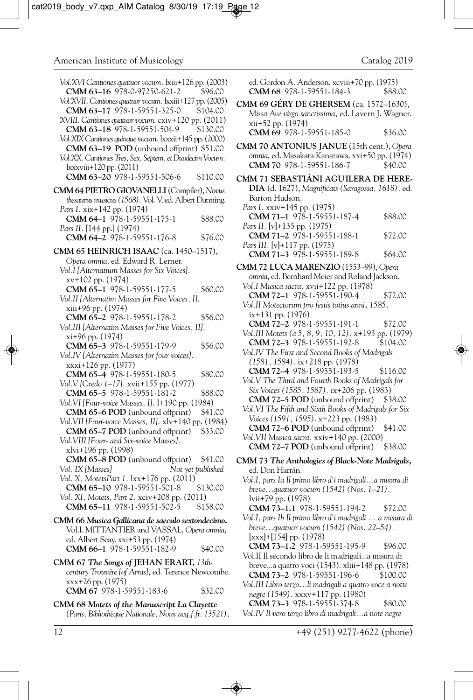| Vol.XVI Cantiones quatuor vocum. lxiii+126 pp. (2003)<br>CMM 63-16 978-0-97250-621-2<br>Vol.XVII. Cantiones quatuor vocum. lxxiii+127 pp. (2005)<br>CMM 63-17 978-1-59551-325-0<br>XVIII. Cantiones quatuor vocum. cxiv+120 pp. (2011)<br>CMM 63-18 978-1-59551-504-9<br>Vol.XIX Cantiones quinque vocum. lxxxii+145 pp. (2000)<br><b>CMM 63-19 POD</b> (unbound offprint) \$51.00<br>Vol.XX. Cantiones Tres, Sex, Septem, et Duodecim Vocum.<br>lxxxviii+120 pp. (2011)<br>CMM 63-20 978-1-59551-506-6 | \$96.00<br>\$104.00<br>\$130.00<br>\$110.00 |
|---------------------------------------------------------------------------------------------------------------------------------------------------------------------------------------------------------------------------------------------------------------------------------------------------------------------------------------------------------------------------------------------------------------------------------------------------------------------------------------------------------|---------------------------------------------|
| CMM 64 PIETRO GIOVANELLI (Compiler), Novus                                                                                                                                                                                                                                                                                                                                                                                                                                                              |                                             |
| thesaurus musicus (1568). Vol. V, ed. Albert Dunning.                                                                                                                                                                                                                                                                                                                                                                                                                                                   |                                             |
| Pars I. xix+142 pp. (1974)                                                                                                                                                                                                                                                                                                                                                                                                                                                                              |                                             |
| CMM 64-1 978-1-59551-175-1                                                                                                                                                                                                                                                                                                                                                                                                                                                                              | \$88.00                                     |
| Pars II. [144 pp.] (1974)                                                                                                                                                                                                                                                                                                                                                                                                                                                                               |                                             |
| CMM 64-2 978-1-59551-176-8                                                                                                                                                                                                                                                                                                                                                                                                                                                                              | \$76.00                                     |
|                                                                                                                                                                                                                                                                                                                                                                                                                                                                                                         |                                             |
| CMM 65 HEINRICH ISAAC (ca. 1450-1517),<br>Opera omnia, ed. Edward R. Lerner.                                                                                                                                                                                                                                                                                                                                                                                                                            |                                             |
|                                                                                                                                                                                                                                                                                                                                                                                                                                                                                                         |                                             |
| Vol.I [Alternatium Masses for Six Voices].                                                                                                                                                                                                                                                                                                                                                                                                                                                              |                                             |
| xv+102 pp. (1974)                                                                                                                                                                                                                                                                                                                                                                                                                                                                                       |                                             |
| CMM 65-1 978-1-59551-177-5                                                                                                                                                                                                                                                                                                                                                                                                                                                                              | \$60.00                                     |
| Vol.II [Alternatim Masses for Five Voices, I].                                                                                                                                                                                                                                                                                                                                                                                                                                                          |                                             |
| xiii+96 pp. (1974)<br>CMM 65-2 978-1-59551-178-2                                                                                                                                                                                                                                                                                                                                                                                                                                                        |                                             |
| Vol.III [Alternatim Masses for Five Voices, II].                                                                                                                                                                                                                                                                                                                                                                                                                                                        | \$56.00                                     |
| xi+96 pp. (1974)                                                                                                                                                                                                                                                                                                                                                                                                                                                                                        |                                             |
| CMM 65-3 978-1-59551-179-9                                                                                                                                                                                                                                                                                                                                                                                                                                                                              | \$56.00                                     |
| Vol.IV [Alternatim Masses for four voices].                                                                                                                                                                                                                                                                                                                                                                                                                                                             |                                             |
| xxxi+126 pp. (1977)                                                                                                                                                                                                                                                                                                                                                                                                                                                                                     |                                             |
| CMM 65-4 978-1-59551-180-5                                                                                                                                                                                                                                                                                                                                                                                                                                                                              | \$80.00                                     |
| Vol.V [Credo 1–17]. xvii+155 pp. (1977)                                                                                                                                                                                                                                                                                                                                                                                                                                                                 |                                             |
| CMM 65-5 978-1-59551-181-2                                                                                                                                                                                                                                                                                                                                                                                                                                                                              | \$88.00                                     |
| Vol. VI [Four-voice Masses, I]. 1+190 pp. (1984)                                                                                                                                                                                                                                                                                                                                                                                                                                                        |                                             |
| CMM 65-6 POD (unbound offprint)                                                                                                                                                                                                                                                                                                                                                                                                                                                                         | \$41.00                                     |
| Vol. VII [Four-voice Masses, II]. xlv+140 pp. (1984)                                                                                                                                                                                                                                                                                                                                                                                                                                                    |                                             |
| CMM 65-7 POD (unbound offprint)                                                                                                                                                                                                                                                                                                                                                                                                                                                                         | \$33.00                                     |
| Vol.VIII [Four- and Six-voice Masses].                                                                                                                                                                                                                                                                                                                                                                                                                                                                  |                                             |
| xlvi+196 pp. (1998)                                                                                                                                                                                                                                                                                                                                                                                                                                                                                     |                                             |
| CMM 65-8 POD (unbound offprint)                                                                                                                                                                                                                                                                                                                                                                                                                                                                         | \$41.00                                     |
| Vol. IX [Masses]<br>Not yet published                                                                                                                                                                                                                                                                                                                                                                                                                                                                   |                                             |
| Vol. X, MotetsPart 1. lxx+176 pp. (2011)                                                                                                                                                                                                                                                                                                                                                                                                                                                                |                                             |
| CMM 65-10 978-1-59551-501-8                                                                                                                                                                                                                                                                                                                                                                                                                                                                             | \$130.00                                    |
| Vol. XI, Motets, Part 2. xciv+208 pp. (2011)                                                                                                                                                                                                                                                                                                                                                                                                                                                            |                                             |
| CMM 65-11 978-1-59551-502-5                                                                                                                                                                                                                                                                                                                                                                                                                                                                             | \$158.00                                    |
| CMM 66 Musica Gallicana de saeculo sextondecimo.                                                                                                                                                                                                                                                                                                                                                                                                                                                        |                                             |
| Vol.I. MITTANTIER and VASSAL, Opera omnia,                                                                                                                                                                                                                                                                                                                                                                                                                                                              |                                             |
| ed. Albert Seay. xxi+53 pp. (1974)                                                                                                                                                                                                                                                                                                                                                                                                                                                                      |                                             |
| CMM 66-1 978-1-59551-182-9                                                                                                                                                                                                                                                                                                                                                                                                                                                                              | \$40.00                                     |
|                                                                                                                                                                                                                                                                                                                                                                                                                                                                                                         |                                             |
| CMM 67 The Songs of JEHAN ERART, 13th-<br>century Trouvére [of Arras], ed. Terence Newcombe.                                                                                                                                                                                                                                                                                                                                                                                                            |                                             |
| xxx+26 pp. (1975)                                                                                                                                                                                                                                                                                                                                                                                                                                                                                       |                                             |
| CMM 67 978-1-59551-183-6                                                                                                                                                                                                                                                                                                                                                                                                                                                                                | \$32.00                                     |
|                                                                                                                                                                                                                                                                                                                                                                                                                                                                                                         |                                             |

**CMM 68** *Motets of the Manuscript La Clayette (Paris, Bibliothèque Nationale, Nouv.acq.f.fr. 13521),* ed. Gordon A. Anderson. xcviii+70 pp. (1975)<br>**CMM 68** 978-1-59551-184-3 \$88.00 **CMM 68** 978-1-59551-184-3

**CMM 69 GÉRY DE GHERSEM** (ca. 1572–1630), *Missa Ave virgo sanctissima,* ed. Lavern J. Wagner. xii+52 pp. (1974) **CMM 69** 978-1-59551-185-0 \$36.00

**CMM 70 ANTONIUS JANUE** (15th cent.), *Opera omnia*, ed. Masakata Kanazawa. xxi+50 pp. (1974) **CMM 70** 978-1-59551-186-7 \$40.00

**CMM 71 SEBASTIÁNI AGUILERA DE HERE-DIA** (d. 1627), *Magnificats (Saragossa, 1618),* ed. Barton Hudson. *Pars I.* xxiv+145 pp. (1975) **CMM 71–1** 978-1-59551-187-4 \$88.00 *Pars II.* [v]+135 pp. (1975) **CMM 71-2** 978-1-59551-188-1 \$72.00 *Pars III.* [v]+117 pp. (1975)

**CMM 71-3** 978-1-59551-189-8 \$64.00

**CMM 72 LUCA MARENZIO** (1553–99), *Opera omnia*, ed. Bernhard Meier and Roland Jackson. *Vol.I Musica sacra.* xvii+122 pp. (1978)

**CMM 72–1** 978-1-59551-190-4 \$72.00 *Vol.II Motectorum pro festis totius anni, 1585.*  ix+131 pp. (1976)

**CMM 72–2** 978-1-59551-191-1 \$72.00

*Vol.III Motets (a 5, 8, 9, 10, 12).* x+193 pp. (1979) **CMM 72–3** 978-1-59551-192-8 \$104.00

*Vol.IV The First and Second Books of Madrigals (1581, 1584).* ix+218 pp. (1978) **CMM 72–4** 978-1-59551-193-5 \$116.00

*Vol.V The Third and Fourth Books of Madrigals for Six Voices (1585, 1587).* ix+206 pp. (1983) **CMM 72–5 POD** (unbound offprint) \$38.00

*Vol.VI The Fifth and Sixth Books of Madrigals for Six Voices (1591, 1595)*. x+223 pp. (1983) **CMM 72–6 POD** (unbound offprint) \$41.00

*Vol.VII Musica sacra.* xxiv+140 pp. (2000) **CMM 72–7 POD** (unbound offprint) \$38.00

**CMM 73** *The Anthologies of Black-Note Madrigals,* ed. Don Harrán.

*Vol.I, pars Ia Il primo libro d'i madrigali...a misura di breve...quatuor vocum (1542) (Nos. 1–21).*  lvii+79 pp. (1978)

**CMM 73–1.1** 978-1-59551-194-2 \$72.00

*Vol.I, pars Ib Il primo libro d'i madrigali … a misura di breve...quatuor vocum (1542) (Nos. 22–54).* [xxx]+[154] pp. (1978)

**CMM 73-1.2** 978-1-59551-195-9 \$96.00 Vol.II Il secondo libro de li madrigali...a misura di breve...a quatro voci (1543). xliii+148 pp. (1978) **CMM 73–2** 978-1-59551-196-6 \$100.00

*Vol.III Libro terzo...li madrigali a quatro voce a notte negre (1549).* xxxv+117 pp. (1980)

**CMM 73-3** 978-1-59551-374-8 \$80.00 *Vol.IV Il vero terzo libro di madrigali...a note negre*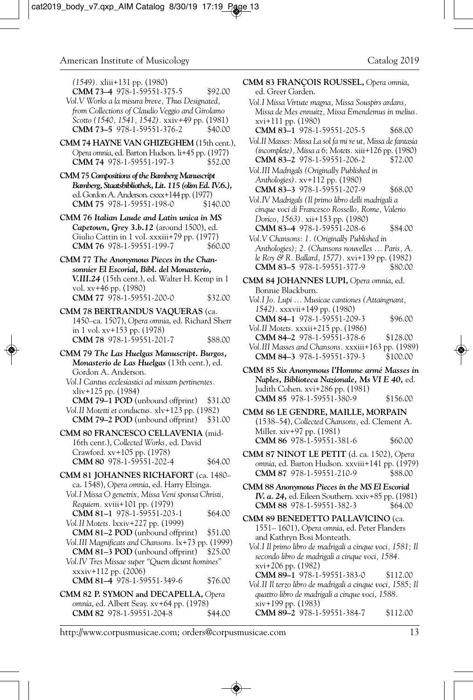*(1549).* xliii+131 pp. (1980)

- **CMM 73-4** 978-1-59551-375-5 \$92.00 *Vol.V Works a la misura breve, Thus Designated, from Collections of Claudio Veggio and Girolamo Scotto (1540, 1541, 1542).* xxiv+49 pp. (1981) **CMM 73-5** 978-1-59551-376-2
- **CMM 74 HAYNE VAN GHIZEGHEM** (15th cent.), *Opera omnia*, ed. Barton Hudson. li+45 pp. (1977) **CMM 74** 978-1-59551-197-3 \$52.00
- **CMM 75** *Compositions of the Bamberg Manuscript Bamberg, Staatsbibliothek, Lit. 115 (olim Ed. IV.6.),* ed. Gordon A. Anderson. cxxx+144 pp. (1977)<br>**CMM 75** 978-1-59551-198-0 \$140.00 **CMM 75** 978-1-59551-198-0
- **CMM 76** *Italian Laude and Latin unica in MS Capetown, Grey 3.b.12* (around 1500), ed. Giulio Cattin in 1 vol. xxxiii+79 pp. (1977)<br>**CMM 76** 978-1-59551-199-7 \$60.00 **CMM 76** 978-1-59551-199-7
- **CMM 77** *The Anonymous Pieces in the Chansonnier El Escorial, Bibl. del Monasterio, V.III.24* (15th cent.), ed. Walter H. Kemp in 1 vol. xv+46 pp. (1980) **CMM 77** 978-1-59551-200-0 \$32.00
- **CMM 78 BERTRANDUS VAQUERAS** (ca. 1450–ca. 1507), *Opera omnia*, ed. Richard Sherr in 1 vol. xv+153 pp. (1978) **CMM 78** 978-1-59551-201-7 \$88.00
- **CMM 79** *The Las Huelgas Manuscript. Burgos, Monasterio de Las Huelgas* (13th cent.), ed. Gordon A. Anderson. *Vol.I Cantus ecclesiastici ad missam pertinentes.*  xliv+125 pp. (1984) **CMM 79–1 POD** (unbound offprint) \$31.00 *Vol.II Motetti et conductus.* xlv+123 pp. (1982) **CMM 79–2 POD** (unbound offprint) \$31.00 **CMM 80 FRANCESCO CELLAVENIA** (mid-16th cent.), *Collected Works,* ed. David Crawford. xv+105 pp. (1978)
- **CMM 80** 978-1-59551-202-4 \$64.00
- **CMM 81 JOHANNES RICHAFORT** (ca. 1480– ca. 1548), *Opera omnia*, ed. Harry Elzinga. *Vol.I Missa O genetrix, Missa Veni sponsa Christi, Requiem.* xviii+101 pp. (1979) **CMM 81-1** 978-1-59551-203-1 \$64.00 *Vol.II Motets.* lxxiv+227 pp. (1999) **CMM 81–2 POD** (unbound offprint) \$51.00 *Vol.III Magnificats and Chansons.* lx+73 pp. (1999) **CMM 81–3 POD** (unbound offprint) \$25.00 *Vol.IV Tres Missae super "Quem dicunt homines"* xxxiv+112 pp. (2006) **CMM 81-4** 978-1-59551-349-6 \$76.00 **CMM 82 P. SYMON and DECAPELLA,** *Opera omnia*, ed. Albert Seay. xv+64 pp. (1978)

**CMM 82** 978-1-59551-204-8 \$44.00

- **CMM 83 FRANÇOIS ROUSSEL,** *Opera omnia*, ed. Greer Garden. *Vol.I Missa Virtute magna, Missa Souspirs ardans, Missa de Mes ennuitz, Missa Emendemus in melius.*  xvi+111 pp. (1980) **CMM 83–1** 978-1-59551-205-5 \$68.00 *Vol.II Masses: Missa La sol fa mi re ut, Missa de fantasia (incomplete), Missa a 6; Motets.* xiii+126 pp. (1980) **CMM 83–2** 978-1-59551-206-2 \$72.00 *Vol.III Madrigals (Originally Published in Anthologies).* xv+112 pp. (1980) **CMM 83-3** 978-1-59551-207-9 \$68.00 *Vol.IV Madrigals (Il primo libro delli madrigali a cinque voci di Francesco Rossello, Rome, Valerio Dorico, 1563).* xii+153 pp. (1980) **CMM 83–4** 978-1-59551-208-6 \$84.00 *Vol.V Chansons: 1. (Originally Published in Anthologies); 2. (Chansons nouvelles … Paris, A. le Roy & R. Ballard, 1577).* xvi+139 pp. (1982) **CMM 83-5** 978-1-59551-377-9 \$80.00 **CMM 84 JOHANNES LUPI,** *Opera omnia*, ed. Bonnie Blackburn. *Vol.I Jo. Lupi … Musicae cantiones (Attaingnant, 1542).* xxxvii+149 pp. (1980)
	- **CMM 84–1** 978-1-59551-209-3 \$96.00 *Vol.II Motets.* xxxii+215 pp. (1986) **CMM 84–2** 978-1-59551-378-6 \$128.00 *Vol.III Masses and Chansons.* xxxiii+163 pp. (1989) **CMM 84-3** 978-1-59551-379-3
- **CMM 85** *Six Anonymous l'Homme armé Masses in Naples, Biblioteca Nazionale, Ms VI E 40,* ed. Judith Cohen. xvi+286 pp. (1981) **CMM 85** 978-1-59551-380-9 \$156.00
- **CMM 86 LE GENDRE, MAILLE, MORPAIN** (1538–54), *Collected Chansons,* ed. Clement A. Miller. xiv+97 pp. (1981) **CMM 86** 978-1-59551-381-6 \$60.00
- **CMM 87 NINOT LE PETIT** (d. ca. 1502), *Opera omnia*, ed. Barton Hudson. xxviii+141 pp. (1979) **CMM 87** 978-1-59551-210-9 \$88.00
- **CMM 88** *Anonymous Pieces in the MS El Escorial IV. a. 24,* ed. Eileen Southern. xxiv+85 pp. (1981) **CMM 88** 978-1-59551-382-3 \$64.00
- **CMM 89 BENEDETTO PALLAVICINO** (ca. 1551– 1601), *Opera omnia*, ed. Peter Flanders and Kathryn Bosi Monteath.
	- *Vol.I Il primo libro de madrigali a cinque voci, 1581; Il secondo libro de madrigali a cinque voci, 1584.*  xvi+206 pp. (1982)
	- **CMM 89–1** 978-1-59551-383-0 \$112.00 *Vol.II Il terzo libro de madrigali a cinque voci, 1585; Il quattro libro de madrigali a cinque voci, 1588.*  xiv+199 pp. (1983) **CMM 89-2** 978-1-59551-384-7 \$112.00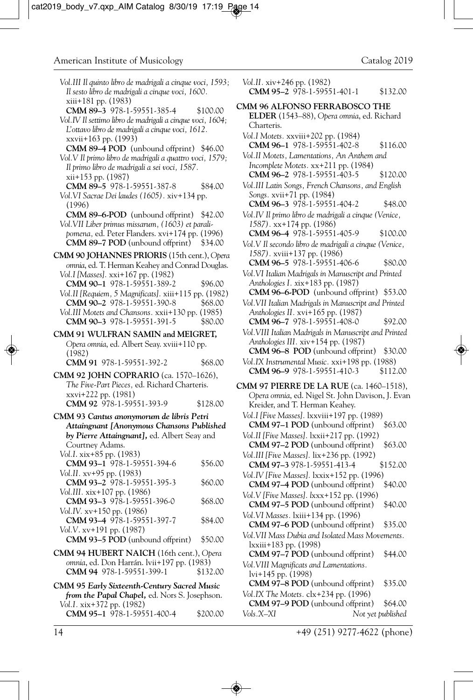| Vol.III Il quinto libro de madrigali a cinque voci, 1593;<br>Il sesto libro de madrigali a cinque voci, 1600. |          | Vol.II. xiv+246 pp. (1982)<br>CMM 95-2 978-1-59551-401-1                                        | \$132.00 |
|---------------------------------------------------------------------------------------------------------------|----------|-------------------------------------------------------------------------------------------------|----------|
| xiii+181 pp. (1983)<br>CMM 89-3 978-1-59551-385-4                                                             | \$100.00 | CMM 96 ALFONSO FERRABOSCO THE                                                                   |          |
| Vol.IV Il settimo libro de madrigali a cinque voci, 1604;                                                     |          | ELDER (1543–88), Opera omnia, ed. Richard<br>Charteris.                                         |          |
| L'ottavo libro de madrigali a cinque voci, 1612.<br>xxvii+163 pp. (1993)                                      |          | Vol. I Motets. xxviii+202 pp. (1984)                                                            |          |
| <b>CMM 89-4 POD</b> (unbound offprint) \$46.00                                                                |          | <b>CMM 96-1</b> 978-1-59551-402-8                                                               | \$116.00 |
| Vol.V Il primo libro de madrigali a quattro voci, 1579;                                                       |          | Vol.II Motets, Lamentations, An Anthem and<br>Incomplete Motets. xx+211 pp. (1984)              |          |
| Il primo libro de madrigali a sei voci, 1587.<br>$xii+153$ pp. $(1987)$                                       |          | <b>CMM 96-2</b> 978-1-59551-403-5                                                               | \$120.00 |
| CMM 89-5 978-1-59551-387-8                                                                                    | \$84.00  | Vol.III Latin Songs, French Chansons, and English                                               |          |
| Vol.VI Sacrae Dei laudes (1605). xiv+134 pp.                                                                  |          | Songs. xvii+71 pp. (1984)<br>CMM 96-3 978-1-59551-404-2                                         | \$48.00  |
| (1996)<br><b>CMM 89–6-POD</b> (unbound offprint) \$42.00                                                      |          | Vol.IV Il primo libro de madrigali a cinque (Venice,                                            |          |
| Vol.VII Liber primus missarum, (1603) et parali-                                                              |          | $1587$ . xx+174 pp. (1986)                                                                      |          |
| pomena, ed. Peter Flanders. xvi+174 pp. (1996)<br><b>CMM 89–7 POD</b> (unbound offprint)                      | \$34.00  | CMM 96-4 978-1-59551-405-9<br>Vol.V Il secondo libro de madrigali a cinque (Venice,             | \$100.00 |
| CMM 90 JOHANNES PRIORIS (15th cent.), Opera                                                                   |          | 1587). xviii+137 pp. (1986)                                                                     |          |
| omnia, ed. T. Herman Keahey and Conrad Douglas.                                                               |          | <b>CMM 96-5</b> 978-1-59551-406-6                                                               | \$80.00  |
| Vol.I [Masses]. xxi+167 pp. (1982)                                                                            |          | Vol.VI Italian Madrigals in Manuscript and Printed<br>Anthologies I. xix+183 pp. (1987)         |          |
| CMM 90-1 978-1-59551-389-2<br>Vol. II [Requiem, 5 Magnificats]. xiii+115 pp. (1982)                           | \$96.00  | <b>CMM 96–6-POD</b> (unbound offprint) \$53.00                                                  |          |
| CMM 90-2 978-1-59551-390-8                                                                                    | \$68.00  | Vol.VII Italian Madrigals in Manuscript and Printed                                             |          |
| Vol.III Motets and Chansons. xxii+130 pp. (1985)<br>CMM 90-3 978-1-59551-391-5                                | \$80.00  | Anthologies II. xvi+165 pp. (1987)<br>CMM 96-7 978-1-59551-408-0                                | \$92.00  |
| CMM 91 WULFRAN SAMIN and MEIGRET,                                                                             |          | Vol.VIII Italian Madrigals in Manuscript and Printed                                            |          |
| Opera omnia, ed. Albert Seay. xviii+110 pp.                                                                   |          | Anthologies III. xiv+154 pp. (1987)                                                             |          |
| (1982)<br>CMM 91 978-1-59551-392-2                                                                            | \$68.00  | <b>CMM 96–8 POD</b> (unbound offprint) \$30.00<br>Vol.IX Instrumental Music. xxi+198 pp. (1988) |          |
| <b>CMM 92 JOHN COPRARIO</b> (ca. 1570–1626),                                                                  |          | CMM 96-9 978-1-59551-410-3                                                                      | \$112.00 |
| The Five-Part Pieces, ed. Richard Charteris.                                                                  |          | <b>CMM 97 PIERRE DE LA RUE</b> (ca. 1460–1518),                                                 |          |
| xxvi+222 pp. (1981)<br>CMM 92 978-1-59551-393-9                                                               | \$128.00 | Opera omnia, ed. Nigel St. John Davison, J. Evar                                                |          |
| CMM 93 Cantus anonymorum de libris Petri                                                                      |          | Kreider, and T. Herman Keahey.<br>Vol.I [Five Masses]. 1xxviii+197 pp. (1989)                   |          |
| Attaingnant [Anonymous Chansons Published                                                                     |          | <b>CMM 97–1 POD</b> (unbound offprint)                                                          | \$63.00  |
| by Pierre Attaingnant], ed. Albert Seay and                                                                   |          | Vol.II [Five Masses]. 1xxii+217 pp. (1992)                                                      |          |
| Courtney Adams.<br>Vol.I. xix+85 pp. (1983)                                                                   |          | <b>CMM 97–2 POD</b> (unbound offprint)<br>Vol.III [Five Masses]. lix+236 pp. (1992)             | \$63.00  |
| CMM 93-1 978-1-59551-394-6                                                                                    | \$56.00  | CMM 97-3 978-1-59551-413-4                                                                      | \$152.00 |
| Vol.II. xv+95 pp. (1983)<br>CMM 93-2 978-1-59551-395-3                                                        | \$60.00  | Vol.IV [Five Masses]. 1xxix+152 pp. (1996)                                                      |          |
| Vol.III. xix+107 pp. (1986)                                                                                   |          | <b>CMM 97–4 POD</b> (unbound offprint)<br>Vol. V [Five Masses]. lxxx+152 pp. (1996)             | \$40.00  |
| CMM 93-3 978-1-59551-396-0                                                                                    | \$68.00  | CMM 97-5 POD (unbound offprint)                                                                 | \$40.00  |
| Vol.IV. xv+150 pp. (1986)<br>CMM 93-4 978-1-59551-397-7                                                       | \$84.00  | Vol. VI Masses. 1xiii + 134 pp. (1996)                                                          |          |
| Vol.V. xv+191 pp. (1987)                                                                                      |          | <b>CMM 97–6 POD</b> (unbound offprint)                                                          | \$35.00  |
| <b>CMM 93–5 POD</b> (unbound offprint)                                                                        | \$50.00  | Vol. VII Mass Dubia and Isolated Mass Movements.<br>lxxiii+183 pp. (1998)                       |          |
| CMM 94 HUBERT NAICH (16th cent.), Opera                                                                       |          | <b>CMM 97–7 POD</b> (unbound offprint)                                                          | \$44.00  |
| omnia, ed. Don Harrán. lvii+197 pp. (1983)<br>CMM 94 978-1-59551-399-1                                        | \$132.00 | Vol. VIII Magnificats and Lamentations.<br>lvi+145 pp. (1998)                                   |          |
| CMM 95 Early Sixteenth-Century Sacred Music                                                                   |          |                                                                                                 |          |
|                                                                                                               |          | <b>CMM 97–8 POD</b> (unbound offprint)                                                          | \$35.00  |
| <i>from the Papal Chapel, ed. Nors S. Josephson.</i>                                                          |          | Vol.IX The Motets. clx+234 pp. (1996)                                                           |          |
| Vol.I. xix+372 pp. (1982)<br>CMM 95-1 978-1-59551-400-4                                                       | \$200.00 | <b>CMM 97–9 POD</b> (unbound offprint)<br>Vols.X–XI<br>Not yet published                        | \$64.00  |

14 +49 (251) 9277-4622 (phone)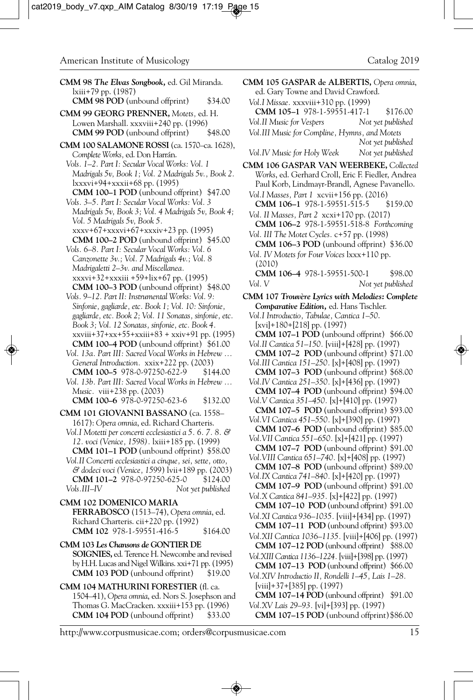- **CMM 98** *The Elvas Songbook,* ed. Gil Miranda. lxiii+79 pp. (1987)
	- **CMM 98 POD** (unbound offprint) \$34.00
- **CMM 99 GEORG PRENNER,** *Motets,* ed. H. Lowen Marshall. xxxviii+240 pp. (1996)<br>**CMM 99 POD** (unbound offprint) \$48.00 **CMM 99 POD** (unbound offprint)
- **CMM 100 SALAMONE ROSSI** (ca. 1570–ca. 1628), *Complete Works,* ed. Don Harrán.
	- *Vols. 1–2. Part I: Secular Vocal Works: Vol. 1 Madrigals 5v, Book 1; Vol. 2 Madrigals 5v., Book 2.*  lxxxvi+94+xxxii+68 pp. (1995)
	- **CMM 100–1 POD** (unbound offprint) \$47.00 *Vols. 3–5. Part I: Secular Vocal Works: Vol. 3 Madrigals 5v, Book 3; Vol. 4 Madrigals 5v, Book 4;*
	- *Vol. 5 Madrigals 5v, Book 5.*  xxxv+67+xxxvi+67+xxxiv+23 pp. (1995)
	- **CMM 100–2 POD** (unbound offprint) \$45.00 *Vols. 6–8. Part I: Secular Vocal Works: Vol. 6*
	- *Canzonette 3v.; Vol. 7 Madrigals 4v.; Vol. 8 Madrigaletti 2–3v. and Miscellanea.*  xxxvi+32+xxxiii +59+lix+67 pp. (1995)
	- **CMM 100–3 POD** (unbound offprint) \$48.00 *Vols. 9–12. Part II: Instrumental Works: Vol. 9: Sinfonie, gagliarde, etc. Book 1; Vol. 10: Sinfonie, gagliarde, etc. Book 2; Vol. 11 Sonatas, sinfonie, etc. Book 3; Vol. 12 Sonatas, sinfonie, etc. Book 4.* xxviii+37+xx+55+xxiii+83 + xxiv+91 pp. (1995)
	- **CMM 100–4 POD** (unbound offprint) \$61.00 *Vol. 13a. Part III: Sacred Vocal Works in Hebrew ...*
	- *General Introduction.* xxix+222 pp. (2003) **CMM 100-5** 978-0-97250-622-9
	- *Vol. 13b. Part III: Sacred Vocal Works in Hebrew ... Music.* viii+238 pp. (2003)
	- **CMM 100–6** 978-0-97250-623-6 \$132.00
- **CMM 101 GIOVANNI BASSANO** (ca. 1558– 1617): *Opera omnia*, ed. Richard Charteris.
	- *Vol.I Motetti per concerti ecclesiastici a 5. 6. 7. 8. & 12. voci (Venice, 1598).* lxiii+185 pp. (1999) **CMM 101–1 POD** (unbound offprint) \$58.00
- *Vol.II Concerti ecclesiastici a cinque, sei, sette, otto, & dodeci voci (Venice, 1599*) lvii+189 pp. (2003) **CMM 101-2** 978-0-97250-625-0 \$124.00 *Vols.III–IV Not yet published*
- **CMM 102 DOMENICO MARIA FERRABOSCO** (1513–74), *Opera omnia*, ed. Richard Charteris. cii+220 pp. (1992) **CMM 102** 978-1-59551-416-5 \$164.00
- **CMM 103** *Les Chansons de* **GONTIER DE SOIGNIES,** ed. Terence H. Newcombe and revised by H.H. Lucas and Nigel Wilkins. xxi+71 pp. (1995) **CMM 103 POD** (unbound offprint) \$19.00
- **CMM 104 MATHURINI FORESTIER** (fl. ca. 1504–41), *Opera omnia*, ed. Nors S. Josephson and Thomas G. MacCracken. xxxiii+153 pp. (1996) **CMM 104 POD** (unbound offprint) \$33.00

**CMM 105 GASPAR de ALBERTIS,** *Opera omnia*, ed. Gary Towne and David Crawford. *Vol.I Missae.* xxxviii+310 pp. (1999) **CMM 105–1** 978-1-59551-417-1 \$176.00 *Vol.II Music for Vespers Not yet published Vol.III Music for Compline, Hymns, and Motets*

 *Not yet published Vol.IV Music for Holy Week Not yet published*

- **CMM 106 GASPAR VAN WEERBEKE,** *Collected Works*, ed. Gerhard Croll, Eric F. Fiedler, Andrea Paul Korb, Lindmayr-Brandl, Agnese Pavanello.
	- *Vol.I Masses, Part 1* xcvii+156 pp. (2016) **CMM 106-1 978-1-59551-515-5**
	- *Vol. II Masses, Part 2* xcxi+170 pp. (2017) **CMM 106–2** 978-1-59551-518-8 *Forthcoming Vol. III The Motet Cycles.* c+57 pp. (1998)
	- **CMM 106–3 POD** (unbound offprint) \$36.00 *Vol. IV Motets for Four Voices* lxxx+110 pp.
- (2010) **CMM 106–4** 978-1-59551-500-1\$98.00
- *Vol. V Not yet published*
- **CMM 107** *Trouvère Lyrics with Melodies: Complete Comparative Edition,* ed. Hans Tischler.
	- *Vol.I Introductio, Tabulae, Cantica 1–50*. [xvi]+180+[218] pp. (1997)
	- **CMM 107–1 POD** (unbound offprint) \$66.00
	- *Vol.II Cantica 51–150.* [viii]+[428] pp. (1997) **CMM 107–2 POD** (unbound offprint) \$71.00
	- *Vol.III Cantica 151–250.* [x]+[408] pp. (1997)
	- **CMM 107–3 POD** (unbound offprint) \$68.00 *Vol.IV Cantica 251–350.* [x]+[436] pp. (1997)
	- **CMM 107–4 POD** (unbound offprint) \$94.00 *Vol.V Cantica 351–450.* [x]+[410] pp. (1997)
	- **CMM 107–5 POD** (unbound offprint) \$93.00 *Vol.VI Cantica 451–550.* [x]+[390] pp. (1997)
	- **CMM 107–6 POD** (unbound offprint) \$85.00
	- *Vol.VII Cantica 551–650.* [x]+[421] pp. (1997) **CMM 107–7 POD** (unbound offprint) \$91.00
	- *Vol.VIII Cantica 651–740.* [x]+[408] pp. (1997) **CMM 107–8 POD** (unbound offprint) \$89.00
	- *Vol.IX Cantica 741–840.* [x]+[420] pp. (1997) **CMM 107–9 POD** (unbound offprint) \$91.00
	- *Vol.X Cantica 841–935.* [x]+[422] pp. (1997) **CMM 107–10 POD** (unbound offprint) \$91.00
	- *Vol.XI Cantica 936–1035.* [viii]+[434] pp. (1997) **CMM 107–11 POD** (unbound offprint) \$93.00
	- *Vol.XII Cantica 1036–1135.* [viii]+[406] pp. (1997) **CMM 107–12 POD** (unbound offprint) \$88.00
	- *Vol.XIII Cantica 1136–1224.* [viii]+[398] pp. (1997)
	- **CMM 107–13 POD** (unbound offprint) \$66.00 *Vol.XIV Introductio II, Rondelli 1–45, Lais 1–28.*  [viii]+37+[385] pp. (1997)

*Vol.XV Lais 29–93.* [vi]+[393] pp. (1997)

**CMM 107–15 POD** (unbound offprint)\$86.00

**CMM 107–14 POD** (unbound offprint) \$91.00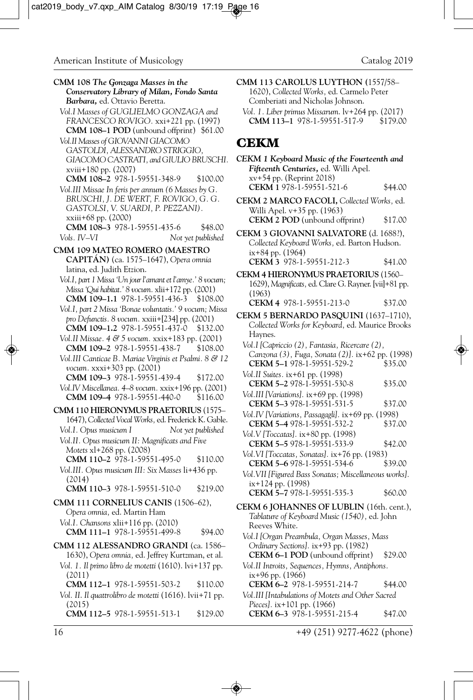**CMM 108** *The Gonzaga Masses in the Conservatory Library of Milan, Fondo Santa Barbara,* ed. Ottavio Beretta. *Vol.I Masses of GUGLIELMO GONZAGA and FRANCESCO ROVIGO.* xxi+221 pp. (1997) **CMM 108–1 POD** (unbound offprint) \$61.00 *Vol.II Masses of GIOVANNI GIACOMO GASTOLDI, ALESSANDRO STRIGGIO, GIACOMO CASTRATI, and GIULIO BRUSCHI.* xviii+180 pp. (2007) **CMM 108–2** 978-1-59551-348-9 \$100.00 *Vol.III Missae In feris per annum (6 Masses by G. BRUSCHI, J. DE WERT, F. ROVIGO, G. G. GASTOLSI, V. SUARDI, P. PEZZANI).* xxiii+68 pp. (2000) **CMM 108–3** 978-1-59551-435-6 \$48.00 *Vols. IV–VI Not yet published* **CMM 109 MATEO ROMERO (MAESTRO CAPITÁN)** (ca. 1575–1647), *Opera omnia* latina, ed. Judith Etzion. *Vol.I, part 1 Missa 'Un jour l'amant et l'amye.' 8 vocum; Missa 'Qui habitat.' 8 vocum.* xlii+172 pp. (2001) **CMM 109–1.1** 978-1-59551-436-3 \$108.00 *Vol.I, part 2 Missa 'Bonae voluntatis.' 9 vocum; Missa pro Defunctis. 8 vocum.* xxiii+[234] pp. (2001) **CMM 109–1.2** 978-1-59551-437-0 \$132.00 *Vol.II Missae. 4 & 5 vocum.* xxix+183 pp. (2001) **CMM 109–2** 978-1-59551-438-7 \$108.00 *Vol.III Canticae B. Mariae Virginis et Psalmi. 8 & 12 vocum.* xxxi+303 pp. (2001) **CMM 109–3** 978-1-59551-439-4 \$172.00 *Vol.IV Miscellanea. 4–8 vocum.* xxix+196 pp. (2001) **CMM 109–4** 978-1-59551-440-0 \$116.00 **CMM 110 HIERONYMUS PRAETORIUS** (1575– 1647), *Collected Vocal Works,* ed. Frederick K. Gable. *Vol.I. Opus musicum I Not yet published Vol.II. Opus musicum II: Magnificats and Five Motets* xl+268 pp. (2008) **CMM 110–2** 978-1-59551-495-0 \$110.00 *Vol.III. Opus musicum III: Six Masses* li+436 pp. (2014) **CMM 110–3** 978-1-59551-510-0 \$219.00 **CMM 111 CORNELIUS CANIS** (1506–62), *Opera omnia,* ed. Martin Ham *Vol.I. Chansons* xlii+116 pp. (2010) **CMM 111-1** 978-1-59551-499-8 \$94.00 **CMM 112 ALESSANDRO GRANDI** (ca. 1586– 1630), *Opera omnia,* ed. Jeffrey Kurtzman, et al. *Vol. 1. Il primo libro de motetti* (1610). lvi+137 pp. (2011) **CMM 112–1** 978-1-59551-503-2 \$110.00 *Vol. II*. *Il quattrolibro de motetti* (1616). lvii+71 pp. (2015) **CMM 112–5** 978-1-59551-513-1 \$129.00

**CMM 113 CAROLUS LUYTHON (**1557/58– 1620), *Collected Works,* ed. Carmelo Peter Comberiati and Nicholas Johnson. *Vol. 1. Liber primus Missarum*. lv+264 pp. (2017) **CMM 113–1** 978-1-59551-517-9 \$179.00

### **CEKM**

| CEKM 1 Keyboard Music of the Fourteenth and<br>Fifteenth Centuries, ed. Willi Apel.<br>xv+54 pp. (Reprint 2018)                  |         |
|----------------------------------------------------------------------------------------------------------------------------------|---------|
| CEKM 1 978-1-59551-521-6                                                                                                         | \$44.00 |
| CEKM 2 MARCO FACOLI, Collected Works, ed.<br>Willi Apel. v+35 pp. (1963)                                                         |         |
| CEKM 2 POD (unbound offprint)                                                                                                    | \$17.00 |
| CEKM 3 GIOVANNI SALVATORE (d. 1688?),<br>Collected Keyboard Works, ed. Barton Hudson.<br>ix+84 pp. (1964)                        |         |
| CEKM 3 978-1-59551-212-3                                                                                                         | \$41.00 |
| CEKM 4 HIERONYMUS PRAETORIUS (1560-                                                                                              |         |
| 1629), Magnificats, ed. Clare G. Rayner. [vii]+81 pp.<br>(1963)                                                                  |         |
| CEKM 4 978-1-59551-213-0                                                                                                         | \$37.00 |
| CEKM 5 BERNARDO PASQUINI (1637-1710),<br>Collected Works for Keyboard, ed. Maurice Brooks<br>Haynes.                             |         |
| Vol.I [Capriccio (2), Fantasia, Ricercare (2),<br>Canzona (3), Fuga, Sonata (2)]. ix+62 pp. (1998)<br>CEKM 5-1 978-1-59551-529-2 | \$35.00 |
| Vol.II Suites. ix+61 pp. (1998)<br>CEKM 5-2 978-1-59551-530-8                                                                    | \$35.00 |
| Vol.III [Variations]. ix+69 pp. (1998)<br>CEKM 5-3 978-1-59551-531-5                                                             | \$37.00 |
| Vol.IV [Variations, Passagagli]. ix+69 pp. (1998)<br>CEKM 5-4 978-1-59551-532-2                                                  | \$37.00 |
| Vol. V [Toccatas]. ix+80 pp. (1998)<br>CEKM 5-5 978-1-59551-533-9                                                                | \$42.00 |
| Vol.VI [Toccatas, Sonatas]. ix+76 pp. (1983)<br>CEKM 5-6 978-1-59551-534-6                                                       | \$39.00 |
| Vol. VII [Figured Bass Sonatas; Miscellaneous works].<br>ix+124 pp. (1998)                                                       |         |
| CEKM 5-7 978-1-59551-535-3                                                                                                       | \$60.00 |
| CEKM 6 JOHANNES OF LUBLIN (16th. cent.),<br>Tablature of Keyboard Music (1540), ed. John<br>Reeves White.                        |         |
| Vol.I [Organ Preambula, Organ Masses, Mass<br>Ordinary Sections]. ix+93 pp. (1982)                                               |         |
| CEKM 6-1 POD (unbound offprint)                                                                                                  | \$29.00 |
| Vol.II Introits, Sequences, Hymns, Antiphons.<br>ix+96 pp. (1966)                                                                |         |
| CEKM 6-2 978-1-59551-214-7                                                                                                       | \$44.00 |
| Vol.III [Intabulations of Motets and Other Sacred<br>Pieces]. ix+101 pp. (1966)                                                  |         |
| CEKM 6-3 978-1-59551-215-4                                                                                                       | \$47.00 |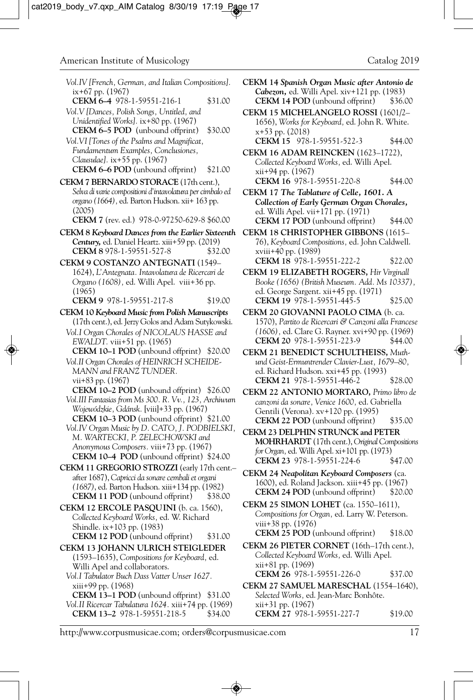| Vol.IV [French, German, and Italian Compositions].<br>ix+67 pp. (1967)                                                | С           |
|-----------------------------------------------------------------------------------------------------------------------|-------------|
| CEKM 6-4 978-1-59551-216-1<br>\$31.00                                                                                 |             |
| Vol.V [Dances, Polish Songs, Untitled, and<br>Unidentified Works]. ix+80 pp. (1967)                                   | С           |
| CEKM 6-5 POD (unbound offprint)<br>\$30.00                                                                            |             |
| Vol. VI [Tones of the Psalms and Magnificat,<br>Fundamentum Examples, Conclusiones,                                   | С           |
| Clausulae]. ix+55 pp. (1967)<br><b>CEKM 6–6 POD</b> (unbound offprint)<br>\$21.00                                     |             |
| CEKM 7 BERNARDO STORACE (17th cent.),                                                                                 |             |
| Selva di varie compositioni d'intavolatura per cimbalo ed<br>organo (1664), ed. Barton Hudson. xii+ 163 pp.<br>(2005) | С           |
| CEKM 7 (rev. ed.) 978-0-97250-629-8 \$60.00                                                                           |             |
| CEKM 8 Keyboard Dances from the Earlier Sixteenth                                                                     | С           |
| Century, ed. Daniel Heartz. xiii+59 pp. (2019)<br>CEKM 8 978-1-59551-527-8<br>\$32.00                                 |             |
| CEKM 9 COSTANZO ANTEGNATI (1549-                                                                                      |             |
| 1624), L'Antegnata. Intavolatura de Ricercari de<br>Organo (1608), ed. Willi Apel. viii+36 pp.                        | С           |
| (1965)                                                                                                                |             |
| CEKM 9 978-1-59551-217-8<br>\$19.00                                                                                   |             |
| CEKM 10 Keyboard Music from Polish Manuscripts<br>(17th cent.), ed. Jerzy Golos and Adam Sutykowski.                  | $\mathbf C$ |
| Vol.I Organ Chorales of NICOLAUS HASSE and                                                                            |             |
| EWALDT. viii+51 pp. (1965)<br><b>CEKM 10-1 POD</b> (unbound offprint)<br>\$20.00                                      | Ċ           |
| Vol. II Organ Chorales of HEINRICH SCHEIDE-                                                                           |             |
| MANN and FRANZ TUNDER.                                                                                                |             |
| vii+83 pp. (1967)<br><b>CEKM 10–2 POD</b> (unbound offprint) \$26.00                                                  | Ċ           |
| Vol.III Fantasias from Ms 300. R. Vv., 123, Archiwum                                                                  |             |
| Wojewódzkie, Gdánsk. [viii]+33 pp. (1967)                                                                             |             |
| CEKM 10-3 POD (unbound offprint) \$21.00<br>Vol.IV Organ Music by D. CATO, J. PODBIELSKI,                             |             |
| M. WARTECKI, P. ZELECHOWSKI and                                                                                       | $\mathbf C$ |
| Anonymous Composers. viii+73 pp. (1967)<br>CEKM 10-4 POD (unbound offprint) \$24.00                                   |             |
| CEKM 11 GREGORIO STROZZI (early 17th cent.-                                                                           | C           |
| after 1687), Capricci da sonare cembali et organi<br>(1687), ed. Barton Hudson. xiii+134 pp. (1982)                   |             |
| <b>CEKM 11 POD</b> (unbound offprint)<br>\$38.00                                                                      |             |
| CEKM 12 ERCOLE PASQUINI (b. ca. 1560),                                                                                | С           |
| Collected Keyboard Works, ed. W. Richard                                                                              |             |
| Shindle. ix+103 pp. (1983)<br><b>CEKM 12 POD</b> (unbound offprint)<br>\$31.00                                        |             |
| CEKM 13 JOHANN ULRICH STEIGLEDER                                                                                      |             |
| (1593-1635), Compositions for Keyboard, ed.                                                                           |             |
| Willi Apel and collaborators.<br>Vol.I Tabulator Buch Dass Vatter Unser 1627.                                         |             |
| xiii+99 pp. (1968)                                                                                                    | С           |
| CEKM 13-1 POD (unbound offprint) \$31.00                                                                              |             |
| Vol.II Ricercar Tabulatura 1624. xiii+74 pp. (1969)<br>CEKM 13-2 978-1-59551-218-5<br>\$34.00                         |             |
|                                                                                                                       |             |

| CEKM 14 Spanish Organ Music after Antonio de |         |
|----------------------------------------------|---------|
| Cabezon, ed. Willi Apel. xiv+121 pp. (1983)  |         |
| <b>CEKM 14 POD</b> (unbound offprint)        | \$36.00 |

**CEKM 15 MICHELANGELO ROSSI** (1601/2– 1656), *Works for Keyboard,* ed. John R. White. x+53 pp. (2018) **CEKM 15** 978-1-59551-522-3 \$44.00

**CEKM 16 ADAM REINCKEN** (1623–1722), *Collected Keyboard Works,* ed. Willi Apel. xii+94 pp. (1967) **CEKM 16** 978-1-59551-220-8 \$44.00

**CEKM 17** *The Tablature of Celle, 1601. A Collection of Early German Organ Chorales,* ed. Willi Apel. vii+171 pp. (1971) **CEKM 17 POD** (unbound offprint) \$44.00

**CEKM 18 CHRISTOPHER GIBBONS** (1615– 76), *Keyboard Compositions,* ed. John Caldwell. xviii+40 pp. (1989) **CEKM 18** 978-1-59551-222-2 \$22.00

**CEKM 19 ELIZABETH ROGERS,** *Hir Virginall Booke (1656) (British Museum. Add. Ms 10337),* ed. George Sargent. xii+45 pp. (1971) **CEKM 19** 978-1-59551-445-5 \$25.00

**CEKM 20 GIOVANNI PAOLO CIMA** (b. ca. 1570), *Partito de Ricercari & Canzoni alla Francese (1606),* ed. Clare G. Rayner. xvi+90 pp. (1969) **CEKM 20 978-1-59551-223-9** 

**CEKM 21 BENEDICT SCHULTHEISS,** *Muthund Geist-Ermuntrender Clavier-Lust, 1679–80,* ed. Richard Hudson. xxi+45 pp. (1993) **CEKM 21** 978-1-59551-446-2 \$28.00

**CEKM 22 ANTONIO MORTARO,** *Primo libro de canzoni da sonare, Venice 1600,* ed. Gabriella Gentili (Verona). xv+120 pp. (1995) **CEKM 22 POD** (unbound offprint) \$35.00

**CEKM 23 DELPHIN STRUNCK and PETER MOHRHARDT** (17th cent.), *Original Compositions for Organ,* ed. Willi Apel. xi+101 pp. (1973) **CEKM 23** 978-1-59551-224-6 \$47.00

**CEKM 24** *Neapolitan Keyboard Composers* (ca. 1600), ed. Roland Jackson. xiii+45 pp. (1967) **CEKM 24 POD** (unbound offprint) \$20.00

**CEKM 25 SIMON LOHET** (ca. 1550–1611), *Compositions for Organ,* ed. Larry W. Peterson. viii+38 pp. (1976) **CEKM 25 POD** (unbound offprint) \$18.00

**CEKM 26 PIETER CORNET** (16th–17th cent.), *Collected Keyboard Works,* ed. Willi Apel. xii+81 pp. (1969) **CEKM 26** 978-1-59551-226-0 \$37.00

**CEKM 27 SAMUEL MARESCHAL** (1554–1640), *Selected Works,* ed. Jean-Marc Bonhôte. xii+31 pp. (1967) **CEKM 27** 978-1-59551-227-7 \$19.00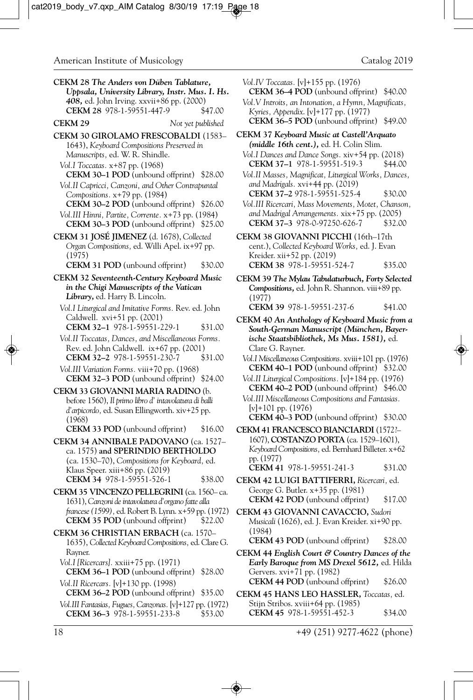| CEKM 28 The Anders von Düben Tablature,<br>Uppsala, University Library, Instr. Mus. I. Hs.<br>408, ed. John Irving. xxvii+86 pp. (2000)<br>CEKM 28 978-1-59551-447-9                                                                                                                                                                                                                                                                                 | \$47.00            | Vol.IV Toccatas. [v]+155 pp. (1976)<br>CEKM 36-4 POD (unbound offprint) \$40.00<br>Vol.V Introits, an Intonation, a Hymn, Magnificats,<br>Kyries, Appendix. [v]+177 pp. (1977)                                                                                                                                                                                                                                                                |                               |
|------------------------------------------------------------------------------------------------------------------------------------------------------------------------------------------------------------------------------------------------------------------------------------------------------------------------------------------------------------------------------------------------------------------------------------------------------|--------------------|-----------------------------------------------------------------------------------------------------------------------------------------------------------------------------------------------------------------------------------------------------------------------------------------------------------------------------------------------------------------------------------------------------------------------------------------------|-------------------------------|
| CEKM 29<br>Not yet published                                                                                                                                                                                                                                                                                                                                                                                                                         |                    | <b>CEKM 36–5 POD</b> (unbound offprint) \$49.00                                                                                                                                                                                                                                                                                                                                                                                               |                               |
| CEKM 30 GIROLAMO FRESCOBALDI (1583-<br>1643), Keyboard Compositions Preserved in<br>Manuscripts, ed. W. R. Shindle.<br>Vol.I Toccatas. x+87 pp. (1968)<br><b>CEKM 30–1 POD</b> (unbound offprint) \$28.00<br>Vol.II Capricci, Canzoni, and Other Contrapuntal<br>Compositions. $x+79$ pp. (1984)<br><b>CEKM 30–2 POD</b> (unbound offprint) \$26.00<br>Vol.III Hinni, Partite, Corrente. x+73 pp. (1984)<br>CEKM 30-3 POD (unbound offprint) \$25.00 |                    | CEKM 37 Keyboard Music at Castell'Arquato<br><i>(middle 16th cent.),</i> ed. H. Colin Slim.<br>Vol.I Dances and Dance Songs. xiv+54 pp. (2018)<br>CEKM 37-1 978-1-59551-519-3<br>Vol.II Masses, Magnificat, Liturgical Works, Dances,<br>and Madrigals. xvi+44 pp. (2019)<br>CEKM 37-2 978-1-59551-525-4<br>Vol.III Ricercari, Mass Movements, Motet, Chanson,<br>and Madrigal Arrangements. xix+75 pp. (2005)<br>CEKM 37-3 978-0-97250-626-7 | \$44.00<br>\$30.00<br>\$32.00 |
| CEKM 31 JOSÉ JIMENEZ (d. 1678), Collected<br>Organ Compositions, ed. Willi Apel. ix+97 pp.<br>(1975)<br><b>CEKM 31 POD</b> (unbound offprint)                                                                                                                                                                                                                                                                                                        | \$30.00            | CEKM 38 GIOVANNI PICCHI (16th-17th<br>cent.), Collected Keyboard Works, ed. J. Evan<br>Kreider. xii+52 pp. (2019)<br>CEKM 38 978-1-59551-524-7                                                                                                                                                                                                                                                                                                | \$35.00                       |
| CEKM 32 Seventeenth-Century Keyboard Music<br>in the Chigi Manuscripts of the Vatican<br>Library, ed. Harry B. Lincoln.                                                                                                                                                                                                                                                                                                                              |                    | CEKM 39 The Mylau Tabulaturbuch, Forty Selected<br>Compositions, ed. John R. Shannon. viii+89 pp.<br>(1977)                                                                                                                                                                                                                                                                                                                                   |                               |
| Vol.I Liturgical and Imitative Forms. Rev. ed. John                                                                                                                                                                                                                                                                                                                                                                                                  |                    | CEKM 39 978-1-59551-237-6                                                                                                                                                                                                                                                                                                                                                                                                                     | \$41.00                       |
| Caldwell. xvi+51 pp. (2001)                                                                                                                                                                                                                                                                                                                                                                                                                          |                    | CEKM 40 An Anthology of Keyboard Music from a                                                                                                                                                                                                                                                                                                                                                                                                 |                               |
| CEKM 32-1 978-1-59551-229-1<br>Vol.II Toccatas, Dances, and Miscellaneous Forms.<br>Rev. ed. John Caldwell. $ix+67$ pp. $(2001)$<br>CEKM 32-2 978-1-59551-230-7                                                                                                                                                                                                                                                                                      | \$31.00<br>\$31.00 | South-German Manuscript (München, Bayer-<br>ische Staatsbibliothek, Ms Mus. 1581), ed.<br>Clare G. Rayner.                                                                                                                                                                                                                                                                                                                                    |                               |
| Vol.III Variation Forms. viii+70 pp. (1968)<br><b>CEKM 32–3 POD</b> (unbound offprint) $$24.00$                                                                                                                                                                                                                                                                                                                                                      |                    | Vol.I Miscellaneous Compositions. xviii+101 pp. (1976)<br><b>CEKM 40–1 POD</b> (unbound offprint) \$32.00<br>Vol. II Liturgical Compositions. [v]+184 pp. (1976)                                                                                                                                                                                                                                                                              |                               |
| CEKM 33 GIOVANNI MARIA RADINO (b.<br>before 1560), Il primo libro d'intavolatura di balli<br>d'arpicordo, ed. Susan Ellingworth. xiv+25 pp.<br>(1968)<br>CEKM 33 POD (unbound offprint)                                                                                                                                                                                                                                                              | \$16.00            | <b>CEKM 40–2 POD</b> (unbound offprint) \$46.00<br>Vol.III Miscellaneous Compositions and Fantasias.<br>$[v]+101$ pp. (1976)<br>CEKM 40-3 POD (unbound offprint) \$30.00                                                                                                                                                                                                                                                                      |                               |
| CEKM 34 ANNIBALE PADOVANO (ca. 1527-<br>ca. 1575) and SPERINDIO BERTHOLDO<br>(ca. 1530–70), Compositions for Keyboard, ed.                                                                                                                                                                                                                                                                                                                           |                    | CEKM 41 FRANCESCO BIANCIARDI (1572?-<br>1607), COSTANZO PORTA (ca. 1529–1601),<br>Keyboard Compositions, ed. Bernhard Billeter. x+62<br>pp. (1977)                                                                                                                                                                                                                                                                                            |                               |
| Klaus Speer. xiii+86 pp. (2019)                                                                                                                                                                                                                                                                                                                                                                                                                      |                    | CEKM 41 978-1-59551-241-3                                                                                                                                                                                                                                                                                                                                                                                                                     | \$31.00                       |
| CEKM 34 978-1-59551-526-1                                                                                                                                                                                                                                                                                                                                                                                                                            | \$38.00            | CEKM 42 LUIGI BATTIFERRI, Ricercari, ed.                                                                                                                                                                                                                                                                                                                                                                                                      |                               |
| CEKM 35 VINCENZO PELLEGRINI (ca. 1560– ca.<br>1631), Canzoni de intavolatura d'organo fatte alla                                                                                                                                                                                                                                                                                                                                                     |                    | George G. Butler. x+35 pp. (1981)<br><b>CEKM 42 POD</b> (unbound offprint)                                                                                                                                                                                                                                                                                                                                                                    | \$17.00                       |
| francese (1599), ed. Robert B. Lynn. x+59 pp. (1972)<br><b>CEKM 35 POD</b> (unbound offprint)                                                                                                                                                                                                                                                                                                                                                        | \$22.00            | CEKM 43 GIOVANNI CAVACCIO, Sudori<br>Musicali (1626), ed. J. Evan Kreider. xi+90 pp.                                                                                                                                                                                                                                                                                                                                                          |                               |
| CEKM 36 CHRISTIAN ERBACH (ca. 1570-<br>1635), Collected Keyboard Compositions, ed. Clare G.                                                                                                                                                                                                                                                                                                                                                          |                    | (1984)<br><b>CEKM 43 POD</b> (unbound offprint)                                                                                                                                                                                                                                                                                                                                                                                               | \$28.00                       |
| Rayner.<br>Vol.I [Ricercars]. xxiii+75 pp. (1971)<br><b>CEKM 36–1 POD</b> (unbound offprint)                                                                                                                                                                                                                                                                                                                                                         | \$28.00            | CEKM 44 English Court & Country Dances of the<br>Early Baroque from MS Drexel 5612, ed. Hilda<br>Gervers. xvi+71 pp. (1982)                                                                                                                                                                                                                                                                                                                   |                               |
| Vol.II Ricercars. [v]+130 pp. (1998)<br><b>CEKM 36–2 POD</b> (unbound offprint) \$35.00                                                                                                                                                                                                                                                                                                                                                              |                    | <b>CEKM 44 POD</b> (unbound offprint)<br>CEKM 45 HANS LEO HASSLER, Toccatas, ed.                                                                                                                                                                                                                                                                                                                                                              | \$26.00                       |
| Vol.III Fantasias, Fugues, Canzonas. [v]+127 pp. (1972)<br>CEKM 36-3 978-1-59551-233-8                                                                                                                                                                                                                                                                                                                                                               | \$53.00            | Stijn Stribos. xviii+64 pp. (1985)<br>CEKM 45 978-1-59551-452-3                                                                                                                                                                                                                                                                                                                                                                               | \$34.00                       |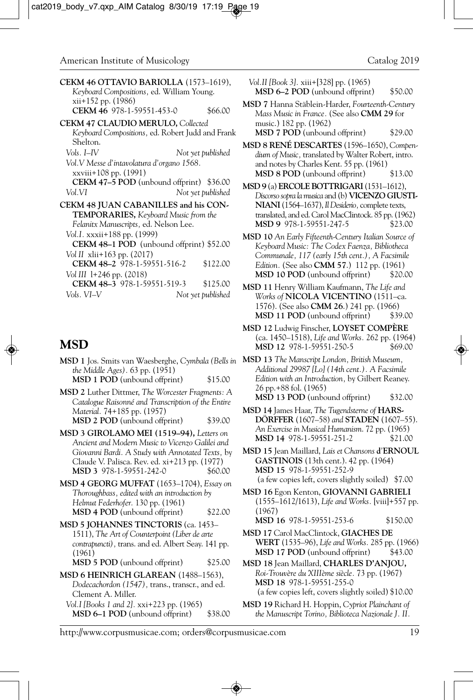| CEKM 46 OTTAVIO BARIOLLA (1573–1619),<br>Keyboard Compositions, ed. William Young. |   |
|------------------------------------------------------------------------------------|---|
| $xii+152$ pp. $(1986)$<br>CEKM 46 978-1-59551-453-0<br>\$66.00                     | М |
| <b>CEKM 47 CLAUDIO MERULO, Collected</b>                                           |   |
| Keyboard Compositions, ed. Robert Judd and Frank<br>Shelton.                       | M |
| Vols. I–IV<br>Not yet published                                                    |   |
| Vol.V Messe d'intavolatura d'organo 1568.                                          |   |
| xxviii+108 pp. (1991)                                                              |   |
| <b>CEKM 47–5 POD</b> (unbound offprint)<br>\$36.00                                 | M |
| Vol.VI<br>Not yet published                                                        |   |
| CEKM 48 JUAN CABANILLES and his CON-                                               |   |
| <b>TEMPORARIES</b> , Keyboard Music from the                                       |   |
| Felanitx Manuscripts, ed. Nelson Lee.                                              |   |
| Vol. I. xxxii + 188 pp. (1999)                                                     | М |
| CEKM 48-1 POD (unbound offprint) \$52.00                                           |   |
| Vol II xlii+163 pp. (2017)                                                         |   |
| CEKM 48-2 978-1-59551-516-2<br>\$122.00                                            |   |
| Vol III $1+246$ pp. $(2018)$                                                       |   |
| CEKM 48-3 978-1-59551-519-3<br>\$125.00                                            | м |
| Vols. VI–V<br>Not yet published                                                    |   |
|                                                                                    |   |

#### **MSD**

- **MSD 1** Jos. Smits van Waesberghe, *Cymbala (Bells in the Middle Ages).* 63 pp. (1951) **MSD 1 POD** (unbound offprint) \$15.00
- **MSD 2** Luther Dittmer, *The Worcester Fragments: A Catalogue Raisonné and Transcription of the Entire Material.* 74+185 pp. (1957) **MSD 2 POD** (unbound offprint) \$39.00
- **MSD 3 GIROLAMO MEI (1519–94),** *Letters on Ancient and Modern Music to Vicenzo Galilei and Giovanni Bardi. A Study with Annotated Texts,* by Claude V. Palisca. Rev. ed. xi+213 pp. (1977) **MSD 3** 978-1-59551-242-0 \$60.00
- **MSD 4 GEORG MUFFAT** (1653–1704), *Essay on Thoroughbass, edited with an introduction by Helmut Federhofer.* 130 pp. (1961) **MSD 4 POD** (unbound offprint) \$22.00
- **MSD 5 JOHANNES TINCTORIS** (ca. 1453– 1511), *The Art of Counterpoint (Liber de arte contrapuncti),* trans. and ed. Albert Seay. 141 pp. (1961) **MSD 5 POD** (unbound offprint) \$25.00
- **MSD 6 HEINRICH GLAREAN** (1488–1563), *Dodecachordon (1547),* trans., transcr., and ed. Clement A. Miller.
	- *Vol.I [Books 1 and 2].* xxi+223 pp. (1965) **MSD 6–1 POD** (unbound offprint) \$38.00

*Vol.II [Book 3].* xiii+[328] pp. (1965) **MSD 6–2 POD** (unbound offprint) \$50.00

- **MSD 7** Hanna Stäblein-Harder, *Fourteenth-Century Mass Music in France.* (See also **CMM 29** for music.) 182 pp. (1962)
	- **MSD 7 POD** (unbound offprint) \$29.00
- **MSD 8 RENÉ DESCARTES** (1596–1650), *Compendium of Music,* translated by Walter Robert, intro. and notes by Charles Kent. 55 pp. (1961) **MSD 8 POD** (unbound offprint) \$13.00
- **MSD 9** (a) **ERCOLE BOTTRIGARI** (1531–1612), *Discorso sopra la musica* and (b) **VICENZO GIUSTI-NIANI** (1564–1637), *Il Desiderio,* complete texts, translated, and ed. Carol MacClintock. 85 pp. (1962) **MSD 9** 978-1-59551-247-5
- **MSD 10** *An Early Fifteenth-Century Italian Source of Keyboard Music: The Codex Faenza, Bibliotheca Communale, 117 (early 15th cent.), A Facsimile Edition.* (See also **CMM 57**.) 112 pp. (1961) **MSD 10 POD** (unbound offprint)
- **MSD 11** Henry William Kaufmann, *The Life and Works of* **NICOLA VICENTINO** (1511–ca. 1576). (See also **CMM 26**.) 241 pp. (1966) **MSD 11 POD** (unbound offprint) \$39.00
- **MSD 12** Ludwig Finscher, **LOYSET COMPÈRE** (ca. 1450–1518), *Life and Works.* 262 pp. (1964) MSD 12 978-1-59551-250-5
- **MSD 13** *The Manscript London, British Museum, Additional 29987 [Lo] (14th cent.). A Facsimile Edition with an Introduction,* by Gilbert Reaney. 26 pp.+88 fol. (1965) **MSD 13 POD** (unbound offprint) \$32.00
- **MSD 14** James Haar, *The Tugendsterne of* **HARS-DÖRFFER** (1607–58) *and* **STADEN** (1607–55). *An Exercise in Musical Humanism*. 72 pp. (1965) **MSD 14** 978-1-59551-251-2 \$21.00
- **MSD 15** Jean Maillard, *Lais et Chansons* **d***'***ERNOUL GASTINOIS** (13th cent.). 42 pp. (1964) **MSD 15** 978-1-59551-252-9 (a few copies left, covers slightly soiled) \$7.00
- **MSD 16** Egon Kenton, **GIOVANNI GABRIELI** (1555–1612/1613), *Life and Works.* [viii]+557 pp. (1967)
	- **MSD 16** 978-1-59551-253-6 \$150.00
- **MSD 17** Carol MacClintock, **GIACHES DE WERT** (1535–96), *Life and Works.* 285 pp. (1966) **MSD 17 POD** (unbound offprint) \$43.00
- **MSD 18** Jean Maillard, **CHARLES D'ANJOU,** *Roi-Trouvère du XIIIème siècle.* 73 pp. (1967) **MSD 18** 978-1-59551-255-0 (a few copies left, covers slightly soiled) \$10.00
- **MSD 19** Richard H. Hoppin, *Cypriot Plainchant of the Manuscript Torino, Biblioteca Nazionale J. II.*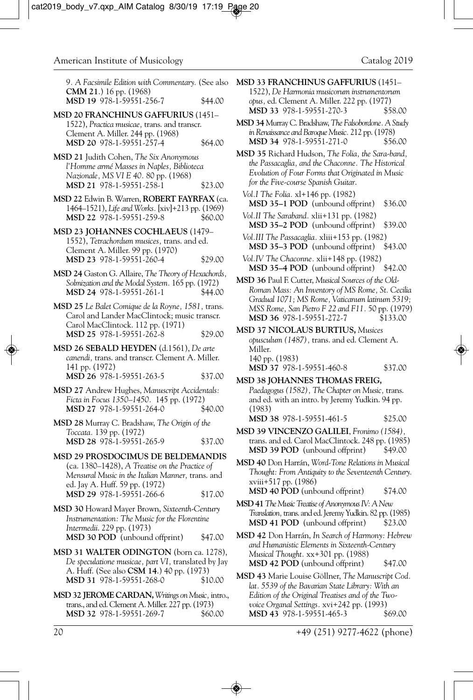*9. A Facsimile Edition with Commentary.* (See also **CMM 21**.) 16 pp. (1968) **MSD 19** 978-1-59551-256-7 \$44.00

- **MSD 20 FRANCHINUS GAFFURIUS** (1451– 1522), *Practica musicae,* trans. and transcr. Clement A. Miller. 244 pp. (1968) **MSD 20** 978-1-59551-257-4 \$64.00
- **MSD 21** Judith Cohen, *The Six Anonymous l'Homme armé Masses in Naples, Biblioteca Nazionale, MS VI E 40.* 80 pp. (1968) **MSD 21** 978-1-59551-258-1 \$23.00
- **MSD 22** Edwin B. Warren, **ROBERT FAYRFAX** (ca. 1464–1521), *Life and Works.* [xiv]+213 pp. (1969) **MSD 22** 978-1-59551-259-8 \$60.00
- **MSD 23 JOHANNES COCHLAEUS** (1479– 1552), *Tetrachordum musices,* trans. and ed. Clement A. Miller. 99 pp. (1970) **MSD 23** 978-1-59551-260-4 \$29.00
- **MSD 24** Gaston G. Allaire, *The Theory of Hexachords, Solmization and the Modal System.* 165 pp. (1972) **MSD 24** 978-1-59551-261-1 \$44.00
- **MSD 25** *Le Balet Comique de la Royne, 1581,* trans. Carol and Lander MacClintock; music transcr. Carol MacClintock. 112 pp. (1971) **MSD 25** 978-1-59551-262-8 \$29.00
- **MSD 26 SEBALD HEYDEN** (d.1561), *De arte canendi,* trans. and transcr. Clement A. Miller. 141 pp. (1972) **MSD 26** 978-1-59551-263-5 \$37.00
- **MSD 27** Andrew Hughes, *Manuscript Accidentals: Ficta in Focus 1350–1450.* 145 pp. (1972) **MSD 27** 978-1-59551-264-0 \$40.00
- **MSD 28** Murray C. Bradshaw, *The Origin of the Toccata.* 139 pp. (1972) **MSD 28** 978-1-59551-265-9 \$37.00
- **MSD 29 PROSDOCIMUS DE BELDEMANDIS** (ca. 1380–1428), *A Treatise on the Practice of Mensural Music in the Italian Manner,* trans. and ed. Jay A. Huff. 59 pp. (1972) **MSD 29** 978-1-59551-266-6 \$17.00
- **MSD 30** Howard Mayer Brown, *Sixteenth-Century Instrumentation: The Music for the Florentine Intermedii*. 229 pp. (1973) **MSD 30 POD** (unbound offprint) \$47.00
- **MSD 31 WALTER ODINGTON** (born ca. 1278), *De speculatione musicae, part VI,* translated by Jay A. Huff. (See also **CSM 14**.) 40 pp. (1973) **MSD 31** 978-1-59551-268-0 \$10.00
- **MSD 32 JEROME CARDAN,***Writings on Music,* intro., trans., and ed. Clement A. Miller. 227 pp. (1973) MSD 32 978-1-59551-269-7
- **MSD 33 FRANCHINUS GAFFURIUS** (1451– 1522), *De Harmonia musicorum instrumentorum opus,* ed. Clement A. Miller. 222 pp. (1977) **MSD 33** 978-1-59551-270-3
- **MSD 34** Murray C. Bradshaw, *The Falsobordone. A Study in Renaissance and Baroque Music.* 212 pp. (1978) MSD 34 978-1-59551-271-0
- **MSD 35** Richard Hudson, *The Folia, the Sara-band, the Passacaglia, and the Chaconne. The Historical Evolution of Four Forms that Originated in Music for the Five-course Spanish Guitar*.
	- *Vol.I The Folia.* xl+146 pp. (1982) **MSD 35–1 POD** (unbound offprint) \$36.00
	- *Vol.II The Saraband.* xlii+131 pp. (1982) **MSD 35–2 POD** (unbound offprint) \$39.00
	- *Vol.III The Passacaglia.* xliii+153 pp. (1982) **MSD 35–3 POD** (unbound offprint) \$43.00
- *Vol.IV The Chaconne.* xlii+148 pp. (1982) **MSD 35–4 POD** (unbound offprint) \$42.00
- **MSD 36** Paul F. Cutter, *Musical Sources of the Old-Roman Mass: An Inventory of MS Rome, St. Cecilia Gradual 1071; MS Rome, Vaticanum latinum 5319; MSS Rome, San Pietro F 22 and F11.* 50 pp. (1979) **MSD 36** 978-1-59551-272-7 \$133.00
- **MSD 37 NICOLAUS BURTIUS,** *Musices opusculum (1487),* trans. and ed. Clement A. Miller. 140 pp. (1983) **MSD 37** 978-1-59551-460-8 \$37.00
- **MSD 38 JOHANNES THOMAS FREIG,** *Paedagogus (1582), The Chapter on Music,* trans. and ed. with an intro. by Jeremy Yudkin. 94 pp. (1983)
	- **MSD 38** 978-1-59551-461-5 \$25.00
- **MSD 39 VINCENZO GALILEI**, *Fronimo (1584),* trans. and ed. Carol MacClintock. 248 pp. (1985) **MSD 39 POD** (unbound offprint) \$49.00
- **MSD 40** Don Harrán, *Word-Tone Relations in Musical Thought: From Antiquity to the Seventeenth Century.* xviii+517 pp. (1986) **MSD 40 POD** (unbound offprint) \$74.00
- **MSD 41***The Music Treatise of Anonymous IV: A New Translation,* trans. and ed. Jeremy Yudkin. 82 pp. (1985) **MSD 41 POD** (unbound offprint) \$23.00
- **MSD 42** Don Harrán, *In Search of Harmony: Hebrew and Humanistic Elements in Sixteenth-Century Musical Thought.* xx+301 pp. (1988) **MSD 42 POD** (unbound offprint) \$47.00
- **MSD 43** Marie Louise Göllner, *The Manuscript Cod. lat. 5539 of the Bavarian State Library: With an Edition of the Original Treatises and of the Twovoice Organal Settings.* xvi+242 pp. (1993) MSD 43 978-1-59551-465-3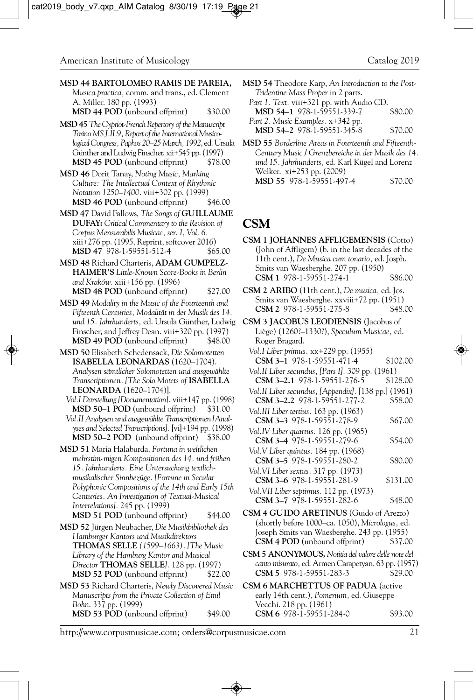**MSD 44 BARTOLOMEO RAMIS DE PAREIA,** *Musica practica,* comm. and trans., ed. Clement A. Miller. 180 pp. (1993) **MSD 44 POD** (unbound offprint) \$30.00

**MSD 45***The Cypriot-French Repertory of the Manuscript Torino MS J.II.9, Report of the International Musicological Congress, Paphos 20–25 March, 1992*, ed. Ursula Günther and Ludwig Finscher. xii+545 pp. (1997) **MSD 45 POD** (unbound offprint) \$78.00

**MSD 46** Dorit Tanay, *Noting Music, Marking Culture: The Intellectual Context of Rhythmic Notation 1250–1400.* viii+302 pp. (1999)<br>**MSD 46 POD** (unbound offprint) \$46.00 **MSD 46 POD** (unbound offprint)

**MSD 47** David Fallows, *The Songs of* **GUILLAUME DUFAY:** *Critical Commentary to the Revision of Corpus Mensurabilis Musicae, ser. I, Vol. 6.* xiii+276 pp. (1995, Reprint, softcover 2016) **MSD 47** 978-1-59551-512-4 \$65.00

**MSD 48** Richard Charteris, **ADAM GUMPELZ-HAIMER'S** *Little-Known Score-Books in Berlin and Kraków.* xiii+156 pp. (1996) **MSD 48 POD** (unbound offprint) \$27.00

**MSD 49** *Modality in the Music of the Fourteenth and Fifteenth Centuries, Modalität in der Musik des 14. und 15. Jahrhunderts,* ed. Ursula Günther, Ludwig Finscher, and Jeffrey Dean. viii+320 pp. (1997) **MSD 49 POD** (unbound offprint) \$48.00

**MSD 50** Elisabeth Schedensack, *Die Solomotetten* **ISABELLA LEONARDAS** (1620–1704). *Analysen sämtlicher Solomotetten und ausgewählte Transcriptionen. [The Solo Motets of* **ISABELLA LEONARDA** (1620–1704)].

*Vol.I Darstellung [Documentation].* viii+147 pp. (1998) **MSD 50-1 POD** (unbound offprint) \$31.00

*Vol.II Analysen und ausgewählte Transcriptionen [Analyses and Selected Transcriptions].* [vi]+194 pp. (1998) **MSD 50–2 POD** (unbound offprint) \$38.00

**MSD 51** Maria Halaburda, *Fortuna in weltlichen mehrstim-migen Kompositionen des 14. und frühen 15. Jahrhunderts. Eine Untersuchung textlichmusikalischer Sinnbezüge. [Fortune in Secular Polyphonic Compositions of the 14th and Early 15th Centuries. An Investigation of Textual-Musical Interrelations].* 245 pp. (1999) **MSD 51 POD** (unbound offprint) \$44.00

**MSD 52** Jürgen Neubacher, *Die Musikbibliothek des Hamburger Kantors und Musikdirektors* **THOMAS SELLE** *(1599–1663). [The Music Library of the Hamburg Kantor and Musical Director* **THOMAS SELLE***].* 128 pp. (1997) **MSD 52 POD** (unbound offprint) \$22.00

**MSD 53** Richard Charteris, *Newly Discovered Music Manuscripts from the Private Collection of Emil Bohn*. 337 pp. (1999) **MSD 53 POD** (unbound offprint) \$49.00

**MSD 54** Theodore Karp, *An Introduction to the Post-Tridentine Mass Proper* in 2 parts.

*Part 1. Text.* viii+321 pp. with Audio CD. MSD 54-1 978-1-59551-339-7 *Part 2. Music Examples.* x+342 pp.

**MSD 54-2** 978-1-59551-345-8 \$70.00

**MSD 55** *Borderline Areas in Fourteenth and Fifteenth-Century Music / Grenzbereiche in der Musik des 14. und 15. Jahrhunderts,* ed. Karl Kügel and Lorenz Welker. xi+253 pp. (2009) **MSD 55** 978-1-59551-497-4 \$70.00

# **CSM**

**CSM 1 JOHANNES AFFLIGEMENSIS** (Cotto) (John of Affligem) (b. in the last decades of the 11th cent.), *De Musica cum tonario,* ed. Josph. Smits van Waesberghe. 207 pp. (1950) **CSM 1** 978-1-59551-274-1 \$86.00

**CSM 2 ARIBO** (11th cent.), *De musica,* ed. Jos. Smits van Waesberghe. xxviii+72 pp. (1951)<br>CSM 2 978-1-59551-275-8 \$48.00 **CSM 2** 978-1-59551-275-8

**CSM 3 JACOBUS LEODIENSIS** (Jacobus of Liège) (1260?–1330?), *Speculum Musicae,* ed. Roger Bragard.

*Vol.I Liber primus.* xx+229 pp. (1955) **CSM 3–1** 978-1-59551-471-4 \$102.00

*Vol.II Liber secundus, [Pars I].* 309 pp. (1961) **CSM 3–2.1** 978-1-59551-276-5 \$128.00

*Vol.II Liber secundus, [Appendix].* [138 pp.] (1961) **CSM 3–2.2** 978-1-59551-277-2 \$58.00

*Vol.III Liber tertius.* 163 pp. (1963) **CSM 3-3** 978-1-59551-278-9 \$67.00 *Vol.IV Liber quartus.* 126 pp. (1965) **CSM 3–4** 978-1-59551-279-6 \$54.00

*Vol.V Liber quintus.* 184 pp. (1968) **CSM 3–5** 978-1-59551-280-2 \$80.00 *Vol.VI Liber sextus.* 317 pp. (1973)

**CSM 3–6** 978-1-59551-281-9 \$131.00 *Vol.VII Liber septimus.* 112 pp. (1973) **CSM 3–7** 978-1-59551-282-6 \$48.00

**CSM 4 GUIDO ARETINUS** (Guido of Arezzo) (shortly before 1000–ca. 1050), *Micrologus,* ed. Joseph Smits van Waesberghe. 243 pp. (1955) **CSM 4 POD** (unbound offprint) \$37.00

**CSM 5 ANONYMOUS,** *Notitia del valore delle note del canto misurato,* ed. Armen Carapetyan. 63 pp. (1957) **CSM 5** 978-1-59551-283-3

**CSM 6 MARCHETTUS OF PADUA** (active early 14th cent.), *Pomerium,* ed. Giuseppe Vecchi. 218 pp. (1961) **CSM 6** 978-1-59551-284-0 \$93.00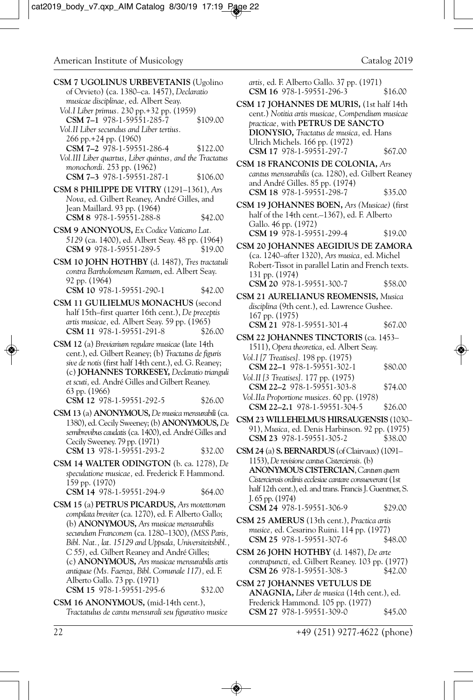| CSM 7 UGOLINUS URBEVETANIS (Ugolino<br>of Orvieto) (ca. 1380-ca. 1457), Declaratio<br>musicae disciplinae, ed. Albert Seay.<br>Vol.I Liber primus. 230 pp.+32 pp. (1959)<br>CSM 7-1 978-1-59551-285-7<br>\$109.00<br>Vol.II Liber secundus and Liber tertius.<br>266 pp. + 24 pp. (1960)<br>CSM 7-2 978-1-59551-286-4<br>\$122.00<br>Vol.III Liber quartus, Liber quintus, and the Tractatus<br>monochordi. 253 pp. (1962)<br>CSM 7-3 978-1-59551-287-1<br>\$106.00 | <i>artis,</i> ed. I<br><b>CSM 16</b><br>CSM 17 JOI<br>cent.) No<br>practicae,<br><b>DIONYS</b><br>Ulrich M<br>CSM 17<br>$CSM$ 18 FR<br>cantus me<br>and Andr |
|---------------------------------------------------------------------------------------------------------------------------------------------------------------------------------------------------------------------------------------------------------------------------------------------------------------------------------------------------------------------------------------------------------------------------------------------------------------------|--------------------------------------------------------------------------------------------------------------------------------------------------------------|
| CSM 8 PHILIPPE DE VITRY (1291-1361), Ars<br>Nova, ed. Gilbert Reaney, André Gilles, and<br>Jean Maillard. 93 pp. (1964)<br>CSM 8 978-1-59551-288-8<br>\$42.00                                                                                                                                                                                                                                                                                                       | CSM 18<br><b>CSM 19 JOI</b><br>half of the<br>Gallo. 46                                                                                                      |
| CSM 9 ANONYOUS, Ex Codice Vaticano Lat.<br>5129 (ca. 1400), ed. Albert Seay. 48 pp. (1964)<br>CSM 9 978-1-59551-289-5<br>\$19.00<br>CSM 10 JOHN HOTHBY (d. 1487), Tres tractatuli                                                                                                                                                                                                                                                                                   | <b>CSM 19</b><br>CSM 20 JOI<br>(ca. 1240<br>Robert-Ti                                                                                                        |
| contra Bartholomeum Ramum, ed. Albert Seay.<br>92 pp. (1964)<br>CSM 10 978-1-59551-290-1<br>\$42.00<br>CSM 11 GUILIELMUS MONACHUS (second                                                                                                                                                                                                                                                                                                                           | 131 pp. (1<br>CSM 20<br>CSM 21 AU                                                                                                                            |
| half 15th–first quarter 16th cent.), De preceptis<br>artis musicae, ed. Albert Seay. 59 pp. (1965)<br>CSM 11 978-1-59551-291-8<br>\$26.00                                                                                                                                                                                                                                                                                                                           | disciplina (<br>$167$ pp. $(1)$<br><b>CSM 21</b><br>CSM 22 JOF                                                                                               |
| CSM 12 (a) Breviarium regulare musicae (late 14th<br>cent.), ed. Gilbert Reaney; (b) Tractatus de figuris<br>sive de notis (first half 14th cent.), ed. G. Reaney;<br>(c) JOHANNES TORKESEY, Declaratio trianguli<br>et scuti, ed. André Gilles and Gilbert Reaney.<br>63 pp. (1966)                                                                                                                                                                                | 1511, O <sub>f</sub><br>Vol.I [7 Tree<br><b>CSM 22-</b><br>Vol.II [3 Tre<br><b>CSM 22-</b>                                                                   |
| CSM 12 978-1-59551-292-5<br>\$26.00<br>CSM 13 (a) ANONYMOUS, De musica mensurabili (ca.                                                                                                                                                                                                                                                                                                                                                                             | Vol.IIa Prop<br><b>CSM 22-</b><br>CSM 23 WIL                                                                                                                 |
| 1380), ed. Cecily Sweeney; (b) <b>ANONYMOUS</b> , De<br>semibrevibus caudatis (ca. 1400), ed. André Gilles and<br>Cecily Sweeney. 79 pp. (1971)                                                                                                                                                                                                                                                                                                                     | 91), Musi<br>CSM 23                                                                                                                                          |
| CSM 13 978-1-59551-293-2<br>\$32.00<br>CSM 14 WALTER ODINGTON (b. ca. 1278), De                                                                                                                                                                                                                                                                                                                                                                                     | $CSM 24$ (a) S<br>1153), $De$<br><b>ANONY</b>                                                                                                                |
| speculatione musicae, ed. Frederick F. Hammond.<br>159 pp. (1970)<br>CSM 14 978-1-59551-294-9<br>\$64.00                                                                                                                                                                                                                                                                                                                                                            | Cisterciensi<br>half 12th c                                                                                                                                  |
| CSM 15 (a) PETRUS PICARDUS, Ars motettorum<br>compilata breviter (ca. 1270), ed. F. Alberto Gallo;                                                                                                                                                                                                                                                                                                                                                                  | J. $65$ pp. $(1)$<br>CSM 24                                                                                                                                  |
| (b) <b>ANONYMOUS</b> , Ars musicae mensurabilis<br>secundum Franconem (ca. 1280-1300), (MSS Paris,<br>Bibl. Nat., lat. 15129 and Uppsala, Universiteitsbibl.,                                                                                                                                                                                                                                                                                                       | CSM 25 AM<br>musice, ec<br>CSM 25                                                                                                                            |
| C 55), ed. Gilbert Reaney and André Gilles;<br>(c) ANONYMOUS, Ars musicae mensurabilis artis<br>antiquae (Ms. Faenza, Bibl. Comunale 117), ed. F.                                                                                                                                                                                                                                                                                                                   | CSM 26 JOI<br>contrapun<br>CSM 26                                                                                                                            |
| Alberto Gallo. 73 pp. (1971)<br>CSM 15 978-1-59551-295-6<br>\$32.00                                                                                                                                                                                                                                                                                                                                                                                                 | CSM 27 JOI<br>ANAGN                                                                                                                                          |
| CSM 16 ANONYMOUS, (mid-14th cent.),<br>Tractatulus de cantu mensurali seu figurativo musice                                                                                                                                                                                                                                                                                                                                                                         | Frederick<br><b>CSM 27</b>                                                                                                                                   |

*artis,* ed. F. Alberto Gallo. 37 pp. (1971) **CSM 16** 978-1-59551-296-3 \$16.00

**CSM 17 JOHANNES DE MURIS,** (1st half 14th cent.) *Notitia artis musicae, Compendium musicae practicae,* with **PETRUS DE SANCTO DIONYSIO,** *Tractatus de musica,* ed. Hans ichels. 166 pp. (1972) **CSM 17** 978-1-59551-297-7 \$67.00

**CSM 18 FRANCONIS DE COLONIA,** *Ars cantus mensurabilis* (ca. 1280), ed. Gilbert Reaney ré Gilles. 85 pp. (1974) **CSM 18** 978-1-59551-298-7 \$35.00

**CSM 19 JOHANNES BOEN,** *Ars (Musicae)* (first e 14th cent.–1367), ed. F. Alberto pp. (1972) **CSM 19** 978-1-59551-299-4 \$19.00

**CSM 20 JOHANNES AEGIDIUS DE ZAMORA** (ca. 1240–after 1320), *Ars musica,* ed. Michel issot in parallel Latin and French texts. 974) **CSM 20** 978-1-59551-300-7 \$58.00

**RELIANUS REOMENSIS, Musica** 9th cent.), ed. Lawrence Gushee. 975) **CSM 21** 978-1-59551-301-4 \$67.00

**FANNES TINCTORIS** (ca. 1453– 1511), *Opera theoretica,* ed. Albert Seay. *Vol.I [7 Treatises].* 198 pp. (1975) **CSM 22–1** 978-1-59551-302-1 \$80.00

- *Vol.II [3 Treatises].* 177 pp. (1975) **CSM 22–2** 978-1-59551-303-8 \$74.00 *Vol.IIa Proportione musices.* 60 pp. (1978)
- **CSM 22–2.1** 978-1-59551-304-5 \$26.00
- **CSM 23 WILLEHELMUS HIRSAUGENSIS** (1030– 91), *Musica,* ed. Denis Harbinson. 92 pp. (1975) **CSM 23** 978-1-59551-305-2 \$38.00

**EBRNARDUS** (of Clairvaux) (1091– 1153), *De revisione cantus Cisterciensis.* (b) **ANONYMOUS CISTERCIAN**, *Cantum quem Cisterciensis ordinis ecclesiae cantare consueverant* (1st cent.), ed. and trans. Francis J. Guentner, S.  $(974)$ **CSM 24** 978-1-59551-306-9 \$29.00

- **CSM 25 AMERUS** (13th cent.), *Practica artis musice,* ed. Cesarino Ruini. 114 pp. (1977) **CSM 25** 978-1-59551-307-6 \$48.00
- **CSM 26 JOHN HOTHBY** (d. 1487), *De arte contrapuncti,* ed. Gilbert Reaney. 103 pp. (1977) **CSM 26** 978-1-59551-308-3 \$42.00

**HANNES VETULUS DE IA, Liber de musica (14th cent.), ed.** Hammond. 105 pp. (1977) **CSM 27** 978-1-59551-309-0 \$45.00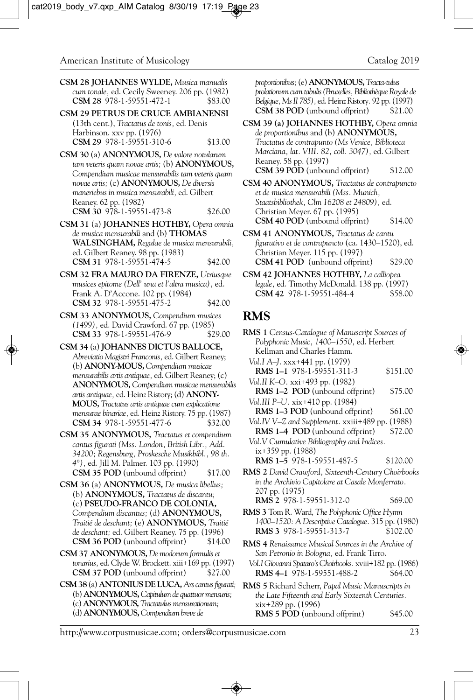**CSM 28 JOHANNES WYLDE,** *Musica manualis cum tonale,* ed. Cecily Sweeney. 206 pp. (1982) **CSM 28** 978-1-59551-472-1

**CSM 29 PETRUS DE CRUCE AMBIANENSI** (13th cent.), *Tractatus de tonis,* ed. Denis Harbinson. xxv pp. (1976) **CSM 29** 978-1-59551-310-6 \$13.00

**CSM 30** (a) **ANONYMOUS,** *De valore notularum tam veteris quam novae artis;* (b) **ANONYMOUS,** *Compendium musicae mensurabilis tam veteris quam novae artis;* (c) **ANONYMOUS,** *De diversis maneriebus in musica mensurabili,* ed. Gilbert Reaney. 62 pp. (1982) **CSM 30** 978-1-59551-473-8 \$26.00

**CSM 31** (a) **JOHANNES HOTHBY,** *Opera omnia de musica mensurabili* and (b) **THOMAS WALSINGHAM,** *Regulae de musica mensurabili,* ed. Gilbert Reaney. 98 pp. (1983) **CSM 31** 978-1-59551-474-5 \$42.00

**CSM 32 FRA MAURO DA FIRENZE,** *Utriusque musices epitome (Dell' una et l'altra musica),* ed. Frank A. D'Accone. 102 pp. (1984) **CSM 32** 978-1-59551-475-2 \$42.00

**CSM 33 ANONYMOUS,** *Compendium musices (1499),* ed. David Crawford. 67 pp. (1985) CSM 33 978-1-59551-476-9

**CSM 34** (a) **JOHANNES DICTUS BALLOCE,** *Abreviatio Magistri Franconis,* ed. Gilbert Reaney; (b) **ANONY-MOUS,** *Compendium musicae mensurabilis artis antiquae,* ed. Gilbert Reaney; (c) **ANONYMOUS,** *Compendium musicae mensurabilis artis antiquae,* ed. Heinz Ristory; (d) **ANONY-MOUS,** *Tractatus artis antiquae cum explicatione mensurae binariae,* ed. Heinz Ristory. 75 pp. (1987) **CSM 34** 978-1-59551-477-6 \$32.00

**CSM 35 ANONYMOUS,** *Tractatus et compendium cantus figurati (Mss. London, British Libr., Add. 34200; Regensburg, Proskesche Musikbibl., 98 th. 4°),* ed. Jill M. Palmer. 103 pp. (1990) **CSM 35 POD** (unbound offprint) \$17.00

**CSM 36** (a) **ANONYMOUS,** *De musica libellus;*  (b) **ANONYMOUS,** *Tractatus de discantu;*  (c) **PSEUDO-FRANCO DE COLONIA,** *Compendium discantus;* (d) **ANONYMOUS,** *Traitié de deschant;* (e) **ANONYMOUS,** *Traitié de deschant;* ed. Gilbert Reaney. 75 pp. (1996) **CSM 36 POD** (unbound offprint) \$14.00

- **CSM 37 ANONYMOUS,** *De modorum formulis et tonarius,* ed. Clyde W. Brockett. xiii+169 pp. (1997) **CSM 37 POD** (unbound offprint) \$27.00
- **CSM 38** (a) **ANTONIUS DE LUCA,** *Ars cantus figurati;* (b) **ANONYMOUS,** *Capitulum de quattuor mensuris;* (c) **ANONYMOUS,** *Tractatulus mensurationum;*  (d) **ANONYMOUS,** *Compendium breve de*

*proportionibus;* (e) **ANONYMOUS,** *Tracta-tulus prolationum cum tabulis (Bruxelles, Bibliothèque Royale de Belgique, Ms II 785),* ed. Heinz Ristory*.* 92 pp. (1997) **CSM 38 POD** (unbound offprint)

**CSM 39 (a) JOHANNES HOTHBY,** *Opera omnia de proportionibus* and (b) **ANONYMOUS,** *Tractatus de contrapunto (Ms Venice, Biblioteca Marciana, lat. VIII. 82, coll. 3047),* ed. Gilbert Reaney. 58 pp. (1997) **CSM 39 POD** (unbound offprint) \$12.00

**CSM 40 ANONYMOUS,** *Tractatus de contrapuncto et de musica mensurabili (Mss. Munich, Staatsbibliothek, Clm 16208 et 24809),* ed. Christian Meyer. 67 pp. (1995) **CSM 40 POD** (unbound offprint) \$14.00

**CSM 41 ANONYMOUS,** *Tractatus de cantu figurativo et de contrapuncto* (ca. 1430–1520), ed. Christian Meyer. 115 pp. (1997) **CSM 41 POD** (unbound offprint) \$29.00

**CSM 42 JOHANNES HOTHBY,** *La calliopea legale,* ed. Timothy McDonald. 138 pp. (1997) **CSM 42 978-1-59551-484-4** 

#### **RMS**

**RMS 1** *Census-Catalogue of Manuscript Sources of Polyphonic Music, 1400–1550,* ed. Herbert Kellman and Charles Hamm. *Vol.I A–J*. xxx+441 pp. (1979) **RMS 1-1** 978-1-59551-311-3 \$151.00 *Vol.II K–O.* xxi+493 pp. (1982) **RMS 1–2 POD** (unbound offprint) \$75.00 *Vol.III P–U.* xix+410 pp. (1984) **RMS 1–3 POD** (unbound offprint) \$61.00 *Vol.IV V–Z and Supplement.* xxiii+489 pp. (1988) **RMS 1–4 POD** (unbound offprint) \$72.00 *Vol.V Cumulative Bibliography and Indices.* ix+359 pp. (1988) **RMS 1–5** 978-1-59551-487-5 \$120.00 **RMS 2** *David Crawford, Sixteenth-Century Choirbooks in the Archivio Capitolare at Casale Monferrato.*  207 pp. (1975) **RMS 2** 978-1-59551-312-0 \$69.00 **RMS 3** Tom R. Ward, *The Polyphonic Office Hymn 1400–1520: A Descriptive Catalogue.* 315 pp. (1980) **RMS 3** 978-1-59551-313-7 \$102.00 **RMS 4** *Renaissance Musical Sources in the Archive of San Petronio in Bologna,* ed. Frank Tirro. *Vol.I Giovanni Spataro's Choirbooks.* xviii+182 pp. (1986) **RMS 4-1** 978-1-59551-488-2 \$64.00 **RMS 5** Richard Scherr, *Papal Music Manuscripts in the Late Fifteenth and Early Sixteenth Centuries.* 

**RMS 5 POD** (unbound offprint) \$45.00

xix+289 pp. (1996)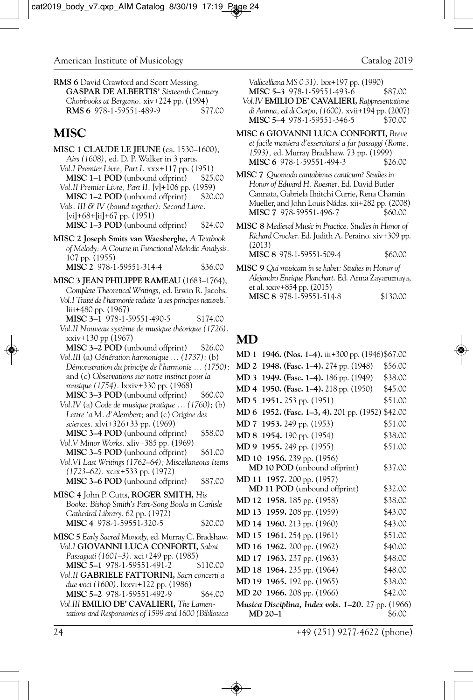**RMS 6** David Crawford and Scott Messing, **GASPAR DE ALBERTIS'** *Sixteenth Century Choirbooks at Bergamo.* xiv+224 pp. (1994) **RMS 6** 978-1-59551-489-9

# **MISC**

- **MISC 1 CLAUDE LE JEUNE** (ca. 1530–1600), *Airs (1608),* ed. D. P. Walker in 3 parts. *Vol.I Premier Livre, Part I.* xxx+117 pp. (1951) **MISC 1–1 POD** (unbound offprint) *Vol.II Premier Livre, Part II.* [v]+106 pp. (1959) **MISC 1–2 POD** (unbound offprint) \$20.00 *Vols. III & IV (bound together): Second Livre.* [vi]+68+[ii]+67 pp. (1951) **MISC 1–3 POD** (unbound offprint) \$24.00 **MISC 2 Joseph Smits van Waesberghe,** *A Textbook of Melody: A Course in Functional Melodic Analysis.* 107 pp. (1955) **MISC 2** 978-1-59551-314-4 \$36.00 **MISC 3 JEAN PHILIPPE RAMEAU** (1683–1764), *Complete Theoretical Writings,* ed. Erwin R. Jacobs. *Vol.I Traité de l'harmonie reduite 'a ses principes naturels.'* liii+480 pp. (1967) **MISC 3-1** 978-1-59551-490-5 \$174.00 *Vol.II Nouveau système de musique théorique (1726).* xxiv+130 pp (1967) **MISC 3–2 POD** (unbound offprint) \$26.00 *Vol.III* (a) *Génération harmonique … (1737);* (b) *Démonstration du principe de l'harmonie … (1750);* and (c) *Observations sur notre instinct pour la musique (1754).* lxxiv+330 pp. (1968) **MISC 3–3 POD** (unbound offprint) \$60.00 *Vol.IV* (a) *Code de musique pratique … (1760);* (b) *Lettre 'a M. d'Alembert;* and (c) *Origine des sciences.* xlvi+326+33 pp. (1969) **MISC 3-4 POD** (unbound offprint) \$58.00 *Vol.V Minor Works.* xliv+385 pp. (1969) **MISC 3–5 POD** (unbound offprint) \$61.00
	- *Vol.VI Last Writings (1762–64); Miscellaneous Items (1723–62).* xcix+533 pp. (1972) **MISC 3–6 POD** (unbound offprint) \$87.00
- **MISC 4** John P. Cutts, **ROGER SMITH,** *His Booke: Bishop Smith's Part-Song Books in Carlisle Cathedral Library.* 62 pp. (1972) **MISC 4** 978-1-59551-320-5 \$20.00
- **MISC 5** *Early Sacred Monody,* ed. Murray C. Bradshaw. *Vol.I* **GIOVANNI LUCA CONFORTI,** *Salmi Passagiati (1601–3).* xci+249 pp. (1985) **MISC 5–1** 978-1-59551-491-2 \$110.00
- *Vol.II* **GABRIELE FATTORINI,** *Sacri concerti a due voci (1600)*. lxxvi+122 pp. (1986) **MISC 5–2** 978-1-59551-492-9 \$64.00
- *Vol.III* **EMILIO DE' CAVALIERI,** *The Lamentations and Responsories of 1599 and 1600 (Biblioteca*

*Vallicelliana MS 0 31).* lxx+197 pp. (1990)

- **MISC 5-3** 978-1-59551-493-6 *Vol.IV* **EMILIO DE' CAVALIERI,** *Rappresentatione di Anima, ed di Corpo, (1600).* xvii+194 pp. (2007) MISC 5-4 978-1-59551-346-5
- **MISC 6 GIOVANNI LUCA CONFORTI,** *Breve et facile maniera d'essercitarsi a far passaggi (Rome, 1593),* ed. Murray Bradshaw. 73 pp. (1999) **MISC 6** 978-1-59551-494-3 \$26.00

**MISC 7** *Quomodo cantabimus canticum? Studies in Honor of Edward H. Roesner,* Ed. David Butler Cannata, Gabriela Ilnitchi Currie, Rena Charnin Mueller, and John Louis Nádas. xii+282 pp. (2008) MISC 7 978-59551-496-7 \$60.00

**MISC 8** *Medieval Music in Practice. Studies in Honor of Richard Crocker.* Ed. Judith A. Peraino. xiv+309 pp. (2013)

**MISC 8** 978-1-59551-509-4 \$60.00

**MISC 9** *Qui musicam in se habet: Studies in Honor of Alejandro Enrique Planchart.* Ed. Anna Zayaruznaya, et al. xxiv+854 pp. (2015) **MISC 8** 978-1-59551-514-8 \$130.00

#### **MD**

| MD 1<br>1946. (Nos. 1–4). iii+300 pp. (1946)\$67.00       |         |
|-----------------------------------------------------------|---------|
| MD 2<br>1948. (Fasc. 1–4). 274 pp. (1948)                 | \$56.00 |
| MD 3<br>1949. (Fasc. 1-4). 186 pp. (1949)                 | \$38.00 |
| MD 4<br>1950. (Fasc. 1–4). 218 pp. (1950)                 | \$45.00 |
| MD 5<br>1951. 253 pp. (1951)                              | \$51.00 |
| MD 6<br>1952. (Fasc. 1-3, 4). 201 pp. (1952) \$42.00      |         |
| MD 7<br>1953. 249 pp. (1953)                              | \$51.00 |
| MD 8<br>1954. 190 pp. (1954)                              | \$38.00 |
| 1955. 249 pp. (1955)<br>MD 9                              | \$51.00 |
| MD 10 1956. 239 pp. (1956)                                |         |
| <b>MD 10 POD</b> (unbound offprint)                       | \$37.00 |
| MD 11 1957. 200 pp. (1957)                                |         |
| <b>MD 11 POD</b> (unbound offprint)                       | \$32.00 |
| MD 12<br>1958. 185 pp. (1958)                             | \$38.00 |
| 1959. 208 pp. (1959)<br>MD 13                             | \$43.00 |
| MD 14 1960. 213 pp. (1960)                                | \$43.00 |
| MD 15 1961. 254 pp. (1961)                                | \$51.00 |
| MD 16<br>1962. 200 pp. (1962)                             | \$40.00 |
| MD 17<br>1963. 237 pp. (1963)                             | \$48.00 |
| MD 18<br>1964. 235 pp. (1964)                             | \$48.00 |
| MD 19<br>1965. 192 pp. (1965)                             | \$38.00 |
| MD 20<br>1966. 208 pp. (1966)                             | \$42.00 |
| <b>Musica Disciplina, Index vols. 1–20.</b> 27 pp. (1966) |         |
| MD 20-1                                                   | \$6.00  |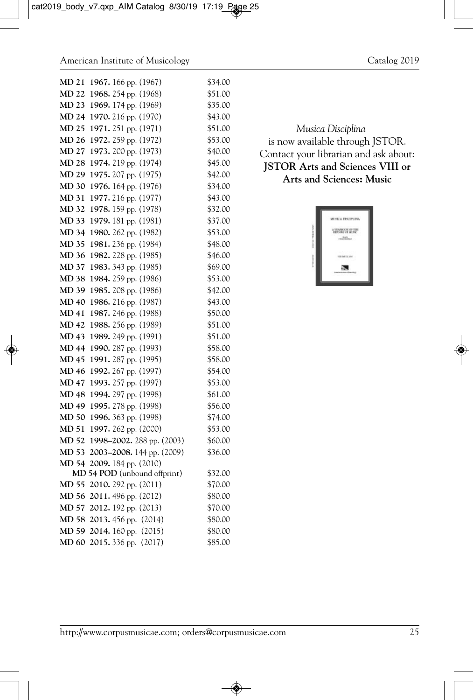| MD 21 | 1967. 166 pp. (1967)         | \$34.00 |
|-------|------------------------------|---------|
| MD 22 | 1968. 254 pp. (1968)         | \$51.00 |
| MD 23 | 1969. 174 pp. (1969)         | \$35.00 |
| MD 24 | 1970. 216 pp. (1970)         | \$43.00 |
| MD 25 | 1971. 251 pp. (1971)         | \$51.00 |
| MD 26 | 1972. 259 pp. (1972)         | \$53.00 |
| MD 27 | 1973. 200 pp. (1973)         | \$40.00 |
| MD 28 | 1974. 219 pp. (1974)         | \$45.00 |
| MD 29 | 1975. 207 pp. (1975)         | \$42.00 |
| MD 30 | 1976. 164 pp. (1976)         | \$34.00 |
| MD 31 | 1977. 216 pp. (1977)         | \$43.00 |
| MD 32 | 1978. 159 pp. (1978)         | \$32.00 |
| MD 33 | 1979. 181 pp. (1981)         | \$37.00 |
| MD 34 | 1980. 262 pp. (1982)         | \$53.00 |
| MD 35 | 1981. 236 pp. (1984)         | \$48.00 |
| MD 36 | 1982. 228 pp. (1985)         | \$46.00 |
| MD 37 | 1983. 343 pp. (1985)         | \$69.00 |
| MD 38 | 1984. 259 pp. (1986)         | \$53.00 |
| MD 39 | 1985. 208 pp. (1986)         | \$42.00 |
| MD 40 | 1986. 216 pp. (1987)         | \$43.00 |
| MD 41 | 1987. 246 pp. (1988)         | \$50.00 |
| MD 42 | 1988. 256 pp. (1989)         | \$51.00 |
| MD 43 | 1989. 249 pp. (1991)         | \$51.00 |
| MD 44 | 1990. 287 pp. (1993)         | \$58.00 |
| MD 45 | 1991. 287 pp. (1995)         | \$58.00 |
| MD 46 | 1992. 267 pp. (1997)         | \$54.00 |
| MD 47 | 1993. 257 pp. (1997)         | \$53.00 |
| MD 48 | 1994. 297 pp. (1998)         | \$61.00 |
| MD 49 | 1995. 278 pp. (1998)         | \$56.00 |
| MD 50 | 1996. 363 pp. (1998)         | \$74.00 |
| MD 51 | 1997. 262 pp. (2000)         | \$53.00 |
| MD 52 | 1998-2002. 288 pp. (2003)    | \$60.00 |
| MD 53 | 2003-2008. 144 pp. (2009)    | \$36.00 |
| MD 54 | 2009. 184 pp. (2010)         |         |
|       | MD 54 POD (unbound offprint) | \$32.00 |
| MD 55 | 2010. 292 pp. (2011)         | \$70.00 |
| MD 56 | 2011. 496 pp. (2012)         | \$80.00 |
| MD 57 | 2012. 192 pp. (2013)         | \$70.00 |
| MD 58 | 2013. 456 pp. (2014)         | \$80.00 |
|       | MD 59 2014. 160 pp. (2015)   | \$80.00 |
| MD 60 | 2015. 336 pp. (2017)         | \$85.00 |

#### *Musica Disciplina* is now available through JSTOR. Contact your librarian and ask about: **JSTOR Arts and Sciences VIII or Arts and Sciences: Music**

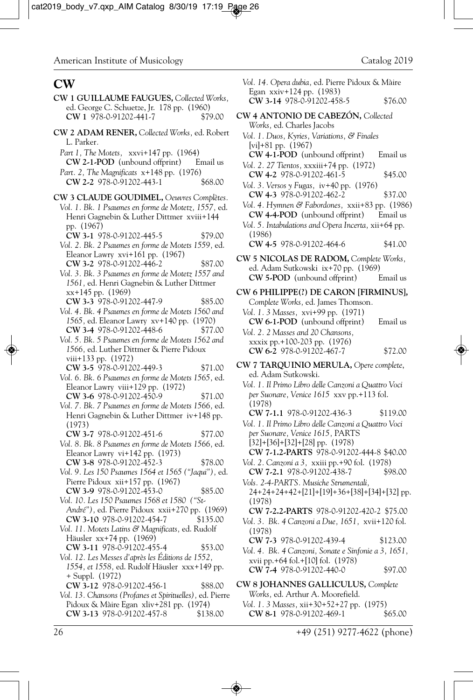### **CW**

- **CW 1 GUILLAUME FAUGUES,** *Collected Works,* ed. George C. Schuetze, Jr. 178 pp. (1960)<br> **CW** 1 978-0-91202-441-7 \$79.00 **CW 1 978-0-91202-441-7**
- **CW 2 ADAM RENER,** *Collected Works,* ed. Robert L. Parker*.*
- *Part 1, The Motets,* xxvi+147 pp. (1964) **CW 2-1-POD** (unbound offprint) Email us *Part. 2, The Magnificats* x+148 pp. (1976)
- **CW 2-2** 978-0-91202-443-1 \$68.00
- **CW 3 CLAUDE GOUDIMEL,** *Oeuvres Complètes. Vol. 1. Bk. 1 Psaumes en forme de Motetz, 1557,* ed. Henri Gagnebin & Luther Dittmer xviii+144 pp. (1967)
	- **CW 3-1** 978-0-91202-445-5 \$79.00
	- *Vol. 2. Bk. 2 Psaumes en forme de Motets 1559,* ed. Eleanor Lawry xvi+161 pp. (1967) **CW 3-2** 978-0-91202-446-2 \$87.00
	- *Vol. 3. Bk. 3 Psaumes en forme de Motetz 1557 and 1561,* ed. Henri Gagnebin & Luther Dittmer xx+145 pp. (1969)
	- **CW 3-3** 978-0-91202-447-9 \$85.00 *Vol. 4. Bk. 4 Psaumes en forme de Motets 1560 and 1565,* ed. Eleanor Lawry xv+140 pp. (1970) **CW 3-4** 978-0-91202-448-6 \$77.00
	- *Vol. 5. Bk. 5 Psaumes en forme de Motets 1562 and 1566,* ed. Luther Dittmer & Pierre Pidoux viii+133 pp. (1972)
	- **CW 3-5** 978-0-91202-449-3 \$71.00
	- *Vol. 6. Bk. 6 Psaumes en forme de Motets 1565,* ed. Eleanor Lawry viii+129 pp. (1972) **CW 3-6** 978-0-91202-450-9 \$71.00
	- *Vol. 7. Bk. 7 Psaumes en forme de Motets 1566,* ed. Henri Gagnebin & Luther Dittmer iv+148 pp. (1973)
	- **CW 3-7** 978-0-91202-451-6 \$77.00
	- *Vol. 8. Bk. 8 Psaumes en forme de Motets 1566,* ed. Eleanor Lawry vi+142 pp. (1973) **CW 3-8** 978-0-91202-452-3 \$78.00
	- *Vol. 9. Les 150 Psaumes 1564 et 1565 ("Jaqui"),* ed. Pierre Pidoux xii+157 pp. (1967) **CW 3-9** 978-0-91202-453-0 \$85.00
	- *Vol. 10. Les 150 Psaumes 1568 et 1580 ("St-André"),* ed. Pierre Pidoux xxii+270 pp. (1969) **CW 3-10** 978-0-91202-454-7 \$135.00
	- *Vol. 11. Motets Latins & Magnificats,* ed. Rudolf Häusler xx+74 pp. (1969)
	- **CW 3-11** 978-0-91202-455-4 \$53.00 *Vol. 12. Les Messes d'après les Éditions de 1552, 1554, et 1558,* ed. Rudolf Häusler xxx+149 pp. + Suppl. (1972)
	- **CW 3-12** 978-0-91202-456-1 \$88.00
	- *Vol. 13. Chansons (Profanes et Spirituelles),* ed. Pierre Pidoux & Màire Egan xliv+281 pp. (1974) **CW 3-13** 978-0-91202-457-8 \$138.00

|                                                                                                  | Catalog 2019 |
|--------------------------------------------------------------------------------------------------|--------------|
| Vol. 14. Opera dubia, ed. Pierre Pidoux & Màire<br>Egan xxiv+124 pp. (1983)                      |              |
| CW 3-14 978-0-91202-458-5                                                                        | \$76.00      |
| CW 4 ANTONIO DE CABEZÓN, Collected<br>Works, ed. Charles Jacobs                                  |              |
| Vol. 1. Duos, Kyries, Variations, & Finales                                                      |              |
| [vi]+81 pp. $(1967)$<br>CW 4-1-POD (unbound offprint) Email us                                   |              |
| Vol. 2. 27 Tientos, xxxiii+74 pp. (1972)<br>CW 4-2 978-0-91202-461-5                             | \$45.00      |
| Vol. 3. Versos y Fugas, iv+40 pp. (1976)<br>CW 4-3 978-0-91202-462-2                             | \$37.00      |
| Vol. 4. Hymnen & Fabordones, xxii+83 pp. (1986)                                                  |              |
| CW 4-4-POD (unbound offprint) Email us<br>Vol. 5. Intabulations and Opera Incerta, xii+64 pp.    |              |
| (1986)<br>CW 4-5 978-0-91202-464-6                                                               | \$41.00      |
| CW 5 NICOLAS DE RADOM, Complete Works,                                                           |              |
| ed. Adam Sutkowski ix+70 pp. (1969)<br>CW 5-POD (unbound offprint)                               | Email us     |
| CW 6 PHILIPPE(?) DE CARON [FIRMINUS],                                                            |              |
| Complete Works, ed. James Thomson.<br>Vol. 1. 3 Masses, xvi+99 pp. (1971)                        |              |
| CW 6-1-POD (unbound offprint)<br>Vol. 2. 2 Masses and 20 Chansons,                               | Email us     |
| xxxix pp.+100-203 pp. (1976)<br>CW 6-2 978-0-91202-467-7                                         | \$72.00      |
| CW 7 TARQUINIO MERULA, Opere complete,<br>ed. Adam Sutkowski.                                    |              |
| Vol. 1. Il Primo Libro delle Canzoni a Quattro Voci<br>per Suonare, Venice 1615 xxv pp.+113 fol. |              |
| (1978)<br>CW 7-1.1 978-0-91202-436-3                                                             | \$119.00     |
| Vol. 1. Il Primo Libro delle Canzoni a Quattro Voci                                              |              |
| per Suonare, Venice 1615, PARTS<br>$[32]+[36]+[32]+[28]$ pp. (1978)                              |              |
| CW 7-1.2-PARTS 978-0-91202-444-8 \$40.00<br>Vol. 2. Canzoni a 3, xxiii pp.+90 fol. (1978)        |              |
| CW 7-2.1 978-0-91202-438-7                                                                       | \$98.00      |
| Vols. 2-4-PARTS. Musiche Strumentali,<br>24+24+24+42+[21]+[19]+36+[38]+[34]+[32] pp.<br>(1978)   |              |
| CW 7-2.2-PARTS 978-0-91202-420-2 \$75.00                                                         |              |
| Vol. 3. Bk. 4 Canzoni a Due, 1651, xvii+120 fol.<br>(1978)                                       |              |
| CW 7-3 978-0-91202-439-4<br>Vol. 4. Bk. 4 Canzoni, Sonate e Sinfonie a 3, 1651,                  | \$123.00     |
| xvii pp.+64 fol.+[10] fol. (1978)<br>CW 7-4 978-0-91202-440-0                                    | \$97.00      |
| CW 8 JOHANNES GALLICULUS, Complete                                                               |              |
| Works, ed. Arthur A. Moorefield.<br>Vol. 1. 3 Masses, xii+30+52+27 pp. (1975)                    |              |
| CW 8-1 978-0-91202-469-1                                                                         | \$65.00      |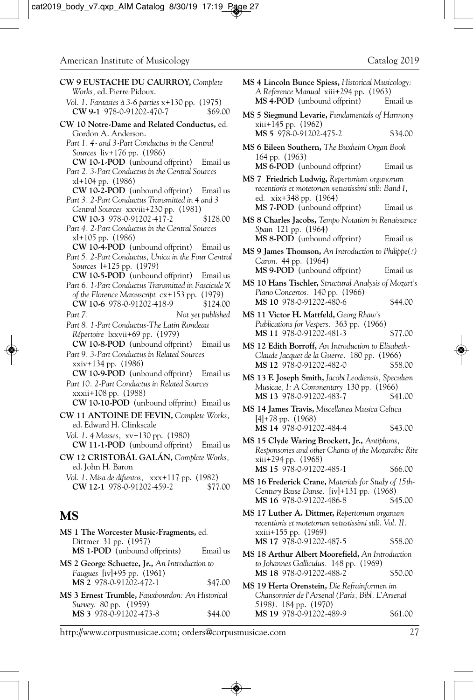**MS 4 Lincoln Bunce Spiess,** *Historical Musicology:*

| CW 9 EUSTACHE DU CAURROY, Complete<br>Works, ed. Pierre Pidoux.                                        |
|--------------------------------------------------------------------------------------------------------|
|                                                                                                        |
| Vol. 1. Fantasies à 3-6 parties x+130 pp. (1975)<br>CW 9-1 978-0-91202-470-7<br>\$69.00                |
| CW 10 Notre-Dame and Related Conductus, ed.                                                            |
| Gordon A. Anderson.                                                                                    |
| Part 1.4- and 3-Part Conductus in the Central                                                          |
| Sources liv+176 pp. (1986)                                                                             |
| <b>CW 10-1-POD</b> (unbound offprint) Email us                                                         |
| Part 2. 3-Part Conductus in the Central Sources                                                        |
| xl+104 pp. (1986)                                                                                      |
| CW 10-2-POD (unbound offprint) Email us                                                                |
|                                                                                                        |
| Part 3. 2-Part Conductus Transmitted in 4 and 3                                                        |
| Central Sources xxviii+230 pp. (1981)                                                                  |
| CW 10-3 978-0-91202-417-2<br>\$128.00                                                                  |
| Part 4. 2-Part Conductus in the Central Sources                                                        |
| xl+105 pp. (1986)                                                                                      |
| CW 10-4-POD (unbound offprint) Email us                                                                |
|                                                                                                        |
| Part 5. 2-Part Conductus, Unica in the Four Central                                                    |
| Sources 1+125 pp. (1979)                                                                               |
| <b>CW 10-5-POD</b> (unbound offprint) Email us                                                         |
| Part 6. 1-Part Conductus Transmitted in Fascicule X                                                    |
| of the Florence Manuscript cx+153 pp. (1979)                                                           |
| CW 10-6 978-0-91202-418-9<br>\$124.00                                                                  |
|                                                                                                        |
| Part 7.<br>Not yet published                                                                           |
| Part 8. 1-Part Conductus-The Latin Rondeau                                                             |
| Répertoire lxxvii+69 pp. (1979)                                                                        |
| <b>CW 10-8-POD</b> (unbound offprint)<br>Email us                                                      |
|                                                                                                        |
| Part 9. 3-Part Conductus in Related Sources                                                            |
| xxiv+134 pp. (1986)                                                                                    |
|                                                                                                        |
| <b>CW 10-9-POD</b> (unbound offprint) Email us                                                         |
|                                                                                                        |
| Part 10. 2-Part Conductus in Related Sources                                                           |
| xxxii+108 pp. (1988)                                                                                   |
| <b>CW 10-10-POD</b> (unbound offprint) Email us                                                        |
|                                                                                                        |
| ed. Edward H. Clinkscale                                                                               |
|                                                                                                        |
| Vol. 1. 4 Masses, xv+130 pp. (1980)                                                                    |
| <b>CW 11-1-POD</b> (unbound offprint) Email us                                                         |
|                                                                                                        |
|                                                                                                        |
| CW 11 ANTOINE DE FEVIN, Complete Works,<br>CW 12 CRISTOBÁL GALÁN, Complete Works,<br>ed. John H. Baron |
| Vol. 1. Misa de difuntos, xxx+117 pp. (1982)                                                           |
| CW 12-1 978-0-91202-459-2<br>\$77.00                                                                   |
|                                                                                                        |
|                                                                                                        |
|                                                                                                        |
| MS                                                                                                     |
|                                                                                                        |
|                                                                                                        |
| MS 1 The Worcester Music-Fragments, ed.<br>Dittmer 31 pp. (1957)                                       |
| MS 1-POD (unbound offprints)<br>Email us                                                               |
| MS 2 George Schuetze, Jr., An Introduction to                                                          |
|                                                                                                        |
| Faugues [iv]+95 pp. (1961)<br>MS 2 978-0-91202-472-1<br>\$47.00                                        |
|                                                                                                        |
| MS 3 Ernest Trumble, Fauxbourdon: An Historical                                                        |
| Survey. 80 pp. (1959)<br>MS 3 978-0-91202-473-8<br>\$44.00                                             |

| $\mathcal{E}$ | A Reference Manual xiii+294 pp. (1963)<br>MS 4-POD (unbound offprint)                                                                                         | Email us |
|---------------|---------------------------------------------------------------------------------------------------------------------------------------------------------------|----------|
| 0.00          | MS 5 Siegmund Levarie, Fundamentals of Harmony                                                                                                                |          |
| ed.           | xiii+145 pp. (1962)<br>MS 5 978-0-91202-475-2                                                                                                                 | \$34.00  |
|               | MS 6 Eileen Southern, The Buxheim Organ Book<br>164 pp. (1963)                                                                                                |          |
| l us          | MS 6-POD (unbound offprint)                                                                                                                                   | Email us |
| 1 us          | MS 7 Friedrich Ludwig, Repertorium organorum<br>recentioris et motetorum vetustissimi stili: Band I,<br>ed. xix+348 pp. (1964)<br>MS 7-POD (unbound offprint) | Email us |
| 3.00          | MS 8 Charles Jacobs, Tempo Notation in Renaissance                                                                                                            |          |
|               | Spain 121 pp. (1964)<br>MS 8-POD (unbound offprint)                                                                                                           | Email us |
| l us          | MS 9 James Thomson, An Introduction to Philippe(?)                                                                                                            |          |
| ntral<br>1 us | Caron. 44 pp. (1964)<br>MS 9-POD (unbound offprint)                                                                                                           | Email us |
| le X          | MS 10 Hans Tischler, Structural Analysis of Mozart's<br>Piano Concertos. 140 pp. (1966)                                                                       |          |
| 9).<br>1.00   | MS 10 978-0-91202-480-6                                                                                                                                       | \$44.00  |
| hed:          | MS 11 Victor H. Mattfeld, Georg Rhaw's<br>Publications for Vespers. 363 pp. (1966)                                                                            |          |
|               | MS 11 978-0-91202-481-3                                                                                                                                       | \$77.00  |
| l us          | MS 12 Edith Borroff, An Introduction to Elisabeth-<br>Claude Jacquet de la Guerre. 180 pp. (1966)<br>MS 12 978-0-91202-482-0                                  | \$58.00  |
| 1 us          | MS 13 F. Joseph Smith, Jacobi Leodiensis, Speculum<br>Musicae, I: A Commentary 130 pp. (1966)<br>MS 13 978-0-91202-483-7                                      | \$41.00  |
| l us<br>rks,  | MS 14 James Travis, Miscellanea Musica Celtica                                                                                                                |          |
|               | $[4]+78$ pp. $(1968)$<br>MS 14 978-0-91202-484-4                                                                                                              | \$43.00  |
| l us<br>rks,  | MS 15 Clyde Waring Brockett, Jr., Antiphons,<br>Responsories and other Chants of the Mozarabic Rite<br>xiii+294 pp. (1968)                                    |          |
|               | MS 15 978-0-91202-485-1                                                                                                                                       | \$66.00  |
| 00.7          | MS 16 Frederick Crane, Materials for Study of 15th-<br>Century Basse Danse. [iv]+131 pp. (1968)                                                               |          |
|               | MS 16 978-0-91202-486-8<br>MS 17 Luther A. Dittmer, Repertorium organum                                                                                       | \$45.00  |
|               | recentioris et motetorum vetustissimi stili. Vol. II.<br>xxiii+155 pp. (1969)                                                                                 |          |
| l us          | MS 17 978-0-91202-487-5<br>MS 18 Arthur Albert Moorefield, An Introduction                                                                                    | \$58.00  |
|               | to Johannes Galliculus. 148 pp. (1969)<br>MS 18 978-0-91202-488-2                                                                                             | \$50.00  |
| 0.00          | MS 19 Herta Orenstein, Die Refrainformen im                                                                                                                   |          |
| cal           | Chansonnier de l'Arsenal (Paris, Bibl. L'Arsenal<br>5198). 184 pp. (1970)                                                                                     |          |
| .00           | MS 19 978-0-91202-489-9                                                                                                                                       | \$61.00  |
|               |                                                                                                                                                               |          |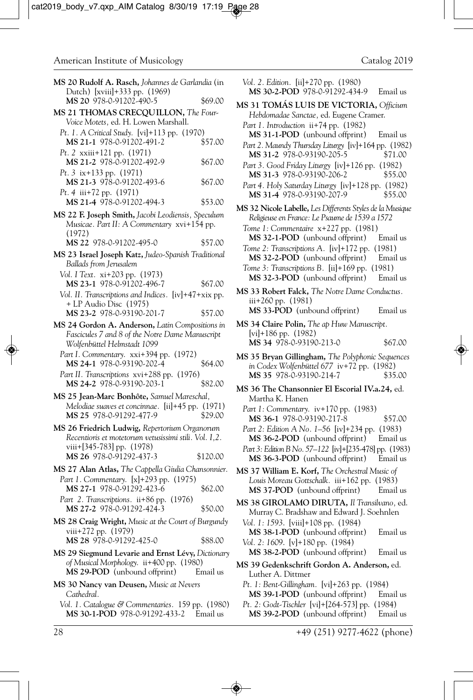| <b>MS 20 Rudolf A. Rasch,</b> Johannes de Garlandia (in                                                    |          |   |
|------------------------------------------------------------------------------------------------------------|----------|---|
| Dutch) [xviii]+333 pp. (1969)<br>MS 20 978-0-91202-490-5                                                   | \$69.00  |   |
| MS 21 THOMAS CRECQUILLON, The Four-                                                                        |          | ľ |
| Voice Motets, ed. H. Lowen Marshall.                                                                       |          |   |
| Pt. 1. A Critical Study. [vi]+113 pp. (1970)<br>MS 21-1 978-0-91202-491-2                                  | \$57.00  |   |
| Pt. 2 xxiii+121 pp. (1971)<br>MS 21-2 978-0-91202-492-9                                                    | \$67.00  |   |
| Pt. 3 ix+133 pp. (1971)<br>MS 21-3 978-0-91202-493-6                                                       | \$67.00  |   |
| Pt. 4 iii+72 pp. (1971)<br>MS 21-4 978-0-91202-494-3                                                       | \$53.00  | ľ |
| MS 22 F. Joseph Smith, Jacobi Leodiensis, Speculum<br>Musicae. Part II: A Commentary xvi+154 pp.<br>(1972) |          |   |
| MS 22 978-0-91202-495-0                                                                                    | \$57.00  |   |
| MS 23 Israel Joseph Katz, Judeo-Spanish Traditional<br>Ballads from Jerusalem                              |          |   |
| Vol. I Text. xi+203 pp. (1973)                                                                             |          |   |
| MS 23-1 978-0-91202-496-7<br>Vol. II. Transcriptions and Indices. [iv]+47+xix pp.                          | \$67.00  | ľ |
| + LP Audio Disc (1975)<br>MS 23-2 978-0-93190-201-7                                                        | \$57.00  |   |
| MS 24 Gordon A. Anderson, Latin Compositions in                                                            |          | J |
| Fascicules 7 and 8 of the Notre Dame Manuscript<br>Wolfenbüttel Helmstadt 1099                             |          |   |
| Part I. Commentary. xxi+394 pp. (1972)<br>MS 24-1 978-0-93190-202-4                                        | \$64.00  | ľ |
| Part II. Transcriptions xvi+288 pp. (1976)<br>MS 24-2 978-0-93190-203-1                                    | \$82.00  | ľ |
| <b>MS 25 Jean-Marc Bonhôte,</b> Samuel Mareschal,<br>Melodiae suaves et concinnae. [ii]+45 pp. (1971)      |          |   |
| MS 25 978-0-91292-477-9                                                                                    | \$29.00  |   |
| MS 26 Friedrich Ludwig, Repertorium Organorum<br>Recentioris et motetorum vetusissimi stili. Vol. I,2.     |          |   |
| viii+[345-783] pp. (1978)<br>MS 26 978-0-91292-437-3                                                       | \$120.00 |   |
| <b>MS 27 Alan Atlas,</b> The Cappella Giulia Chansonnier.                                                  |          | ľ |
| Part 1. Commentary. [x]+293 pp. (1975)<br>MS 27-1 978-0-91292-423-6                                        | \$62.00  |   |
| Part 2. Transcriptions. ii+86 pp. (1976)<br>MS 27-2 978-0-91292-424-3                                      | \$50.00  | ľ |
| MS 28 Craig Wright, Music at the Court of Burgundy<br>viii+272 pp. (1979)<br>MS 28 978-0-91292-425-0       | \$88.00  |   |
| MS 29 Siegmund Levarie and Ernst Lévy, Dictionary                                                          |          |   |
| of Musical Morphology. ii+400 pp. (1980)<br>MS 29-POD (unbound offprint)                                   | Email us | ľ |
| <b>MS 30 Nancy van Deusen,</b> Music at Nevers<br>Cathedral.                                               |          |   |
| Vol. 1. Catalogue & Commentaries. 159 pp. (1980)<br>MS 30-1-POD 978-0-91292-433-2. Email us                |          |   |

*Vol. 2. Edition.* [ii]+270 pp. (1980) **MS 30-2-POD** 978-0-91292-434-9 Email us **MS 31 TOMÁS LUIS DE VICTORIA,** *Officium Hebdomadae Sanctae,* ed. Eugene Cramer. *Part 1. Introduction* ii+74 pp. (1982) **MS 31-1-POD** (unbound offprint) Email us *Part 2. Maundy Thursday Liturgy* [iv]+164 pp. (1982) MS 31-2 978-0-93190-205-5 *Part 3. Good Friday Liturgy* [iv]+126 pp. (1982) **MS 31-3** 978-0-93190-206-2 \$55.00 *Part 4. Holy Saturday Liturgy* [iv]+128 pp. (1982) **MS 31-4** 978-0-93190-207-9 \$55.00 **MS 32 Nicole Labelle,** *Les Differents Styles de la Musique Religieuse en France: Le Psaume de 1539 a 1572 Tome 1: Commentaire* x+227 pp. (1981) **MS 32-1-POD** (unbound offprint) Email us *Tome 2: Transcriptions A.* [iv]+172 pp. (1981) **MS 32-2-POD** (unbound offprint) Email us *Tome 3: Transcriptions B.* [ii]+169 pp. (1981)<br>**MS 32-3-POD** (unbound offprint) Email us **MS 32-3-POD** (unbound offprint) **MS 33 Robert Falck,** *The Notre Dame Conductus.* iii+260 pp. (1981) **MS 33-POD** (unbound offprint) Email us **MS 34 Claire Polin,** *The ap Huw Manuscript.* [vi]+186 pp. (1982) **MS 34** 978-0-93190-213-0 \$67.00 **MS 35 Bryan Gillingham,** *The Polyphonic Sequences in Codex Wolfenbüttel 677* iv+72 pp. (1982) **MS 35** 978-0-93190-214-7 \$35.00 **MS 36 The Chansonnier El Escorial IV.a.24,** ed. Martha K. Hanen *Part 1: Commentary.* iv+170 pp. (1983) **MS 36-1** 978-0-93190-217-8 \$57.00 *Part 2: Edition A No. 1–56* [iv]+234 pp. (1983) **MS 36-2-POD** (unbound offprint) Email us *Part 3: Edition B No. 57–122* [iv]+[235-478] pp. (1983) **MS 36-3-POD** (unbound offprint) Email us **MS 37 William E. Korf,** *The Orchestral Music of Louis Moreau Gottschalk.* iii+162 pp. (1983) **MS 37-POD** (unbound offprint) Email us **MS 38 GIROLAMO DIRUTA,** *Il Transilvano,* ed. Murray C. Bradshaw and Edward J. Soehnlen *Vol. 1: 1593*. [viii]+108 pp. (1984) **MS 38-1-POD** (unbound offprint) Email us *Vol. 2: 1609*. [v]+180 pp. (1984) **MS 38-2-POD** (unbound offprint) Email us **MS 39 Gedenkschrift Gordon A. Anderson,** ed. Luther A. Dittmer *Pt. 1: Bent-Gillingham.* [vi]+263 pp. (1984)

- **MS 39-1-POD** (unbound offprint) Email us *Pt. 2: Godt-Tischler* [vi]+[264-573] pp. (1984)
- **MS 39-2-POD** (unbound offprint) Email us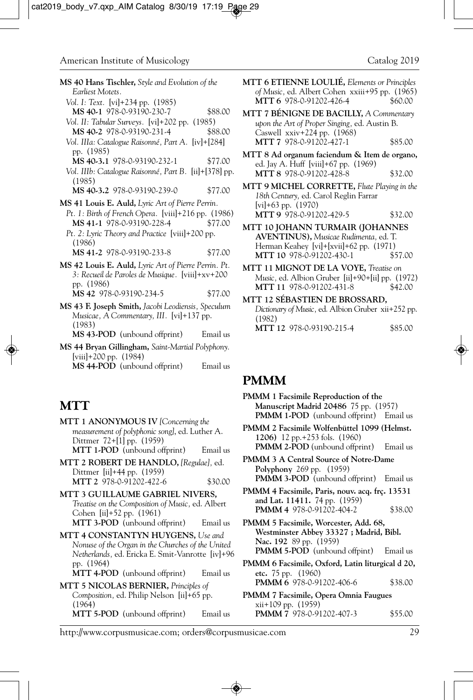| <b>MS 40 Hans Tischler,</b> Style and Evolution of the<br>Earliest Motets.                                            | ľ |
|-----------------------------------------------------------------------------------------------------------------------|---|
| Vol. I: Text. [vi]+234 pp. (1985)<br>MS 40-1 978-0-93190-230-7<br>\$88.00                                             | N |
| Vol. II: Tabular Surveys. [vi]+202 pp. (1985)<br>MS 40-2 978-0-93190-231-4<br>\$88.00                                 |   |
| Vol. IIIa: Catalogue Raisonné, Part A. [iv]+[284]<br>pp. (1985)                                                       | Ŋ |
| \$77.00<br>MS 40-3.1 978-0-93190-232-1<br>Vol. IIIb: Catalogue Raisonné, Part B. [ii]+[378] pp.                       |   |
| (1985)<br>MS 40-3.2 978-0-93190-239-0<br>\$77.00                                                                      | Ŋ |
| <b>MS 41 Louis E. Auld,</b> Lyric Art of Pierre Perrin.                                                               |   |
| Pt. 1: Birth of French Opera. [viii]+216 pp. (1986)<br>MS 41-1 978-0-93190-228-4<br>\$77.00                           | N |
| Pt. 2: Lyric Theory and Practice [viii]+200 pp.<br>(1986)                                                             |   |
| MS 41-2 978-0-93190-233-8<br>\$77.00                                                                                  |   |
| MS 42 Louis E. Auld, Lyric Art of Pierre Perrin. Pt.<br>3: Recueil de Paroles de Musique. [viii]+xv+200<br>pp. (1986) | N |
| MS 42 978-0-93190-234-5<br>\$77.00                                                                                    | Ŋ |
| <b>MS 43 F. Joseph Smith,</b> Jacobi Leodiensis, Speculum<br>Musicae, A Commentary, III. [vi]+137 pp.                 |   |

- (1983) **MS 43-POD** (unbound offprint) Email us
- **MS 44 Bryan Gillingham,** *Saint-Martial Polyphony.* [viii]+200 pp. (1984)

**MS 44-POD** (unbound offprint) Email us

#### **MTT**

- **MTT 1 ANONYMOUS IV** *[Concerning the measurement of polyphonic song]*, ed. Luther A. Dittmer 72+[1] pp. (1959) **MTT 1-POD** (unbound offprint) Email us
- **MTT 2 ROBERT DE HANDLO,** *[Regulae],* ed. Dittmer [ii]+44 pp. (1959) **MTT 2** 978-0-91202-422-6 \$30.00
- **MTT 3 GUILLAUME GABRIEL NIVERS,** *Treatise on the Composition of Music,* ed. Albert Cohen [ii]+52 pp. (1961) **MTT 3-POD** (unbound offprint) Email us
- **MTT 4 CONSTANTYN HUYGENS,** *Use and Nonuse of the Organ in the Churches of the United Netherlands,* ed. Ericka E. Smit-Vanrotte [iv]+96 pp. (1964)

```
MTT 4-POD (unbound offprint) Email us
```
**MTT 5 NICOLAS BERNIER,** *Principles of Composition,* ed. Philip Nelson [ii]+65 pp. (1964) **MTT 5-POD** (unbound offprint) Email us **MTT 6 ETIENNE LOULIÉ,** *Elements or Principles of Music*, ed. Albert Cohen xxiii+95 pp. (1965)<br>**MTT 6** 978-0-91202-426-4 \$60.00 **MTT 6** 978-0-91202-426-4

- **MTT 7 BÉNIGNE DE BACILLY,** *A Commentary upon the Art of Proper Singing,* ed. Austin B. Caswell xxiv+224 pp. (1968) **MTT 7** 978-0-91202-427-1 \$85.00
- **MTT 8 Ad organum faciendum & Item de organo,** ed. Jay A. Huff [viii]+67 pp. (1969) **MTT 8** 978-0-91202-428-8 \$32.00
- **MTT 9 MICHEL CORRETTE,** *Flute Playing in the 18th Century,* ed. Carol Reglin Farrar [vi]+63 pp. (1970) **MTT 9** 978-0-91202-429-5 \$32.00
- **MTT 10 JOHANN TURMAIR (JOHANNES AVENTINUS),** *Musicae Rudimenta,* ed. T. Herman Keahey [vi]+[xvii]+62 pp. (1971)<br>**MTT 10** 978-0-91202-430-1 \$57.00 **MTT 10** 978-0-91202-430-1
- **MTT 11 MIGNOT DE LA VOYE,** *Treatise on Music,* ed. Albion Gruber [ii]+90+[ii] pp. (1972) **MTT 11 978-0-91202-431-8**
- **MTT 12 SÉBASTIEN DE BROSSARD,** *Dictionary of Music,* ed. Albion Gruber xii+252 pp. (1982) **MTT 12** 978-0-93190-215-4 \$85.00

### **PMMM**

- **PMMM 1 Facsimile Reproduction of the Manuscript Madrid 20486** 75 pp. (1957) **PMMM 1-POD** (unbound offprint) Email us
- **PMMM 2 Facsimile Wolfenbüttel 1099 (Helmst. 1206)** 12 pp.+253 fols. (1960) **PMMM 2-POD** (unbound offprint) Email us
- **PMMM 3 A Central Source of Notre-Dame Polyphony** 269 pp. (1959) **PMMM 3-POD** (unbound offprint) Email us
- **PMMM 4 Facsimile, Paris, nouv. acq. frç. 13531 and Lat. 11411.** 74 pp. (1959) **PMMM 4** 978-0-91202-404-2 \$38.00

**PMMM 5 Facsimile, Worcester, Add. 68, Westminster Abbey 33327 ; Madrid, Bibl. Nac. 192** 89 pp. (1959) **PMMM 5-POD** (unbound offpint) Email us

- **PMMM 6 Facsimile, Oxford, Latin liturgical d 20, etc.** 75 pp. (1960) **PMMM 6** 978-0-91202-406-6 \$38.00
- **PMMM 7 Facsimile, Opera Omnia Faugues** xii+109 pp. (1959) **PMMM 7** 978-0-91202-407-3 \$55.00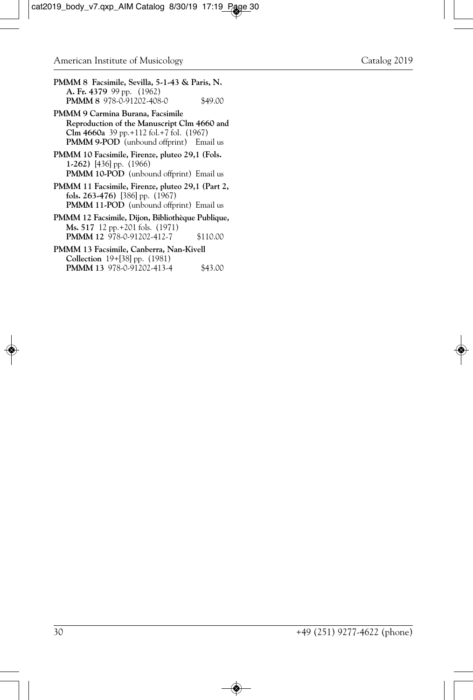- **PMMM 8 Facsimile, Sevilla, 5-1-43 & Paris, N. A. Fr. 4379** 99 pp. (1962) **PMMM 8** 978-0-91202-408-0 \$49.00
- **PMMM 9 Carmina Burana, Facsimile Reproduction of the Manuscript Clm 4660 and Clm 4660a** 39 pp.+112 fol.+7 fol. (1967) **PMMM 9-POD** (unbound offprint) Email us
- **PMMM 10 Facsimile, Firenze, pluteo 29,1 (Fols. 1-262)** [436] pp. (1966) **PMMM 10-POD** (unbound offprint) Email us
- **PMMM 11 Facsimile, Firenze, pluteo 29,1 (Part 2, fols. 263-476)** [386] pp. (1967) **PMMM 11-POD** (unbound offprint) Email us
- **PMMM 12 Facsimile, Dijon, Bibliothèque Publique, Ms. 517** 12 pp.+201 fols. (1971) **PMMM 12** 978-0-91202-412-7 \$110.00
- **PMMM 13 Facsimile, Canberra, Nan-Kivell Collection** 19+[38] pp. (1981) **PMMM 13** 978-0-91202-413-4 \$43.00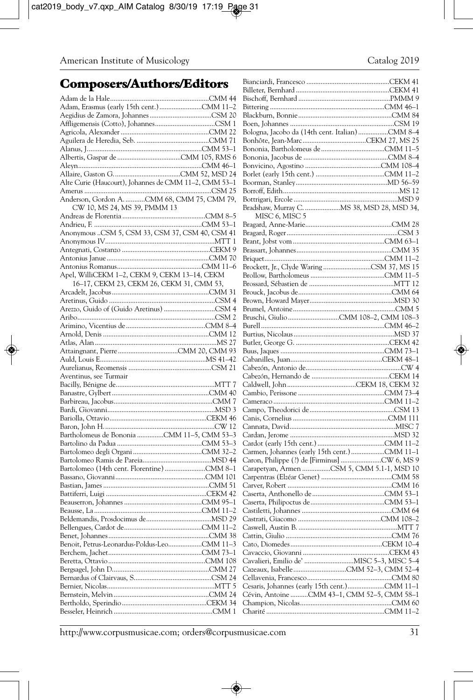# **Composers/Authors/Editors**

|                                                       | DH. |
|-------------------------------------------------------|-----|
|                                                       | Bis |
|                                                       | Bit |
|                                                       | Bla |
|                                                       | Bo  |
|                                                       | Bol |
|                                                       | Boi |
|                                                       | Boi |
|                                                       | Bor |
|                                                       | Bor |
|                                                       | Bor |
| Alte Curie (Haucourt), Johannes de CMM 11-2, CMM 53-1 | Bo  |
|                                                       | Bor |
| Anderson, Gordon A. CMM 68, CMM 75, CMM 79,           | Bot |
| CW 10, MS 24, MS 39, PMMM 13                          | Bra |
|                                                       |     |
|                                                       | Bra |
| Anonymous CSM 5, CSM 33, CSM 37, CSM 40, CSM 41       | Bra |
|                                                       | Bra |
|                                                       | Bra |
|                                                       | Bri |
|                                                       | Brc |
| Apel, WilliCEKM 1-2, CEKM 9, CEKM 13-14, CEKM         | Brc |
| 16–17, CEKM 23, CEKM 26, CEKM 31, CMM 53,             | Brc |
|                                                       | Brc |
|                                                       | Brc |
|                                                       | Bru |
|                                                       | Bru |
|                                                       | Bur |
|                                                       | Bur |
|                                                       | But |
|                                                       | Bu  |
|                                                       | Ca  |
|                                                       | Cal |
| Aventinus, see Turmair                                | Ca  |
|                                                       | Ca  |
|                                                       | Ca  |
|                                                       | Ca  |
|                                                       | Ca  |
|                                                       | Ca  |
|                                                       | Ca  |
| Bartholomeus de Bononia CMM 11-5, CMM 53-3            | Ca: |
|                                                       | Ca  |
|                                                       | Ca  |
|                                                       | Ca  |
|                                                       | Ca: |
|                                                       | Ca: |
|                                                       | Ca  |
|                                                       | Ca: |
|                                                       | Ca: |
|                                                       | Ca: |
|                                                       | Ca: |
|                                                       | Ca: |
|                                                       | Ca  |
|                                                       | Ca  |
|                                                       | Ca  |
|                                                       | Ca  |
|                                                       | Ca: |
|                                                       | Ce. |
|                                                       | Ce: |
|                                                       | Cé  |
|                                                       | Ch  |
|                                                       |     |
|                                                       | Ch  |

| Bologna, Jacobo da (14th cent. Italian) CMM 8-4 |  |
|-------------------------------------------------|--|
|                                                 |  |
|                                                 |  |
|                                                 |  |
|                                                 |  |
|                                                 |  |
|                                                 |  |
|                                                 |  |
|                                                 |  |
|                                                 |  |
| Bradshaw, Murray C.  MS 38, MSD 28, MSD 34,     |  |
| MISC 6, MISC 5                                  |  |
|                                                 |  |
|                                                 |  |
|                                                 |  |
|                                                 |  |
|                                                 |  |
|                                                 |  |
| Brockett, Jr., Clyde Waring CSM 37, MS 15       |  |
|                                                 |  |
|                                                 |  |
|                                                 |  |
|                                                 |  |
|                                                 |  |
|                                                 |  |
|                                                 |  |
|                                                 |  |
|                                                 |  |
|                                                 |  |
|                                                 |  |
|                                                 |  |
|                                                 |  |
|                                                 |  |
|                                                 |  |
|                                                 |  |
|                                                 |  |
|                                                 |  |
|                                                 |  |
|                                                 |  |
|                                                 |  |
|                                                 |  |
|                                                 |  |
|                                                 |  |
|                                                 |  |
|                                                 |  |
|                                                 |  |
| Carapetyan, Armen CSM 5, CMM 5.1-1, MSD 10      |  |
|                                                 |  |
|                                                 |  |
|                                                 |  |
|                                                 |  |
|                                                 |  |
|                                                 |  |
|                                                 |  |
|                                                 |  |
|                                                 |  |
|                                                 |  |
|                                                 |  |
|                                                 |  |
|                                                 |  |
|                                                 |  |
|                                                 |  |
|                                                 |  |
| Cévin, Antoine CMM 43-1, CMM 52-5, CMM 58-1     |  |
|                                                 |  |
|                                                 |  |
|                                                 |  |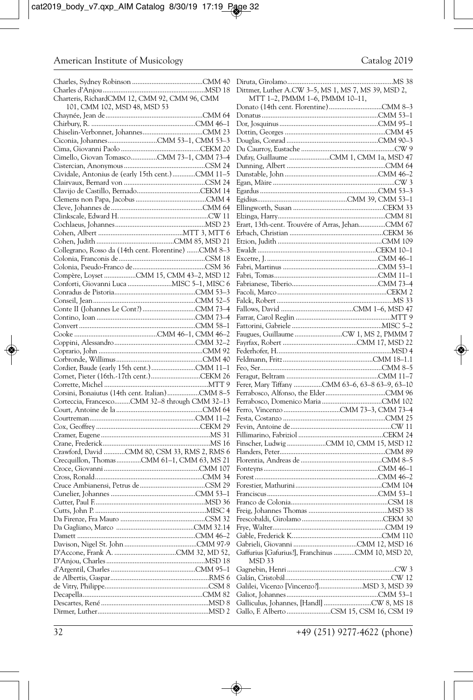|                                                      | Dittmer, Luther A.CW 3-5, MS 1, MS 7, MS 39, MSD 2, |
|------------------------------------------------------|-----------------------------------------------------|
| Charteris, RichardCMM 12, CMM 92, CMM 96, CMM        | MTT 1-2, PMMM 1-6, PMMM 10-11,                      |
| 101, CMM 102, MSD 48, MSD 53                         |                                                     |
|                                                      |                                                     |
|                                                      |                                                     |
|                                                      |                                                     |
| Ciconia, JohannesCMM 53-1, CMM 53-3                  |                                                     |
|                                                      |                                                     |
| Cimello, Giovan TomascoCMM 73-1, CMM 73-4            | Dufay, Guillaume CMM 1, CMM 1a, MSD 47              |
|                                                      |                                                     |
| Cividale, Antonius de (early 15th cent.)CMM 11-5     |                                                     |
|                                                      |                                                     |
|                                                      |                                                     |
|                                                      |                                                     |
|                                                      |                                                     |
|                                                      |                                                     |
|                                                      | Erart, 13th-cent. Trouvére of Arras, JehanCMM 67    |
|                                                      |                                                     |
|                                                      |                                                     |
| Collegrano, Rosso da (14th cent. Florentine) CMM 8-3 |                                                     |
|                                                      |                                                     |
|                                                      |                                                     |
| Compère, Loyset CMM 15, CMM 43-2, MSD 12             |                                                     |
| Conforti, Giovanni Luca  MISC 5-1, MISC 6            |                                                     |
|                                                      |                                                     |
|                                                      |                                                     |
|                                                      |                                                     |
|                                                      |                                                     |
|                                                      |                                                     |
|                                                      |                                                     |
|                                                      |                                                     |
|                                                      |                                                     |
|                                                      |                                                     |
| Cornet, Pieter (16th.-17th cent.)CEKM 26             |                                                     |
|                                                      | Ferer, Mary Tiffany CMM 63-6, 63-8 63-9, 63-10      |
| Corsini, Bonaiutus (14th cent. Italian)CMM 8-5       |                                                     |
| Corteccia, FrancescoCMM 32-8 through CMM 32-13       |                                                     |
|                                                      |                                                     |
|                                                      |                                                     |
|                                                      |                                                     |
|                                                      |                                                     |
|                                                      |                                                     |
| Crawford, David CMM 80, CSM 33, RMS 2, RMS 6         |                                                     |
| Crecquillon, ThomasCMM 61-1, CMM 63, MS 21           |                                                     |
|                                                      |                                                     |
|                                                      |                                                     |
|                                                      |                                                     |
|                                                      |                                                     |
|                                                      |                                                     |
|                                                      |                                                     |
|                                                      |                                                     |
|                                                      |                                                     |
|                                                      |                                                     |
|                                                      |                                                     |
|                                                      | Gaffurius [Gafurius?], Franchinus CMM 10, MSD 20,   |
|                                                      | MSD 33                                              |
|                                                      |                                                     |
|                                                      |                                                     |
|                                                      |                                                     |
|                                                      |                                                     |
|                                                      |                                                     |
|                                                      | Gallo, F. Alberto CSM 15, CSM 16, CSM 19            |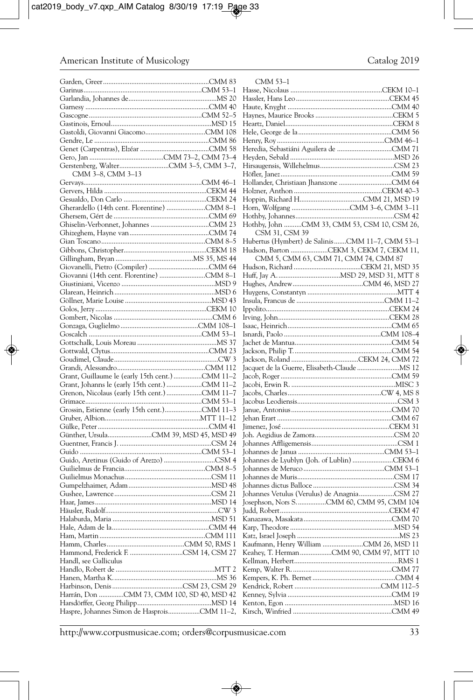|                                                 | Н  |
|-------------------------------------------------|----|
|                                                 | Н  |
|                                                 | Н  |
|                                                 | Н  |
|                                                 | Н  |
|                                                 | Н  |
|                                                 | Н  |
|                                                 | Н  |
|                                                 | Н  |
|                                                 | Н  |
| CMM 3-8, CMM 3-13                               | Н  |
|                                                 | Н  |
|                                                 | Н  |
|                                                 | Н  |
| Gherardello (14th cent. Florentine) CMM 8-1     | Н  |
|                                                 | Н  |
|                                                 | Н  |
|                                                 | Н  |
|                                                 | Н  |
|                                                 |    |
|                                                 | Н  |
|                                                 | Н  |
|                                                 | Н  |
|                                                 | Н  |
|                                                 | Ir |
|                                                 | Ir |
|                                                 | Ir |
|                                                 | Is |
|                                                 | Is |
|                                                 | Ja |
|                                                 | Ja |
|                                                 | Ja |
|                                                 | Ja |
| Grant, Guillaume le (early 15th cent.) CMM 11-2 | Ja |
|                                                 | Ja |
|                                                 | Ja |
|                                                 | Ja |
|                                                 | Ja |
|                                                 | Je |
|                                                 | Ji |
|                                                 | Jc |
|                                                 | Jc |
|                                                 | Jc |
|                                                 | Jc |
|                                                 | Jc |
|                                                 | Jc |
|                                                 | Jc |
|                                                 | Jc |
|                                                 | Jc |
|                                                 | Ju |
|                                                 | K  |
|                                                 | K  |
|                                                 | K  |
|                                                 | K  |
| Hammond, Frederick F. CSM 14, CSM 27            | K  |
| Handl, see Galliculus                           | K  |
|                                                 | K  |
|                                                 | K  |
|                                                 | K  |
| Harrán, Don CMM 73, CMM 100, SD 40, MSD 42      | K  |
|                                                 | K  |
| Haspre, Johannes Simon de HasproisCMM 11-2,     | K  |

| "MM 53 |  |
|--------|--|
|--------|--|

| MM ו–ככ                                         |  |
|-------------------------------------------------|--|
|                                                 |  |
|                                                 |  |
|                                                 |  |
|                                                 |  |
|                                                 |  |
|                                                 |  |
|                                                 |  |
|                                                 |  |
|                                                 |  |
|                                                 |  |
|                                                 |  |
|                                                 |  |
|                                                 |  |
|                                                 |  |
|                                                 |  |
|                                                 |  |
|                                                 |  |
|                                                 |  |
| CSM 31, CSM 39                                  |  |
| Hubertus (Hymbert) de SalinisCMM 11-7, CMM 53-1 |  |
| Hudson, Barton CEKM 3, CEKM 7, CEKM 11,         |  |
|                                                 |  |
|                                                 |  |
|                                                 |  |
|                                                 |  |
|                                                 |  |
|                                                 |  |
|                                                 |  |
|                                                 |  |
|                                                 |  |
|                                                 |  |
|                                                 |  |
|                                                 |  |
|                                                 |  |
|                                                 |  |
|                                                 |  |
|                                                 |  |
|                                                 |  |
|                                                 |  |
|                                                 |  |
|                                                 |  |
|                                                 |  |
|                                                 |  |
|                                                 |  |
|                                                 |  |
|                                                 |  |
|                                                 |  |
| Johannes de Lyublyn (Joh. of Lublin) CEKM 6     |  |
|                                                 |  |
|                                                 |  |
|                                                 |  |
| Johannes Vetulus (Verulus) de AnagniaCSM 27     |  |
| Josephson, Nors SCMM 60, CMM 95, CMM 104        |  |
|                                                 |  |
|                                                 |  |
|                                                 |  |
|                                                 |  |
|                                                 |  |
| Kaufmann, Henry William CMM 26, MSD 11          |  |
| Keahey, T. Herman CMM 90, CMM 97, MTT 10        |  |
|                                                 |  |
|                                                 |  |
|                                                 |  |
|                                                 |  |
|                                                 |  |
|                                                 |  |
|                                                 |  |
|                                                 |  |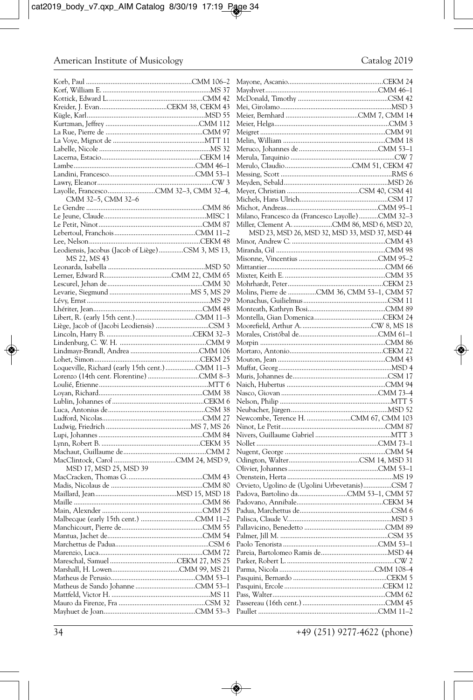|                                                   | Ma   |
|---------------------------------------------------|------|
|                                                   | Ma   |
|                                                   |      |
|                                                   | Mc   |
|                                                   | Me   |
|                                                   | Me   |
|                                                   |      |
|                                                   | Me   |
|                                                   | Me   |
|                                                   | Me   |
|                                                   |      |
|                                                   | Me   |
|                                                   | Me   |
|                                                   | Me   |
|                                                   |      |
|                                                   | Me   |
|                                                   | Me   |
|                                                   |      |
|                                                   | Me   |
| CMM 32-5, CMM 32-6                                | Mio  |
|                                                   | Mio  |
|                                                   |      |
|                                                   | Mil  |
|                                                   | Mil  |
|                                                   |      |
|                                                   |      |
|                                                   | Miı  |
| Leodiensis, Jacobus (Jacob of Liège)CSM 3, MS 13, | Mir  |
| MS 22, MS 43                                      | Mis  |
|                                                   |      |
|                                                   | Mit  |
|                                                   | Miz  |
|                                                   |      |
|                                                   | Mo   |
|                                                   | Mo   |
|                                                   | Mo   |
|                                                   |      |
|                                                   | Mo   |
|                                                   | Mo   |
|                                                   |      |
|                                                   | Mo   |
|                                                   | Mo   |
|                                                   | Mo   |
|                                                   |      |
|                                                   | Mo   |
|                                                   | Mo   |
| Loqueville, Richard (early 15th cent.) CMM 11-3   | Mu   |
|                                                   |      |
|                                                   | Mu   |
|                                                   | Nai  |
|                                                   | Nas  |
|                                                   |      |
|                                                   | Nel  |
|                                                   | Nei  |
|                                                   | Ne   |
|                                                   |      |
|                                                   | Nir  |
|                                                   | Niv  |
|                                                   | No   |
|                                                   |      |
|                                                   | Nu   |
|                                                   | Od   |
| MSD 17, MSD 25, MSD 39                            | Oli  |
|                                                   |      |
|                                                   | Ore  |
|                                                   | Ory  |
|                                                   | Pad  |
|                                                   |      |
|                                                   | Pad  |
|                                                   | Pad  |
|                                                   |      |
|                                                   | Pal  |
|                                                   | Pali |
|                                                   | Pal  |
|                                                   |      |
|                                                   | Pac  |
|                                                   | Par  |
|                                                   | Par  |
|                                                   |      |
|                                                   | Par  |
|                                                   | Pas  |
|                                                   | Pas  |
|                                                   |      |
|                                                   | Pas  |
|                                                   | Pas  |
|                                                   |      |
|                                                   | Pau  |

| Milano, Francesco da (Francesco Layolle)CMM 32-3 |  |
|--------------------------------------------------|--|
|                                                  |  |
| MSD 23, MSD 26, MSD 32, MSD 33, MSD 37, MSD 44   |  |
|                                                  |  |
|                                                  |  |
|                                                  |  |
|                                                  |  |
|                                                  |  |
|                                                  |  |
| Molins, Pierre de CMM 36, CMM 53-1, CMM 57       |  |
|                                                  |  |
|                                                  |  |
|                                                  |  |
|                                                  |  |
|                                                  |  |
|                                                  |  |
|                                                  |  |
|                                                  |  |
|                                                  |  |
|                                                  |  |
|                                                  |  |
|                                                  |  |
|                                                  |  |
|                                                  |  |
|                                                  |  |
|                                                  |  |
|                                                  |  |
|                                                  |  |
|                                                  |  |
|                                                  |  |
|                                                  |  |
|                                                  |  |
|                                                  |  |
| Orvieto, Ugolino de (Ugolini Urbevetanis)CSM 7   |  |
|                                                  |  |
|                                                  |  |
|                                                  |  |
|                                                  |  |
|                                                  |  |
|                                                  |  |
|                                                  |  |
|                                                  |  |
|                                                  |  |
|                                                  |  |
|                                                  |  |
|                                                  |  |
|                                                  |  |
|                                                  |  |
|                                                  |  |
|                                                  |  |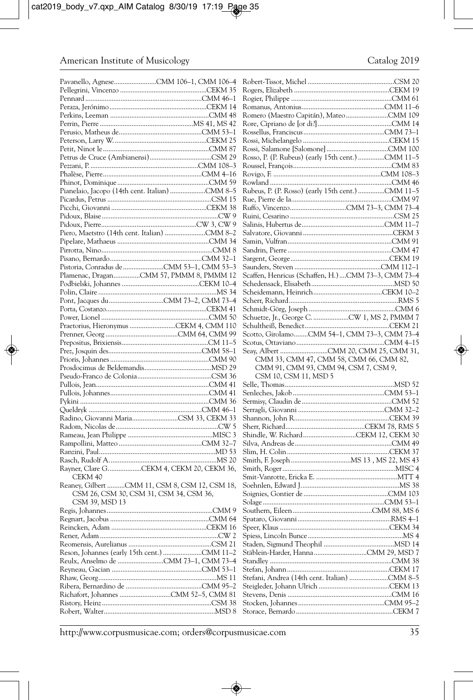|                                                | Rosso, P. (P. Rubeus) (early 15th cent.) CMM 11-5  |
|------------------------------------------------|----------------------------------------------------|
|                                                |                                                    |
|                                                |                                                    |
| Pianelaio, Jacopo (14th cent. Italian) CMM 8-5 | Rubeus, P. (P. Rosso) (early 15th cent.) CMM 11-5  |
|                                                |                                                    |
|                                                |                                                    |
|                                                |                                                    |
|                                                |                                                    |
| Piero, Maetstro (14th cent. Italian) CMM 8-2   |                                                    |
|                                                |                                                    |
|                                                |                                                    |
|                                                |                                                    |
| Pistoria, Conradus de CMM 53-1, CMM 53-3       |                                                    |
| Plamenac, DraganCMM 57, PMMM 8, PMMM 12        | Scaffen, Henricus (Schaffen, H.)CMM 73-3, CMM 73-4 |
|                                                |                                                    |
|                                                |                                                    |
|                                                |                                                    |
|                                                |                                                    |
|                                                |                                                    |
| Praetorius, Hieronymus CEKM 4, CMM 110         | Scotto, GirolamoCMM 54-1, CMM 73-3, CMM 73-4       |
|                                                |                                                    |
|                                                |                                                    |
|                                                |                                                    |
|                                                |                                                    |
|                                                | CMM 33, CMM 47, CMM 58, CMM 66, CMM 82,            |
|                                                | CMM 91, CMM 93, CMM 94, CSM 7, CSM 9,              |
|                                                | CSM 10, CSM 11, MSD 5                              |
|                                                |                                                    |
|                                                |                                                    |
|                                                |                                                    |
| Radino, Giovanni MariaCSM 33, CEKM 33          |                                                    |
|                                                |                                                    |
|                                                | Shindle, W. RichardCEKM 12, CEKM 30                |
|                                                |                                                    |
|                                                |                                                    |
|                                                |                                                    |
| Rayner, Clare GCEKM 4, CEKM 20, CEKM 36,       |                                                    |
| CEKM 40                                        |                                                    |
| Reaney, Gilbert CMM 11, CSM 8, CSM 12, CSM 18, |                                                    |
| CSM 26, CSM 30, CSM 31, CSM 34, CSM 36,        |                                                    |
| CSM 39, MSD 13                                 |                                                    |
|                                                |                                                    |
|                                                |                                                    |
|                                                |                                                    |
|                                                |                                                    |
|                                                |                                                    |
| Reulx, Anselmo de CMM 73-1, CMM 73-4           |                                                    |
|                                                |                                                    |
|                                                |                                                    |
|                                                |                                                    |
|                                                |                                                    |
|                                                |                                                    |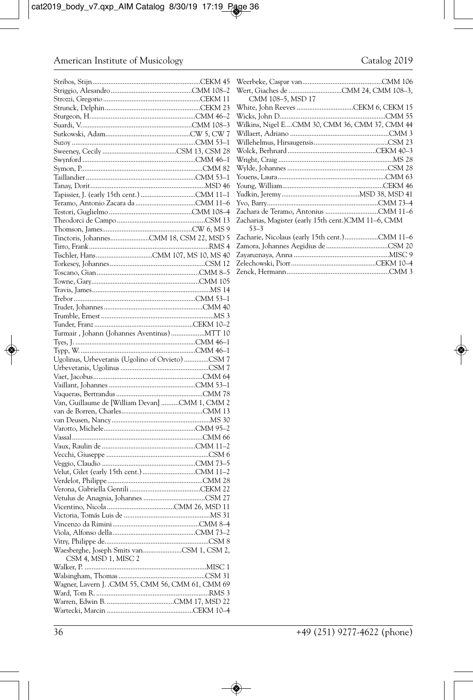| Turmair, Johann (Johannes Aventinus)  MTT 10      |  |
|---------------------------------------------------|--|
|                                                   |  |
|                                                   |  |
| Ugolinus, Urbevetanis (Ugolino of Orvieto) CSM 7  |  |
|                                                   |  |
|                                                   |  |
|                                                   |  |
|                                                   |  |
| Van, Guillaume de [William Devan] CMM 1, CMM 2    |  |
|                                                   |  |
|                                                   |  |
|                                                   |  |
|                                                   |  |
|                                                   |  |
|                                                   |  |
|                                                   |  |
|                                                   |  |
|                                                   |  |
|                                                   |  |
|                                                   |  |
|                                                   |  |
|                                                   |  |
|                                                   |  |
|                                                   |  |
|                                                   |  |
|                                                   |  |
| Waesberghe, Joseph Smits vanCSM 1, CSM 2,         |  |
| CSM 4, MSD 1, MISC 2                              |  |
|                                                   |  |
|                                                   |  |
| Wagner, Lavern J. .CMM 55, CMM 56, CMM 61, CMM 69 |  |
|                                                   |  |
|                                                   |  |
|                                                   |  |
|                                                   |  |

| CMM 108-5, MSD 17                                    |  |
|------------------------------------------------------|--|
|                                                      |  |
|                                                      |  |
| Wilkins, Nigel ECMM 30, CMM 36, CMM 37, CMM 44       |  |
|                                                      |  |
|                                                      |  |
|                                                      |  |
|                                                      |  |
|                                                      |  |
|                                                      |  |
|                                                      |  |
|                                                      |  |
|                                                      |  |
|                                                      |  |
| Zacharias, Magister (early 15th cent.) CMM 11-6, CMM |  |
| $53 - 3$                                             |  |
| Zacharie, Nicolaus (early 15th cent.)CMM 11-6        |  |
|                                                      |  |
|                                                      |  |
|                                                      |  |
|                                                      |  |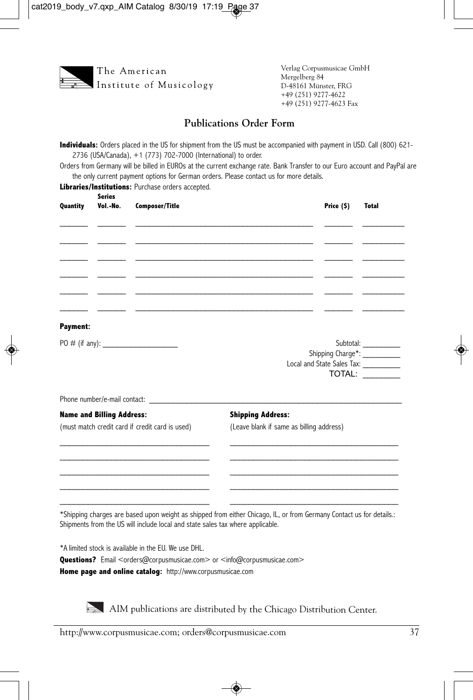

Verlag Corpusmusicae GmbH Mergelberg 84 D-48161 Münster, FRG +49 (251) 9277-4622 +49 (251) 9277-4623 Fax

#### **Publications Order Form**

**Individuals:** Orders placed in the US for shipment from the US must be accompanied with payment in USD. Call (800) 621- 2736 (USA/Canada), +1 (773) 702-7000 (International) to order.

Orders from Germany will be billed in EUROs at the current exchange rate. Bank Transfer to our Euro account and PayPal are the only current payment options for German orders. Please contact us for more details.

**Libraries/Institutions: Purchase orders accepted. Series**

| Quantity        | Vol.-No.                         | <b>Composer/Title</b>                                                          |                                                                                                                      | Price (\$) | <b>Total</b>                                                  |
|-----------------|----------------------------------|--------------------------------------------------------------------------------|----------------------------------------------------------------------------------------------------------------------|------------|---------------------------------------------------------------|
|                 |                                  |                                                                                |                                                                                                                      |            |                                                               |
|                 |                                  |                                                                                | and the control of the control of the control of the control of the control of the control of the control of the     |            |                                                               |
|                 |                                  |                                                                                |                                                                                                                      |            |                                                               |
|                 |                                  |                                                                                |                                                                                                                      |            |                                                               |
| <b>Payment:</b> |                                  |                                                                                |                                                                                                                      |            |                                                               |
|                 |                                  |                                                                                |                                                                                                                      |            | Subtotal:<br>Local and State Sales Tax: ___________<br>TOTAL: |
|                 |                                  | Phone number/e-mail contact:                                                   |                                                                                                                      |            |                                                               |
|                 | <b>Name and Billing Address:</b> |                                                                                | <b>Shipping Address:</b>                                                                                             |            |                                                               |
|                 |                                  | (must match credit card if credit card is used)                                | (Leave blank if same as billing address)                                                                             |            |                                                               |
|                 |                                  |                                                                                |                                                                                                                      |            |                                                               |
|                 |                                  |                                                                                |                                                                                                                      |            |                                                               |
|                 |                                  |                                                                                | *Shipping charges are based upon weight as shipped from either Chicago, IL, or from Germany Contact us for details.: |            |                                                               |
|                 |                                  | Shipments from the US will include local and state sales tax where applicable. |                                                                                                                      |            |                                                               |

\*A limited stock is available in the EU. We use DHL.

Questions? Email <orders@corpusmusicae.com> or <info@corpusmusicae.com>

**Home page and online catalog:** http://www.corpusmusicae.com

AIM publications are distributed by the Chicago Distribution Center.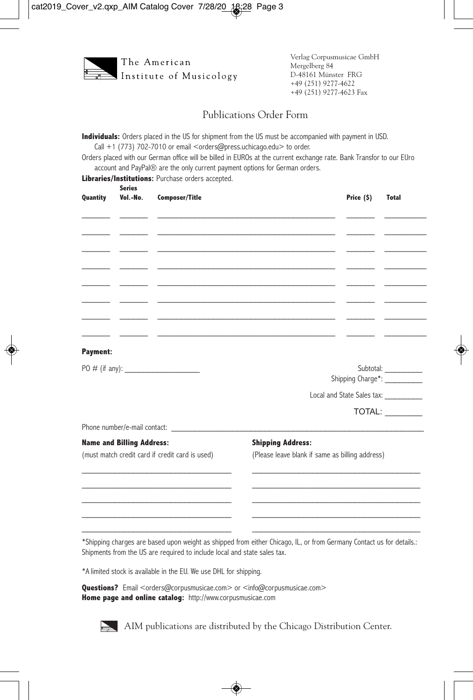

#### Publications Order Form

**Individuals:** Orders placed in the US for shipment from the US must be accompanied with payment in USD. Call +1 (773) 702-7010 or email <orders@press.uchicago.edu> to order.

Orders placed with our German office will be billed in EUROs at the current exchange rate. Bank Transfor to our EUro account and PayPal® are the only current payment options for German orders.

**Libraries/Institutions:** Purchase orders accepted.

| Quantity                                        | <b>Series</b><br>Vol.-No. | <b>Composer/Title</b> |                                                                                                                                                                                                                               | Price (\$) | <b>Total</b>                               |
|-------------------------------------------------|---------------------------|-----------------------|-------------------------------------------------------------------------------------------------------------------------------------------------------------------------------------------------------------------------------|------------|--------------------------------------------|
|                                                 |                           |                       |                                                                                                                                                                                                                               |            |                                            |
|                                                 |                           |                       |                                                                                                                                                                                                                               |            |                                            |
| $\overline{\phantom{0}}$                        |                           |                       | the control of the control of the control of the control of the control of the control of the control of the control of the control of the control of the control of the control of the control of the control of the control |            |                                            |
|                                                 |                           |                       |                                                                                                                                                                                                                               |            |                                            |
|                                                 |                           |                       |                                                                                                                                                                                                                               |            |                                            |
|                                                 |                           |                       |                                                                                                                                                                                                                               |            |                                            |
|                                                 |                           |                       |                                                                                                                                                                                                                               |            |                                            |
| <b>Payment:</b>                                 |                           |                       |                                                                                                                                                                                                                               |            |                                            |
|                                                 |                           | PO # (if any):        |                                                                                                                                                                                                                               |            | Subtotal:<br>Shipping Charge*: ___________ |
|                                                 |                           |                       |                                                                                                                                                                                                                               |            | Local and State Sales tax:                 |
|                                                 |                           |                       |                                                                                                                                                                                                                               |            | TOTAL:                                     |
|                                                 |                           |                       |                                                                                                                                                                                                                               |            |                                            |
| <b>Name and Billing Address:</b>                |                           |                       | <b>Shipping Address:</b>                                                                                                                                                                                                      |            |                                            |
| (must match credit card if credit card is used) |                           |                       | (Please leave blank if same as billing address)                                                                                                                                                                               |            |                                            |
|                                                 |                           |                       |                                                                                                                                                                                                                               |            |                                            |
|                                                 |                           |                       |                                                                                                                                                                                                                               |            |                                            |
|                                                 |                           |                       |                                                                                                                                                                                                                               |            |                                            |
|                                                 |                           |                       |                                                                                                                                                                                                                               |            |                                            |

\*Shipping charges are based upon weight as shipped from either Chicago, IL, or from Germany Contact us for details.: Shipments from the US are required to include local and state sales tax.

\*A limited stock is available in the EU. We use DHL for shipping.

**Questions?** Email <orders@corpusmusicae.com> or <info@corpusmusicae.com> **Home page and online catalog:** http://www.corpusmusicae.com



AIM publications are distributed by the Chicago Distribution Center.